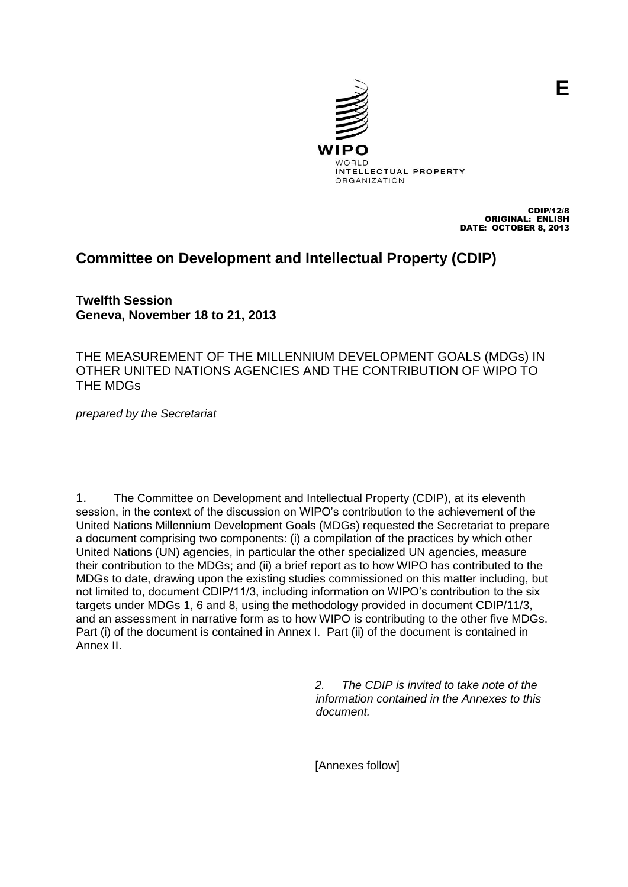

CDIP/12/8 ORIGINAL: ENLISH DATE: OCTOBER 8, 2013

# **Committee on Development and Intellectual Property (CDIP)**

**Twelfth Session Geneva, November 18 to 21, 2013**

THE MEASUREMENT OF THE MILLENNIUM DEVELOPMENT GOALS (MDGs) IN OTHER UNITED NATIONS AGENCIES AND THE CONTRIBUTION OF WIPO TO THE MDGs

*prepared by the Secretariat* 

1. The Committee on Development and Intellectual Property (CDIP), at its eleventh session, in the context of the discussion on WIPO's contribution to the achievement of the United Nations Millennium Development Goals (MDGs) requested the Secretariat to prepare a document comprising two components: (i) a compilation of the practices by which other United Nations (UN) agencies, in particular the other specialized UN agencies, measure their contribution to the MDGs; and (ii) a brief report as to how WIPO has contributed to the MDGs to date, drawing upon the existing studies commissioned on this matter including, but not limited to, document CDIP/11/3, including information on WIPO's contribution to the six targets under MDGs 1, 6 and 8, using the methodology provided in document CDIP/11/3, and an assessment in narrative form as to how WIPO is contributing to the other five MDGs. Part (i) of the document is contained in Annex I. Part (ii) of the document is contained in Annex II.

> *2. The CDIP is invited to take note of the information contained in the Annexes to this document.*

[Annexes follow]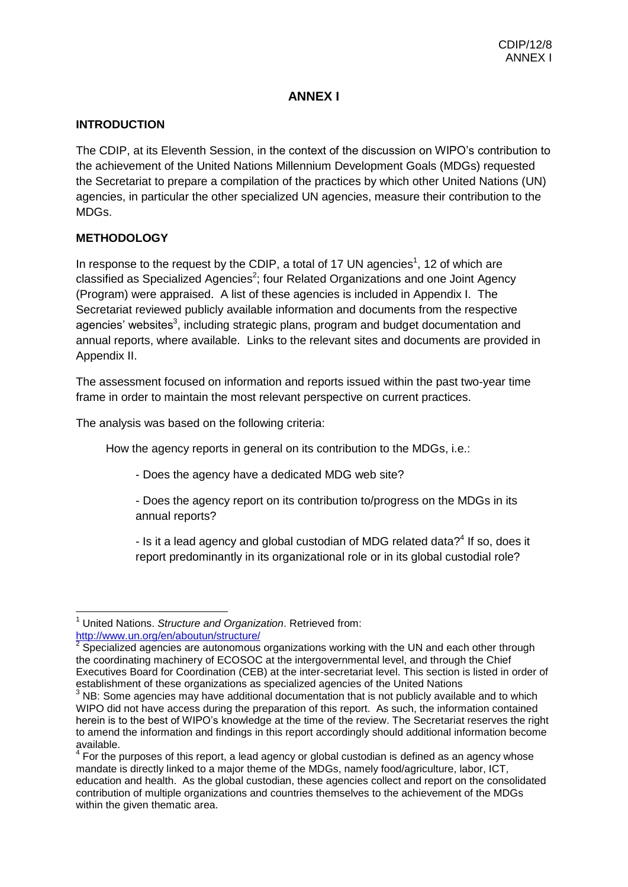## **ANNEX I**

## **INTRODUCTION**

The CDIP, at its Eleventh Session, in the context of the discussion on WIPO's contribution to the achievement of the United Nations Millennium Development Goals (MDGs) requested the Secretariat to prepare a compilation of the practices by which other United Nations (UN) agencies, in particular the other specialized UN agencies, measure their contribution to the MDGs.

## **METHODOLOGY**

In response to the request by the CDIP, a total of 17 UN agencies<sup>1</sup>, 12 of which are classified as Specialized Agencies<sup>2</sup>; four Related Organizations and one Joint Agency (Program) were appraised. A list of these agencies is included in Appendix I. The Secretariat reviewed publicly available information and documents from the respective agencies' websites $3$ , including strategic plans, program and budget documentation and annual reports, where available. Links to the relevant sites and documents are provided in Appendix II.

The assessment focused on information and reports issued within the past two-year time frame in order to maintain the most relevant perspective on current practices.

The analysis was based on the following criteria:

How the agency reports in general on its contribution to the MDGs, i.e.:

- Does the agency have a dedicated MDG web site?

- Does the agency report on its contribution to/progress on the MDGs in its annual reports?

- Is it a lead agency and global custodian of MDG related data? $4$  If so, does it report predominantly in its organizational role or in its global custodial role?

 $\overline{\phantom{a}}$ <sup>1</sup> United Nations. *Structure and Organization*. Retrieved from: <http://www.un.org/en/aboutun/structure/>

<sup>2</sup> Specialized agencies are autonomous organizations working with the UN and each other through the coordinating machinery of ECOSOC at the intergovernmental level, and through the Chief Executives Board for Coordination (CEB) at the inter-secretariat level. This section is listed in order of establishment of these organizations as specialized agencies of the United Nations

NB: Some agencies may have additional documentation that is not publicly available and to which WIPO did not have access during the preparation of this report. As such, the information contained herein is to the best of WIPO's knowledge at the time of the review. The Secretariat reserves the right to amend the information and findings in this report accordingly should additional information become available.

 $4$  For the purposes of this report, a lead agency or global custodian is defined as an agency whose mandate is directly linked to a major theme of the MDGs, namely food/agriculture, labor, ICT, education and health. As the global custodian, these agencies collect and report on the consolidated contribution of multiple organizations and countries themselves to the achievement of the MDGs within the given thematic area.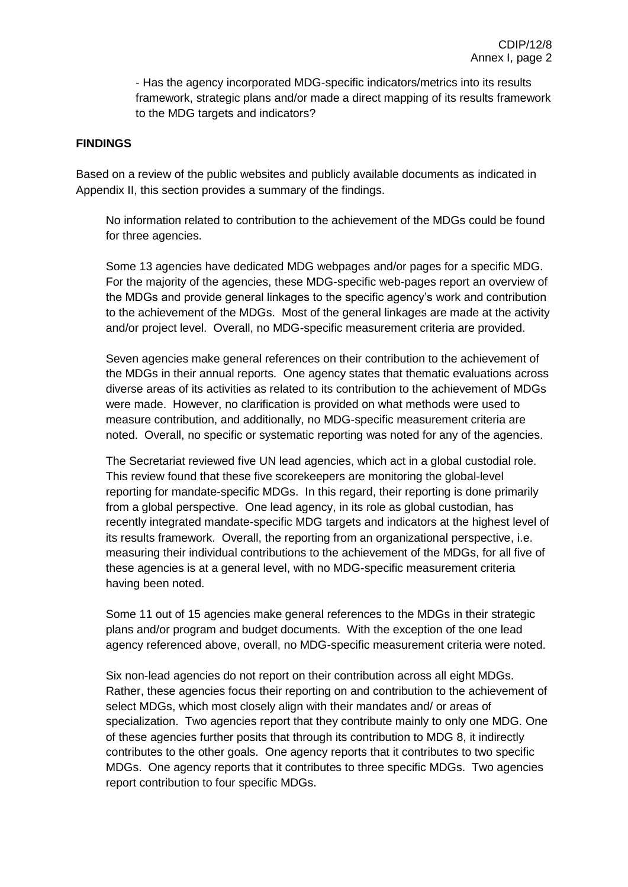- Has the agency incorporated MDG-specific indicators/metrics into its results framework, strategic plans and/or made a direct mapping of its results framework to the MDG targets and indicators?

## **FINDINGS**

Based on a review of the public websites and publicly available documents as indicated in Appendix II, this section provides a summary of the findings.

No information related to contribution to the achievement of the MDGs could be found for three agencies.

Some 13 agencies have dedicated MDG webpages and/or pages for a specific MDG. For the majority of the agencies, these MDG-specific web-pages report an overview of the MDGs and provide general linkages to the specific agency's work and contribution to the achievement of the MDGs. Most of the general linkages are made at the activity and/or project level. Overall, no MDG-specific measurement criteria are provided.

Seven agencies make general references on their contribution to the achievement of the MDGs in their annual reports. One agency states that thematic evaluations across diverse areas of its activities as related to its contribution to the achievement of MDGs were made. However, no clarification is provided on what methods were used to measure contribution, and additionally, no MDG-specific measurement criteria are noted. Overall, no specific or systematic reporting was noted for any of the agencies.

The Secretariat reviewed five UN lead agencies, which act in a global custodial role. This review found that these five scorekeepers are monitoring the global-level reporting for mandate-specific MDGs. In this regard, their reporting is done primarily from a global perspective. One lead agency, in its role as global custodian, has recently integrated mandate-specific MDG targets and indicators at the highest level of its results framework. Overall, the reporting from an organizational perspective, i.e. measuring their individual contributions to the achievement of the MDGs, for all five of these agencies is at a general level, with no MDG-specific measurement criteria having been noted.

Some 11 out of 15 agencies make general references to the MDGs in their strategic plans and/or program and budget documents. With the exception of the one lead agency referenced above, overall, no MDG-specific measurement criteria were noted.

Six non-lead agencies do not report on their contribution across all eight MDGs. Rather, these agencies focus their reporting on and contribution to the achievement of select MDGs, which most closely align with their mandates and/ or areas of specialization. Two agencies report that they contribute mainly to only one MDG. One of these agencies further posits that through its contribution to MDG 8, it indirectly contributes to the other goals. One agency reports that it contributes to two specific MDGs. One agency reports that it contributes to three specific MDGs. Two agencies report contribution to four specific MDGs.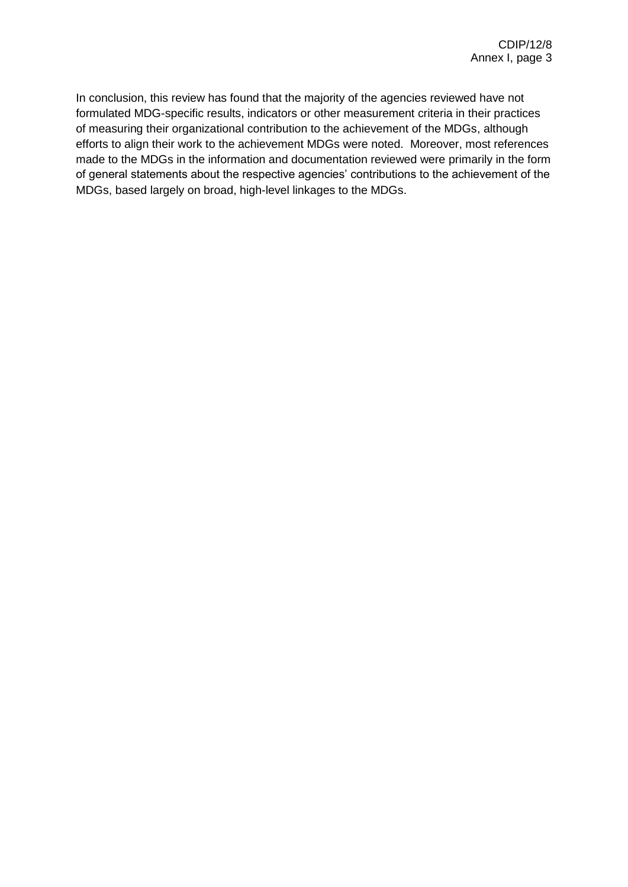In conclusion, this review has found that the majority of the agencies reviewed have not formulated MDG-specific results, indicators or other measurement criteria in their practices of measuring their organizational contribution to the achievement of the MDGs, although efforts to align their work to the achievement MDGs were noted. Moreover, most references made to the MDGs in the information and documentation reviewed were primarily in the form of general statements about the respective agencies' contributions to the achievement of the MDGs, based largely on broad, high-level linkages to the MDGs.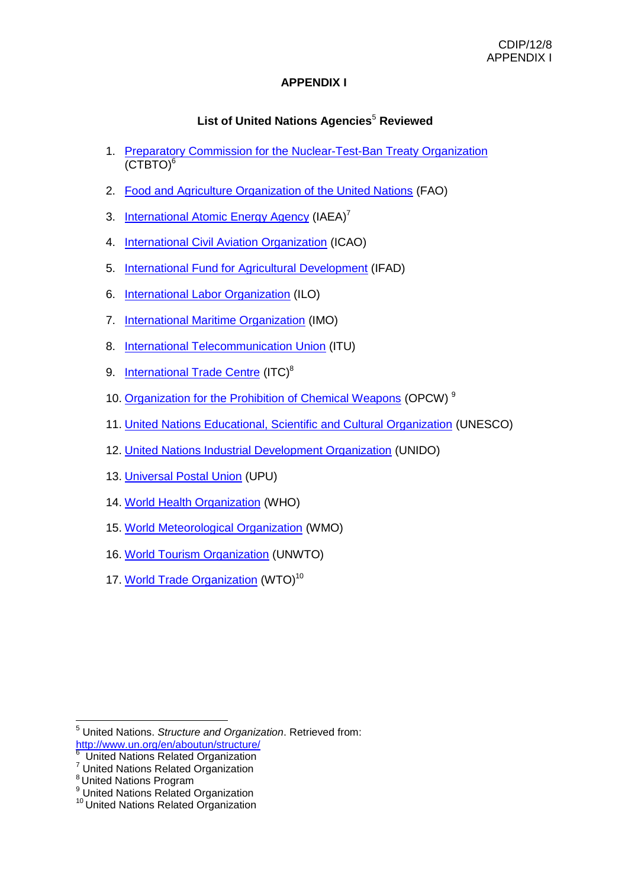## **APPENDIX I**

## **List of United Nations Agencies<sup>5</sup> Reviewed**

- 1. [Preparatory Commission for the Nuclear-Test-Ban Treaty Organization](http://www.ctbto.org/) (CTBTO)<sup>6</sup>
- 2. [Food and Agriculture Organization of the United Nations](http://www.fao.org/) (FAO)
- 3. [International Atomic Energy Agency](http://www.iaea.org/) (IAEA)<sup>7</sup>
- 4. [International Civil Aviation Organization](http://www.icao.org/) (ICAO)
- 5. [International Fund for Agricultural Development](http://www.ifad.org/) (IFAD)
- 6. [International Labor](http://www.ilo.org/) Organization (ILO)
- 7. [International Maritime Organization](http://www.imo.org/) (IMO)
- 8. [International Telecommunication Union](http://www.itu.int/) (ITU)
- 9. [International Trade Centre](http://www.intracen.org/) (ITC)<sup>8</sup>
- 10. Organization [for the Prohibition of Chemical Weapons](http://www.opcw.org/) (OPCW)<sup>9</sup>
- 11. [United Nations Educational, Scientific and Cultural Organization](http://www.unesco.org/) (UNESCO)
- 12. [United Nations Industrial Development Organization](http://www.unido.org/) (UNIDO)
- 13. [Universal Postal Union](http://www.upu.int/) (UPU)
- 14. [World Health Organization](http://www.who.int/) (WHO)
- 15. [World Meteorological Organization](http://www.wmo.int/) (WMO)
- 16. [World Tourism Organization](http://www.unwto.org/) (UNWTO)
- 17. [World Trade Organization](http://www.wto.org/) (WTO)<sup>10</sup>

<sup>6</sup> United Nations Related Organization

**<sup>.</sup>** <sup>5</sup> United Nations. *Structure and Organization*. Retrieved from: <http://www.un.org/en/aboutun/structure/>

<sup>&</sup>lt;sup>7</sup> United Nations Related Organization

<sup>&</sup>lt;sup>8</sup> United Nations Program

<sup>&</sup>lt;sup>9</sup> United Nations Related Organization

<sup>10</sup> United Nations Related Organization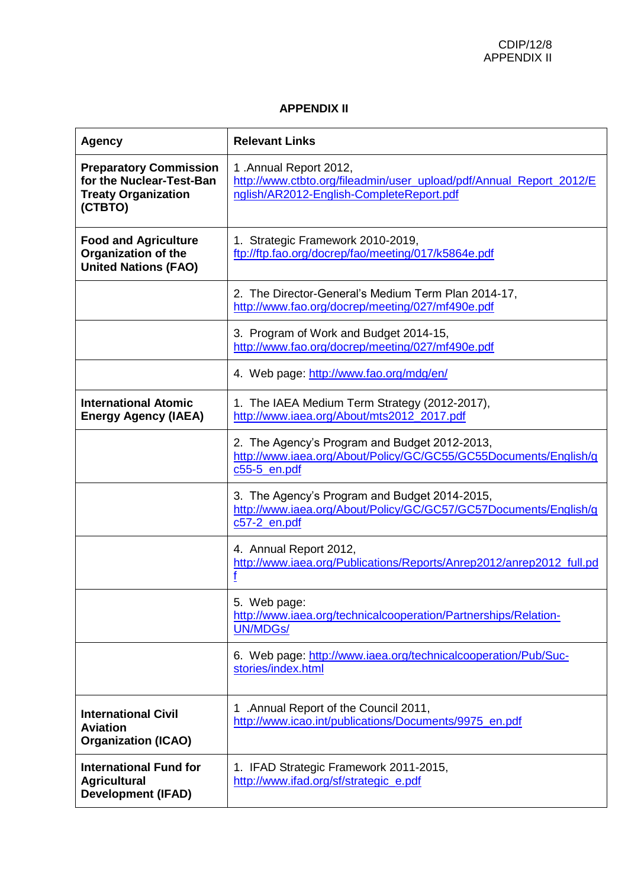### **APPENDIX II**

| <b>Agency</b>                                                                                      | <b>Relevant Links</b>                                                                                                                    |
|----------------------------------------------------------------------------------------------------|------------------------------------------------------------------------------------------------------------------------------------------|
| <b>Preparatory Commission</b><br>for the Nuclear-Test-Ban<br><b>Treaty Organization</b><br>(CTBTO) | 1.Annual Report 2012,<br>http://www.ctbto.org/fileadmin/user_upload/pdf/Annual_Report_2012/E<br>nglish/AR2012-English-CompleteReport.pdf |
| <b>Food and Agriculture</b><br><b>Organization of the</b><br><b>United Nations (FAO)</b>           | 1. Strategic Framework 2010-2019,<br>ftp://ftp.fao.org/docrep/fao/meeting/017/k5864e.pdf                                                 |
|                                                                                                    | 2. The Director-General's Medium Term Plan 2014-17,<br>http://www.fao.org/docrep/meeting/027/mf490e.pdf                                  |
|                                                                                                    | 3. Program of Work and Budget 2014-15,<br>http://www.fao.org/docrep/meeting/027/mf490e.pdf                                               |
|                                                                                                    | 4. Web page: http://www.fao.org/mdg/en/                                                                                                  |
| <b>International Atomic</b><br><b>Energy Agency (IAEA)</b>                                         | 1. The IAEA Medium Term Strategy (2012-2017),<br>http://www.iaea.org/About/mts2012 2017.pdf                                              |
|                                                                                                    | 2. The Agency's Program and Budget 2012-2013,<br>http://www.iaea.org/About/Policy/GC/GC55/GC55Documents/English/g<br>c55-5_en.pdf        |
|                                                                                                    | 3. The Agency's Program and Budget 2014-2015,<br>http://www.iaea.org/About/Policy/GC/GC57/GC57Documents/English/g<br>c57-2_en.pdf        |
|                                                                                                    | 4. Annual Report 2012,<br>http://www.iaea.org/Publications/Reports/Anrep2012/anrep2012 full.pd                                           |
|                                                                                                    | 5. Web page:<br>http://www.iaea.org/technicalcooperation/Partnerships/Relation-<br><b>UN/MDGs/</b>                                       |
|                                                                                                    | 6. Web page: http://www.iaea.org/technicalcooperation/Pub/Suc-<br>stories/index.html                                                     |
| <b>International Civil</b><br><b>Aviation</b><br><b>Organization (ICAO)</b>                        | .Annual Report of the Council 2011,<br>1<br>http://www.icao.int/publications/Documents/9975_en.pdf                                       |
| <b>International Fund for</b><br><b>Agricultural</b><br><b>Development (IFAD)</b>                  | 1. IFAD Strategic Framework 2011-2015,<br>http://www.ifad.org/sf/strategic_e.pdf                                                         |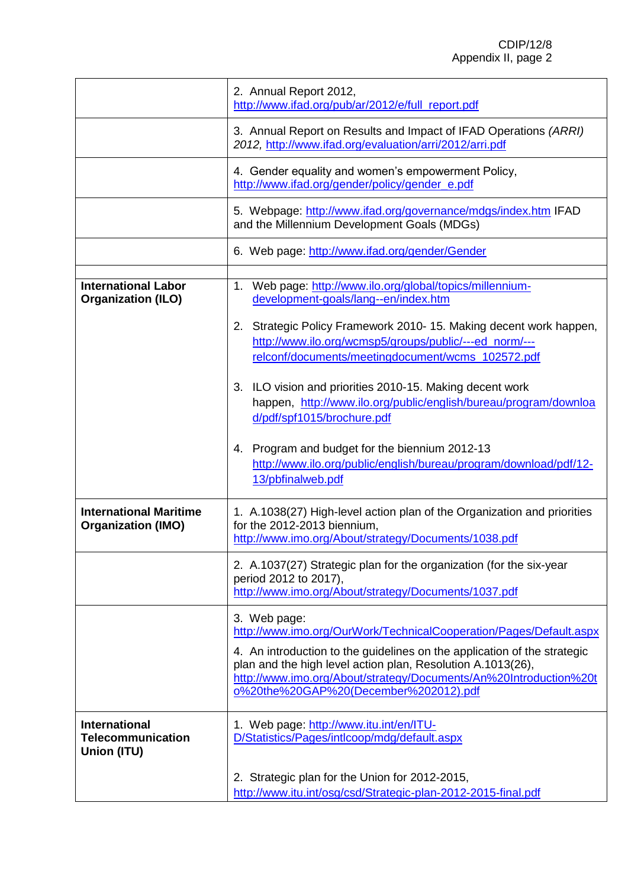|                                                                 | 2. Annual Report 2012,<br>http://www.ifad.org/pub/ar/2012/e/full_report.pdf                                                                                                                                                                           |  |  |  |
|-----------------------------------------------------------------|-------------------------------------------------------------------------------------------------------------------------------------------------------------------------------------------------------------------------------------------------------|--|--|--|
|                                                                 | 3. Annual Report on Results and Impact of IFAD Operations (ARRI)<br>2012, http://www.ifad.org/evaluation/arri/2012/arri.pdf                                                                                                                           |  |  |  |
|                                                                 | 4. Gender equality and women's empowerment Policy,<br>http://www.ifad.org/gender/policy/gender_e.pdf                                                                                                                                                  |  |  |  |
|                                                                 | 5. Webpage: http://www.ifad.org/governance/mdgs/index.htm IFAD<br>and the Millennium Development Goals (MDGs)                                                                                                                                         |  |  |  |
|                                                                 | 6. Web page: http://www.ifad.org/gender/Gender                                                                                                                                                                                                        |  |  |  |
| <b>International Labor</b><br><b>Organization (ILO)</b>         | 1. Web page: http://www.ilo.org/global/topics/millennium-<br>development-goals/lang--en/index.htm                                                                                                                                                     |  |  |  |
|                                                                 | Strategic Policy Framework 2010-15. Making decent work happen,<br>2.<br>http://www.ilo.org/wcmsp5/groups/public/---ed norm/---<br>relconf/documents/meetingdocument/wcms_102572.pdf                                                                   |  |  |  |
|                                                                 | 3. ILO vision and priorities 2010-15. Making decent work<br>happen, http://www.ilo.org/public/english/bureau/program/downloa<br>d/pdf/spf1015/brochure.pdf                                                                                            |  |  |  |
|                                                                 | 4. Program and budget for the biennium 2012-13<br>http://www.ilo.org/public/english/bureau/program/download/pdf/12-<br>13/pbfinalweb.pdf                                                                                                              |  |  |  |
| <b>International Maritime</b><br><b>Organization (IMO)</b>      | 1. A.1038(27) High-level action plan of the Organization and priorities<br>for the 2012-2013 biennium,<br>http://www.imo.org/About/strategy/Documents/1038.pdf                                                                                        |  |  |  |
|                                                                 | 2. A.1037(27) Strategic plan for the organization (for the six-year<br>period 2012 to 2017),<br>http://www.imo.org/About/strategy/Documents/1037.pdf                                                                                                  |  |  |  |
|                                                                 | 3. Web page:<br>http://www.imo.org/OurWork/TechnicalCooperation/Pages/Default.aspx                                                                                                                                                                    |  |  |  |
|                                                                 | 4. An introduction to the guidelines on the application of the strategic<br>plan and the high level action plan, Resolution A.1013(26),<br>http://www.imo.org/About/strategy/Documents/An%20Introduction%20t<br>o%20the%20GAP%20(December%202012).pdf |  |  |  |
| <b>International</b><br><b>Telecommunication</b><br>Union (ITU) | 1. Web page: http://www.itu.int/en/ITU-<br>D/Statistics/Pages/intlcoop/mdg/default.aspx                                                                                                                                                               |  |  |  |
|                                                                 | 2. Strategic plan for the Union for 2012-2015,<br>http://www.itu.int/osg/csd/Strategic-plan-2012-2015-final.pdf                                                                                                                                       |  |  |  |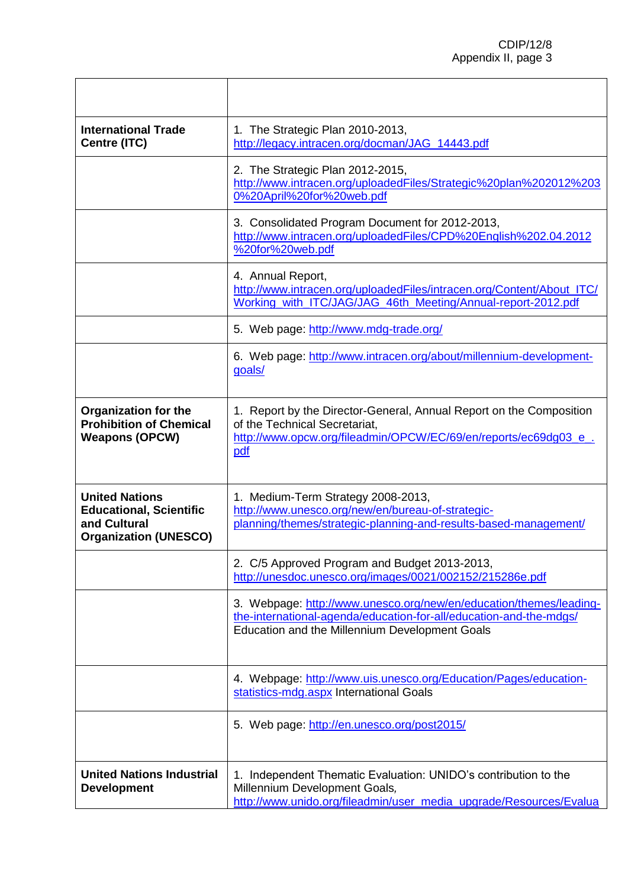| <b>International Trade</b><br>Centre (ITC)                                                              | 1. The Strategic Plan 2010-2013,<br>http://legacy.intracen.org/docman/JAG_14443.pdf                                                                                                        |  |  |
|---------------------------------------------------------------------------------------------------------|--------------------------------------------------------------------------------------------------------------------------------------------------------------------------------------------|--|--|
|                                                                                                         | 2. The Strategic Plan 2012-2015,<br>http://www.intracen.org/uploadedFiles/Strategic%20plan%202012%203<br>0%20April%20for%20web.pdf                                                         |  |  |
|                                                                                                         | 3. Consolidated Program Document for 2012-2013,<br>http://www.intracen.org/uploadedFiles/CPD%20English%202.04.2012<br>%20for%20web.pdf                                                     |  |  |
|                                                                                                         | 4. Annual Report,<br>http://www.intracen.org/uploadedFiles/intracen.org/Content/About_ITC/<br>Working with ITC/JAG/JAG 46th Meeting/Annual-report-2012.pdf                                 |  |  |
|                                                                                                         | 5. Web page: http://www.mdg-trade.org/                                                                                                                                                     |  |  |
|                                                                                                         | 6. Web page: http://www.intracen.org/about/millennium-development-<br>goals/                                                                                                               |  |  |
| <b>Organization for the</b><br><b>Prohibition of Chemical</b><br><b>Weapons (OPCW)</b>                  | 1. Report by the Director-General, Annual Report on the Composition<br>of the Technical Secretariat,<br>http://www.opcw.org/fileadmin/OPCW/EC/69/en/reports/ec69dg03_e_.<br>pdf            |  |  |
| <b>United Nations</b><br><b>Educational, Scientific</b><br>and Cultural<br><b>Organization (UNESCO)</b> | 1. Medium-Term Strategy 2008-2013,<br>http://www.unesco.org/new/en/bureau-of-strategic-<br>planning/themes/strategic-planning-and-results-based-management/                                |  |  |
|                                                                                                         | 2. C/5 Approved Program and Budget 2013-2013,<br>http://unesdoc.unesco.org/images/0021/002152/215286e.pdf                                                                                  |  |  |
|                                                                                                         | 3. Webpage: http://www.unesco.org/new/en/education/themes/leading-<br>the-international-agenda/education-for-all/education-and-the-mdgs/<br>Education and the Millennium Development Goals |  |  |
|                                                                                                         | 4. Webpage: http://www.uis.unesco.org/Education/Pages/education-<br>statistics-mdg.aspx International Goals                                                                                |  |  |
|                                                                                                         | 5. Web page: http://en.unesco.org/post2015/                                                                                                                                                |  |  |
| <b>United Nations Industrial</b><br><b>Development</b>                                                  | 1. Independent Thematic Evaluation: UNIDO's contribution to the<br>Millennium Development Goals,<br>http://www.unido.org/fileadmin/user_media_upgrade/Resources/Evalua                     |  |  |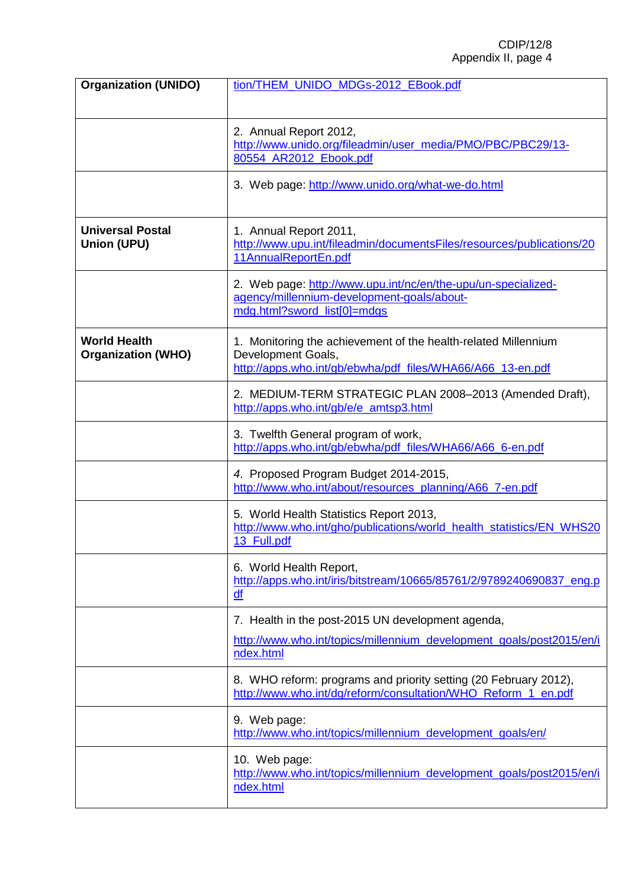| <b>Organization (UNIDO)</b>                      | tion/THEM_UNIDO_MDGs-2012_EBook.pdf                                                                                                                |
|--------------------------------------------------|----------------------------------------------------------------------------------------------------------------------------------------------------|
|                                                  | 2. Annual Report 2012,<br>http://www.unido.org/fileadmin/user_media/PMO/PBC/PBC29/13-<br>80554_AR2012_Ebook.pdf                                    |
|                                                  | 3. Web page: http://www.unido.org/what-we-do.html                                                                                                  |
| <b>Universal Postal</b><br><b>Union (UPU)</b>    | 1. Annual Report 2011,<br>http://www.upu.int/fileadmin/documentsFiles/resources/publications/20<br>11AnnualReportEn.pdf                            |
|                                                  | 2. Web page: http://www.upu.int/nc/en/the-upu/un-specialized-<br>agency/millennium-development-goals/about-<br>mdg.html?sword_list[0]=mdgs         |
| <b>World Health</b><br><b>Organization (WHO)</b> | 1. Monitoring the achievement of the health-related Millennium<br>Development Goals,<br>http://apps.who.int/gb/ebwha/pdf_files/WHA66/A66_13-en.pdf |
|                                                  | 2. MEDIUM-TERM STRATEGIC PLAN 2008-2013 (Amended Draft),<br>http://apps.who.int/gb/e/e_amtsp3.html                                                 |
|                                                  | 3. Twelfth General program of work,<br>http://apps.who.int/gb/ebwha/pdf_files/WHA66/A66_6-en.pdf                                                   |
|                                                  | 4. Proposed Program Budget 2014-2015,<br>http://www.who.int/about/resources_planning/A66_7-en.pdf                                                  |
|                                                  | 5. World Health Statistics Report 2013,<br>http://www.who.int/gho/publications/world health statistics/EN WHS20<br>13_Full.pdf                     |
|                                                  | 6. World Health Report,<br>http://apps.who.int/iris/bitstream/10665/85761/2/9789240690837_eng.p<br>df                                              |
|                                                  | 7. Health in the post-2015 UN development agenda,                                                                                                  |
|                                                  | http://www.who.int/topics/millennium_development_goals/post2015/en/i<br>ndex.html                                                                  |
|                                                  | 8. WHO reform: programs and priority setting (20 February 2012),<br>http://www.who.int/dg/reform/consultation/WHO Reform 1 en.pdf                  |
|                                                  | 9. Web page:<br>http://www.who.int/topics/millennium_development_goals/en/                                                                         |
|                                                  | 10. Web page:<br>http://www.who.int/topics/millennium_development_goals/post2015/en/i<br>ndex.html                                                 |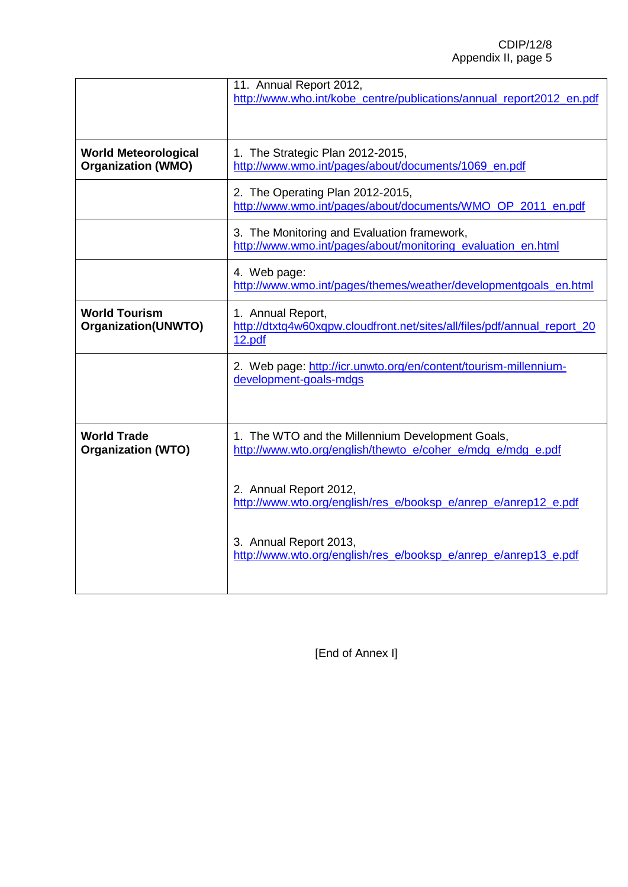|                                                          | 11. Annual Report 2012,<br>http://www.who.int/kobe_centre/publications/annual_report2012_en.pdf                 |  |
|----------------------------------------------------------|-----------------------------------------------------------------------------------------------------------------|--|
| <b>World Meteorological</b><br><b>Organization (WMO)</b> | 1. The Strategic Plan 2012-2015,<br>http://www.wmo.int/pages/about/documents/1069_en.pdf                        |  |
|                                                          | 2. The Operating Plan 2012-2015,<br>http://www.wmo.int/pages/about/documents/WMO_OP_2011_en.pdf                 |  |
|                                                          | 3. The Monitoring and Evaluation framework,<br>http://www.wmo.int/pages/about/monitoring evaluation en.html     |  |
|                                                          | 4. Web page:<br>http://www.wmo.int/pages/themes/weather/developmentgoals_en.html                                |  |
| <b>World Tourism</b><br><b>Organization(UNWTO)</b>       | 1. Annual Report,<br>http://dtxtq4w60xqpw.cloudfront.net/sites/all/files/pdf/annual_report_20<br>12.pdf         |  |
|                                                          | 2. Web page: http://icr.unwto.org/en/content/tourism-millennium-<br>development-goals-mdgs                      |  |
| <b>World Trade</b><br><b>Organization (WTO)</b>          | 1. The WTO and the Millennium Development Goals,<br>http://www.wto.org/english/thewto_e/coher_e/mdg_e/mdg_e.pdf |  |
|                                                          | 2. Annual Report 2012,<br>http://www.wto.org/english/res e/booksp e/anrep e/anrep12 e.pdf                       |  |
|                                                          | 3. Annual Report 2013,<br>http://www.wto.org/english/res_e/booksp_e/anrep_e/anrep13_e.pdf                       |  |

[End of Annex I]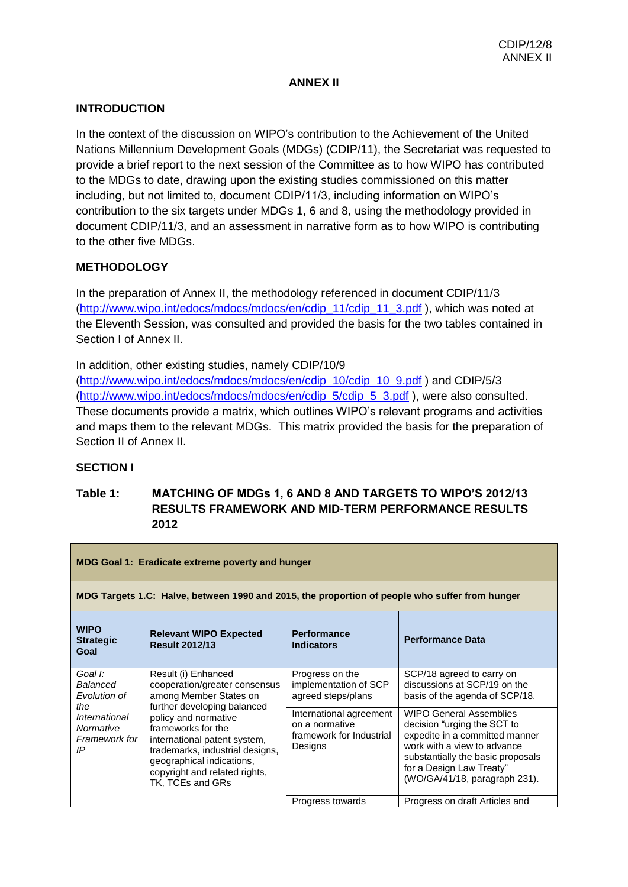### **ANNEX II**

## **INTRODUCTION**

In the context of the discussion on WIPO's contribution to the Achievement of the United Nations Millennium Development Goals (MDGs) (CDIP/11), the Secretariat was requested to provide a brief report to the next session of the Committee as to how WIPO has contributed to the MDGs to date, drawing upon the existing studies commissioned on this matter including, but not limited to, document CDIP/11/3, including information on WIPO's contribution to the six targets under MDGs 1, 6 and 8, using the methodology provided in document CDIP/11/3, and an assessment in narrative form as to how WIPO is contributing to the other five MDGs.

## **METHODOLOGY**

In the preparation of Annex II, the methodology referenced in document CDIP/11/3 [\(http://www.wipo.int/edocs/mdocs/mdocs/en/cdip\\_11/cdip\\_11\\_3.pdf](http://www.wipo.int/edocs/mdocs/mdocs/en/cdip_11/cdip_11_3.pdf) ), which was noted at the Eleventh Session, was consulted and provided the basis for the two tables contained in Section I of Annex II.

In addition, other existing studies, namely CDIP/10/9 [\(http://www.wipo.int/edocs/mdocs/mdocs/en/cdip\\_10/cdip\\_10\\_9.pdf](http://www.wipo.int/edocs/mdocs/mdocs/en/cdip_10/cdip_10_9.pdf) ) and CDIP/5/3 [\(http://www.wipo.int/edocs/mdocs/mdocs/en/cdip\\_5/cdip\\_5\\_3.pdf](http://www.wipo.int/edocs/mdocs/mdocs/en/cdip_5/cdip_5_3.pdf) ), were also consulted. These documents provide a matrix, which outlines WIPO's relevant programs and activities and maps them to the relevant MDGs. This matrix provided the basis for the preparation of Section II of Annex II.

### **SECTION I**

## **Table 1: MATCHING OF MDGs 1, 6 AND 8 AND TARGETS TO WIPO'S 2012/13 RESULTS FRAMEWORK AND MID-TERM PERFORMANCE RESULTS 2012**

| <b>MDG Goal 1: Eradicate extreme poverty and hunger</b>                                                               |                                                                                                                                                                                                                                |                                                                                             |                                                                                                                                                                                                                                  |
|-----------------------------------------------------------------------------------------------------------------------|--------------------------------------------------------------------------------------------------------------------------------------------------------------------------------------------------------------------------------|---------------------------------------------------------------------------------------------|----------------------------------------------------------------------------------------------------------------------------------------------------------------------------------------------------------------------------------|
|                                                                                                                       | MDG Targets 1.C: Halve, between 1990 and 2015, the proportion of people who suffer from hunger                                                                                                                                 |                                                                                             |                                                                                                                                                                                                                                  |
| <b>WIPO</b><br><b>Strategic</b><br>Goal                                                                               | <b>Relevant WIPO Expected</b><br><b>Result 2012/13</b>                                                                                                                                                                         | <b>Performance</b><br><b>Indicators</b>                                                     | <b>Performance Data</b>                                                                                                                                                                                                          |
| Goal I:<br>Result (i) Enhanced<br>Balanced<br>cooperation/greater consensus<br>among Member States on<br>Evolution of | Progress on the<br>implementation of SCP<br>agreed steps/plans                                                                                                                                                                 | SCP/18 agreed to carry on<br>discussions at SCP/19 on the<br>basis of the agenda of SCP/18. |                                                                                                                                                                                                                                  |
| the<br>International<br>Normative<br>Framework for<br>IP                                                              | further developing balanced<br>policy and normative<br>frameworks for the<br>international patent system,<br>trademarks, industrial designs,<br>geographical indications,<br>copyright and related rights,<br>TK, TCEs and GRs | International agreement<br>on a normative<br>framework for Industrial<br>Designs            | <b>WIPO General Assemblies</b><br>decision "urging the SCT to<br>expedite in a committed manner<br>work with a view to advance<br>substantially the basic proposals<br>for a Design Law Treaty"<br>(WO/GA/41/18, paragraph 231). |
|                                                                                                                       |                                                                                                                                                                                                                                | Progress towards                                                                            | Progress on draft Articles and                                                                                                                                                                                                   |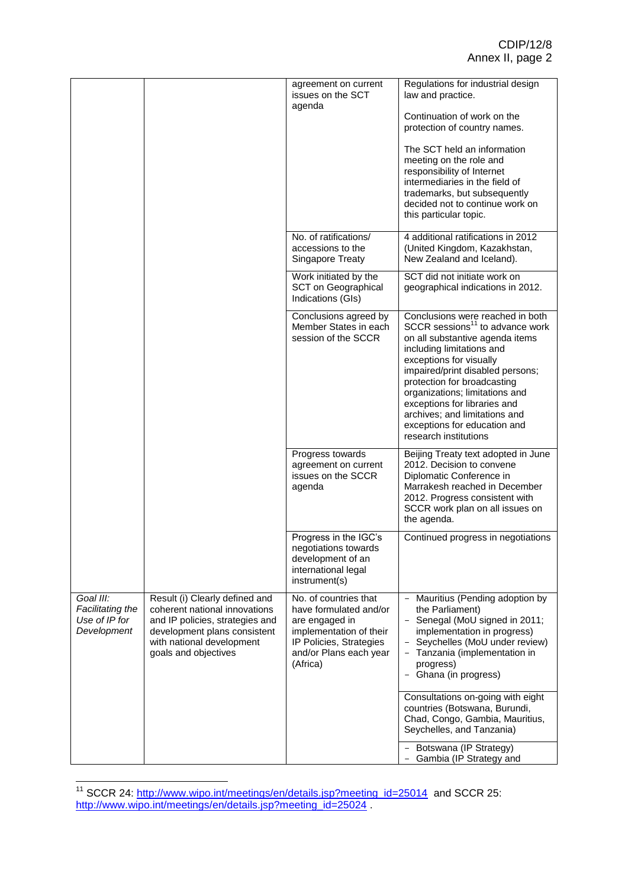|                                                               |                                                                                                                                                                                         | agreement on current<br>issues on the SCT<br>agenda                                                                                                           | Regulations for industrial design<br>law and practice.                                                                                                                                                                                                                                                                                                                                                    |
|---------------------------------------------------------------|-----------------------------------------------------------------------------------------------------------------------------------------------------------------------------------------|---------------------------------------------------------------------------------------------------------------------------------------------------------------|-----------------------------------------------------------------------------------------------------------------------------------------------------------------------------------------------------------------------------------------------------------------------------------------------------------------------------------------------------------------------------------------------------------|
|                                                               |                                                                                                                                                                                         |                                                                                                                                                               | Continuation of work on the<br>protection of country names.                                                                                                                                                                                                                                                                                                                                               |
|                                                               |                                                                                                                                                                                         |                                                                                                                                                               | The SCT held an information<br>meeting on the role and<br>responsibility of Internet<br>intermediaries in the field of<br>trademarks, but subsequently                                                                                                                                                                                                                                                    |
|                                                               |                                                                                                                                                                                         |                                                                                                                                                               | decided not to continue work on<br>this particular topic.                                                                                                                                                                                                                                                                                                                                                 |
|                                                               |                                                                                                                                                                                         | No. of ratifications/<br>accessions to the<br><b>Singapore Treaty</b>                                                                                         | 4 additional ratifications in 2012<br>(United Kingdom, Kazakhstan,<br>New Zealand and Iceland).                                                                                                                                                                                                                                                                                                           |
|                                                               |                                                                                                                                                                                         | Work initiated by the<br>SCT on Geographical<br>Indications (GIs)                                                                                             | SCT did not initiate work on<br>geographical indications in 2012.                                                                                                                                                                                                                                                                                                                                         |
|                                                               |                                                                                                                                                                                         | Conclusions agreed by<br>Member States in each<br>session of the SCCR                                                                                         | Conclusions were reached in both<br>SCCR sessions <sup>11</sup> to advance work<br>on all substantive agenda items<br>including limitations and<br>exceptions for visually<br>impaired/print disabled persons;<br>protection for broadcasting<br>organizations; limitations and<br>exceptions for libraries and<br>archives; and limitations and<br>exceptions for education and<br>research institutions |
|                                                               |                                                                                                                                                                                         | Progress towards<br>agreement on current<br>issues on the SCCR<br>agenda                                                                                      | Beijing Treaty text adopted in June<br>2012. Decision to convene<br>Diplomatic Conference in<br>Marrakesh reached in December<br>2012. Progress consistent with<br>SCCR work plan on all issues on<br>the agenda.                                                                                                                                                                                         |
|                                                               |                                                                                                                                                                                         | Progress in the IGC's<br>negotiations towards<br>development of an<br>international legal<br>instrument(s)                                                    | Continued progress in negotiations                                                                                                                                                                                                                                                                                                                                                                        |
| Goal III:<br>Facilitating the<br>Use of IP for<br>Development | Result (i) Clearly defined and<br>coherent national innovations<br>and IP policies, strategies and<br>development plans consistent<br>with national development<br>goals and objectives | No. of countries that<br>have formulated and/or<br>are engaged in<br>implementation of their<br>IP Policies, Strategies<br>and/or Plans each year<br>(Africa) | Mauritius (Pending adoption by<br>$\overline{\phantom{a}}$<br>the Parliament)<br>- Senegal (MoU signed in 2011;<br>implementation in progress)<br>Seychelles (MoU under review)<br>Tanzania (implementation in<br>progress)<br>- Ghana (in progress)                                                                                                                                                      |
|                                                               |                                                                                                                                                                                         |                                                                                                                                                               | Consultations on-going with eight<br>countries (Botswana, Burundi,<br>Chad, Congo, Gambia, Mauritius,<br>Seychelles, and Tanzania)                                                                                                                                                                                                                                                                        |
|                                                               |                                                                                                                                                                                         |                                                                                                                                                               | Botswana (IP Strategy)<br>Gambia (IP Strategy and                                                                                                                                                                                                                                                                                                                                                         |

 $\overline{\phantom{a}}$ <sup>11</sup> SCCR 24: [http://www.wipo.int/meetings/en/details.jsp?meeting\\_id=25014](http://www.wipo.int/meetings/en/details.jsp?meeting_id=25014) and SCCR 25: [http://www.wipo.int/meetings/en/details.jsp?meeting\\_id=25024](http://www.wipo.int/meetings/en/details.jsp?meeting_id=25024).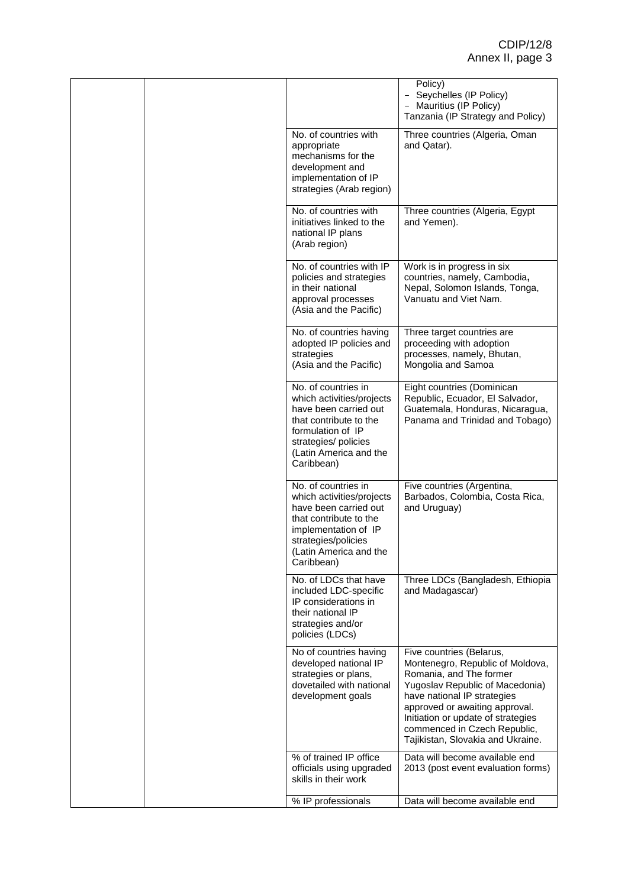|  |                                                                                                                                                                                            | Policy)<br>Seychelles (IP Policy)<br>$\qquad \qquad -$<br>Mauritius (IP Policy)<br>Tanzania (IP Strategy and Policy)                                                                                                                                                                                   |
|--|--------------------------------------------------------------------------------------------------------------------------------------------------------------------------------------------|--------------------------------------------------------------------------------------------------------------------------------------------------------------------------------------------------------------------------------------------------------------------------------------------------------|
|  | No. of countries with<br>appropriate<br>mechanisms for the<br>development and<br>implementation of IP<br>strategies (Arab region)                                                          | Three countries (Algeria, Oman<br>and Qatar).                                                                                                                                                                                                                                                          |
|  | No. of countries with<br>initiatives linked to the<br>national IP plans<br>(Arab region)                                                                                                   | Three countries (Algeria, Egypt<br>and Yemen).                                                                                                                                                                                                                                                         |
|  | No. of countries with IP<br>policies and strategies<br>in their national<br>approval processes<br>(Asia and the Pacific)                                                                   | Work is in progress in six<br>countries, namely, Cambodia,<br>Nepal, Solomon Islands, Tonga,<br>Vanuatu and Viet Nam.                                                                                                                                                                                  |
|  | No. of countries having<br>adopted IP policies and<br>strategies<br>(Asia and the Pacific)                                                                                                 | Three target countries are<br>proceeding with adoption<br>processes, namely, Bhutan,<br>Mongolia and Samoa                                                                                                                                                                                             |
|  | No. of countries in<br>which activities/projects<br>have been carried out<br>that contribute to the<br>formulation of IP<br>strategies/ policies<br>(Latin America and the<br>Caribbean)   | Eight countries (Dominican<br>Republic, Ecuador, El Salvador,<br>Guatemala, Honduras, Nicaragua,<br>Panama and Trinidad and Tobago)                                                                                                                                                                    |
|  | No. of countries in<br>which activities/projects<br>have been carried out<br>that contribute to the<br>implementation of IP<br>strategies/policies<br>(Latin America and the<br>Caribbean) | Five countries (Argentina,<br>Barbados, Colombia, Costa Rica,<br>and Uruguay)                                                                                                                                                                                                                          |
|  | No. of LDCs that have<br>included LDC-specific<br>IP considerations in<br>their national IP<br>strategies and/or<br>policies (LDCs)                                                        | Three LDCs (Bangladesh, Ethiopia<br>and Madagascar)                                                                                                                                                                                                                                                    |
|  | No of countries having<br>developed national IP<br>strategies or plans,<br>dovetailed with national<br>development goals                                                                   | Five countries (Belarus,<br>Montenegro, Republic of Moldova,<br>Romania, and The former<br>Yugoslav Republic of Macedonia)<br>have national IP strategies<br>approved or awaiting approval.<br>Initiation or update of strategies<br>commenced in Czech Republic,<br>Tajikistan, Slovakia and Ukraine. |
|  | % of trained IP office<br>officials using upgraded<br>skills in their work                                                                                                                 | Data will become available end<br>2013 (post event evaluation forms)                                                                                                                                                                                                                                   |
|  | % IP professionals                                                                                                                                                                         | Data will become available end                                                                                                                                                                                                                                                                         |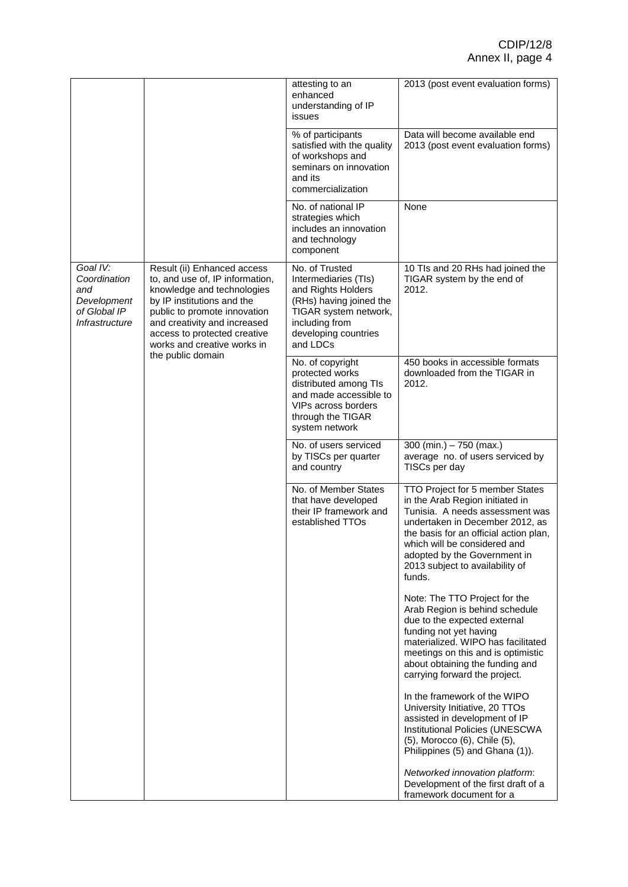|                                                                                                       |                                                                                                                                                                                                                                                           | attesting to an<br>enhanced<br>understanding of IP<br>issues                                                                                                           | 2013 (post event evaluation forms)                                                                                                                                                                                                                                                              |
|-------------------------------------------------------------------------------------------------------|-----------------------------------------------------------------------------------------------------------------------------------------------------------------------------------------------------------------------------------------------------------|------------------------------------------------------------------------------------------------------------------------------------------------------------------------|-------------------------------------------------------------------------------------------------------------------------------------------------------------------------------------------------------------------------------------------------------------------------------------------------|
|                                                                                                       |                                                                                                                                                                                                                                                           | % of participants<br>satisfied with the quality<br>of workshops and<br>seminars on innovation<br>and its<br>commercialization                                          | Data will become available end<br>2013 (post event evaluation forms)                                                                                                                                                                                                                            |
|                                                                                                       |                                                                                                                                                                                                                                                           | No. of national IP<br>strategies which<br>includes an innovation<br>and technology<br>component                                                                        | None                                                                                                                                                                                                                                                                                            |
| Goal IV:<br>Coordination<br>and<br>Development<br>of Global IP<br>Infrastructure<br>the public domain | Result (ii) Enhanced access<br>to, and use of, IP information,<br>knowledge and technologies<br>by IP institutions and the<br>public to promote innovation<br>and creativity and increased<br>access to protected creative<br>works and creative works in | No. of Trusted<br>Intermediaries (TIs)<br>and Rights Holders<br>(RHs) having joined the<br>TIGAR system network,<br>including from<br>developing countries<br>and LDCs | 10 Tls and 20 RHs had joined the<br>TIGAR system by the end of<br>2012.                                                                                                                                                                                                                         |
|                                                                                                       |                                                                                                                                                                                                                                                           | No. of copyright<br>protected works<br>distributed among TIs<br>and made accessible to<br>VIPs across borders<br>through the TIGAR<br>system network                   | 450 books in accessible formats<br>downloaded from the TIGAR in<br>2012.                                                                                                                                                                                                                        |
|                                                                                                       |                                                                                                                                                                                                                                                           | No. of users serviced<br>by TISCs per quarter<br>and country                                                                                                           | 300 (min.) $- 750$ (max.)<br>average no. of users serviced by<br>TISCs per day                                                                                                                                                                                                                  |
|                                                                                                       |                                                                                                                                                                                                                                                           | No. of Member States<br>that have developed<br>their IP framework and<br>established TTOs                                                                              | TTO Project for 5 member States<br>in the Arab Region initiated in<br>Tunisia. A needs assessment was<br>undertaken in December 2012, as<br>the basis for an official action plan,<br>which will be considered and<br>adopted by the Government in<br>2013 subject to availability of<br>funds. |
|                                                                                                       |                                                                                                                                                                                                                                                           |                                                                                                                                                                        | Note: The TTO Project for the<br>Arab Region is behind schedule<br>due to the expected external<br>funding not yet having<br>materialized. WIPO has facilitated<br>meetings on this and is optimistic<br>about obtaining the funding and<br>carrying forward the project.                       |
|                                                                                                       |                                                                                                                                                                                                                                                           |                                                                                                                                                                        | In the framework of the WIPO<br>University Initiative, 20 TTOs<br>assisted in development of IP<br>Institutional Policies (UNESCWA<br>(5), Morocco (6), Chile (5),<br>Philippines (5) and Ghana (1)).                                                                                           |
|                                                                                                       |                                                                                                                                                                                                                                                           |                                                                                                                                                                        | Networked innovation platform:<br>Development of the first draft of a<br>framework document for a                                                                                                                                                                                               |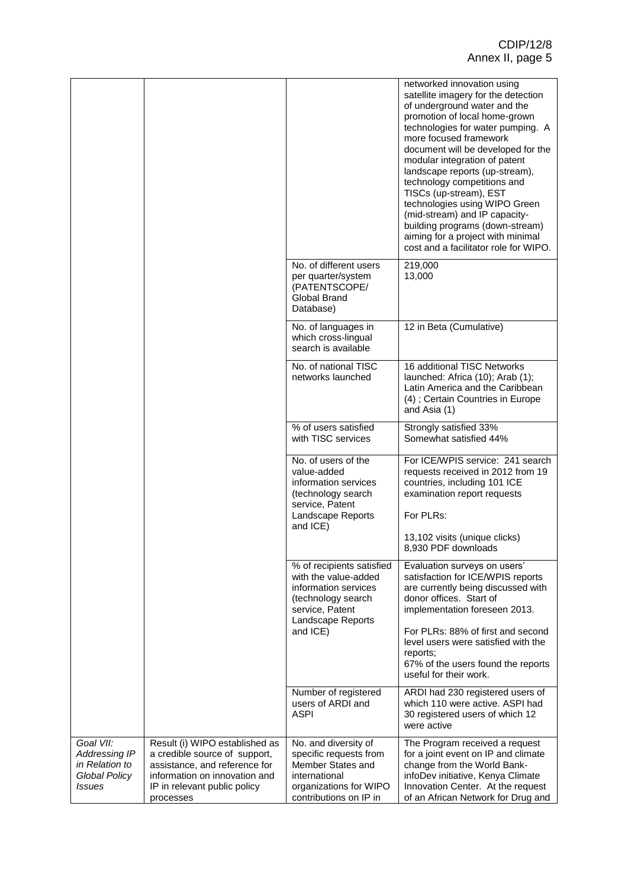|                                                                                       |                                                                                                                                                                                |                                                                                                                                                     | networked innovation using<br>satellite imagery for the detection<br>of underground water and the<br>promotion of local home-grown<br>technologies for water pumping. A<br>more focused framework<br>document will be developed for the<br>modular integration of patent<br>landscape reports (up-stream),<br>technology competitions and<br>TISCs (up-stream), EST<br>technologies using WIPO Green<br>(mid-stream) and IP capacity-<br>building programs (down-stream)<br>aiming for a project with minimal<br>cost and a facilitator role for WIPO. |
|---------------------------------------------------------------------------------------|--------------------------------------------------------------------------------------------------------------------------------------------------------------------------------|-----------------------------------------------------------------------------------------------------------------------------------------------------|--------------------------------------------------------------------------------------------------------------------------------------------------------------------------------------------------------------------------------------------------------------------------------------------------------------------------------------------------------------------------------------------------------------------------------------------------------------------------------------------------------------------------------------------------------|
|                                                                                       |                                                                                                                                                                                | No. of different users<br>per quarter/system<br>(PATENTSCOPE/<br>Global Brand<br>Database)                                                          | 219,000<br>13,000                                                                                                                                                                                                                                                                                                                                                                                                                                                                                                                                      |
|                                                                                       |                                                                                                                                                                                | No. of languages in<br>which cross-lingual<br>search is available                                                                                   | 12 in Beta (Cumulative)                                                                                                                                                                                                                                                                                                                                                                                                                                                                                                                                |
|                                                                                       |                                                                                                                                                                                | No. of national TISC<br>networks launched                                                                                                           | 16 additional TISC Networks<br>launched: Africa (10); Arab (1);<br>Latin America and the Caribbean<br>(4); Certain Countries in Europe<br>and Asia (1)                                                                                                                                                                                                                                                                                                                                                                                                 |
|                                                                                       |                                                                                                                                                                                | % of users satisfied<br>with TISC services                                                                                                          | Strongly satisfied 33%<br>Somewhat satisfied 44%                                                                                                                                                                                                                                                                                                                                                                                                                                                                                                       |
|                                                                                       |                                                                                                                                                                                | No. of users of the<br>value-added<br>information services<br>(technology search<br>service, Patent<br>Landscape Reports<br>and ICE)                | For ICE/WPIS service: 241 search<br>requests received in 2012 from 19<br>countries, including 101 ICE<br>examination report requests<br>For PLRs:<br>13,102 visits (unique clicks)<br>8,930 PDF downloads                                                                                                                                                                                                                                                                                                                                              |
|                                                                                       |                                                                                                                                                                                | % of recipients satisfied<br>with the value-added<br>information services<br>(technology search<br>service, Patent<br>Landscape Reports<br>and ICE) | Evaluation surveys on users'<br>satisfaction for ICE/WPIS reports<br>are currently being discussed with<br>donor offices. Start of<br>implementation foreseen 2013.<br>For PLRs: 88% of first and second<br>level users were satisfied with the<br>reports;<br>67% of the users found the reports<br>useful for their work.                                                                                                                                                                                                                            |
|                                                                                       |                                                                                                                                                                                | Number of registered<br>users of ARDI and<br><b>ASPI</b>                                                                                            | ARDI had 230 registered users of<br>which 110 were active. ASPI had<br>30 registered users of which 12<br>were active                                                                                                                                                                                                                                                                                                                                                                                                                                  |
| Goal VII:<br>Addressing IP<br>in Relation to<br><b>Global Policy</b><br><i>Issues</i> | Result (i) WIPO established as<br>a credible source of support,<br>assistance, and reference for<br>information on innovation and<br>IP in relevant public policy<br>processes | No. and diversity of<br>specific requests from<br>Member States and<br>international<br>organizations for WIPO<br>contributions on IP in            | The Program received a request<br>for a joint event on IP and climate<br>change from the World Bank-<br>infoDev initiative, Kenya Climate<br>Innovation Center. At the request<br>of an African Network for Drug and                                                                                                                                                                                                                                                                                                                                   |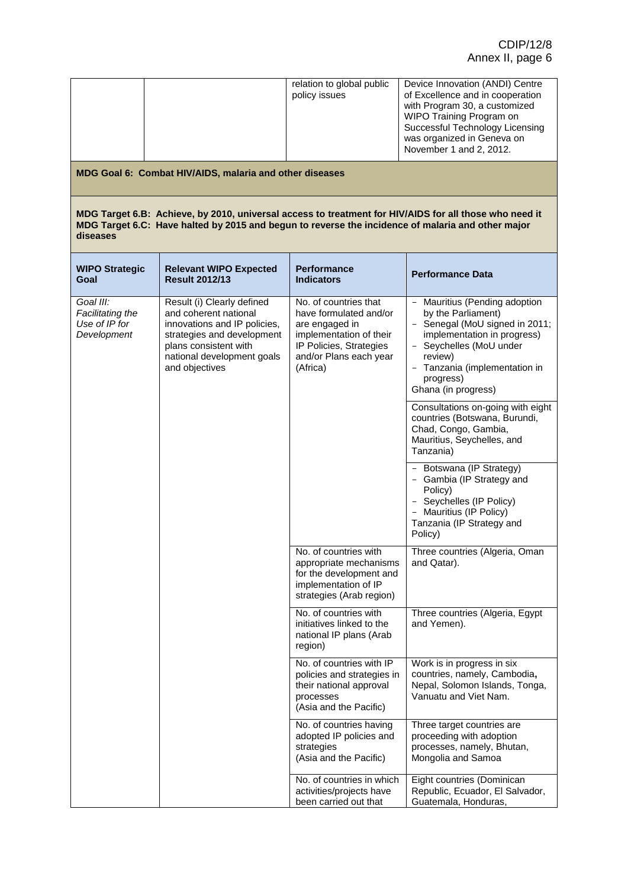|                                                               |                                                                                                                                                                                            | relation to global public<br>policy issues                                                                                                                    | Device Innovation (ANDI) Centre<br>of Excellence and in cooperation<br>with Program 30, a customized<br>WIPO Training Program on<br>Successful Technology Licensing<br>was organized in Geneva on<br>November 1 and 2, 2012.    |
|---------------------------------------------------------------|--------------------------------------------------------------------------------------------------------------------------------------------------------------------------------------------|---------------------------------------------------------------------------------------------------------------------------------------------------------------|---------------------------------------------------------------------------------------------------------------------------------------------------------------------------------------------------------------------------------|
|                                                               | MDG Goal 6: Combat HIV/AIDS, malaria and other diseases                                                                                                                                    |                                                                                                                                                               |                                                                                                                                                                                                                                 |
| diseases                                                      | MDG Target 6.C: Have halted by 2015 and begun to reverse the incidence of malaria and other major                                                                                          |                                                                                                                                                               | MDG Target 6.B: Achieve, by 2010, universal access to treatment for HIV/AIDS for all those who need it                                                                                                                          |
| <b>WIPO Strategic</b><br>Goal                                 | <b>Relevant WIPO Expected</b><br><b>Result 2012/13</b>                                                                                                                                     | <b>Performance</b><br><b>Indicators</b>                                                                                                                       | <b>Performance Data</b>                                                                                                                                                                                                         |
| Goal III:<br>Facilitating the<br>Use of IP for<br>Development | Result (i) Clearly defined<br>and coherent national<br>innovations and IP policies,<br>strategies and development<br>plans consistent with<br>national development goals<br>and objectives | No. of countries that<br>have formulated and/or<br>are engaged in<br>implementation of their<br>IP Policies, Strategies<br>and/or Plans each year<br>(Africa) | - Mauritius (Pending adoption<br>by the Parliament)<br>- Senegal (MoU signed in 2011;<br>implementation in progress)<br>- Seychelles (MoU under<br>review)<br>- Tanzania (implementation in<br>progress)<br>Ghana (in progress) |
|                                                               |                                                                                                                                                                                            |                                                                                                                                                               | Consultations on-going with eight<br>countries (Botswana, Burundi,<br>Chad, Congo, Gambia,<br>Mauritius, Seychelles, and<br>Tanzania)                                                                                           |
|                                                               |                                                                                                                                                                                            |                                                                                                                                                               | - Botswana (IP Strategy)<br>- Gambia (IP Strategy and<br>Policy)<br>- Seychelles (IP Policy)<br>- Mauritius (IP Policy)<br>Tanzania (IP Strategy and<br>Policy)                                                                 |
|                                                               |                                                                                                                                                                                            | No. of countries with<br>appropriate mechanisms<br>for the development and<br>implementation of IP<br>strategies (Arab region)                                | Three countries (Algeria, Oman<br>and Qatar).                                                                                                                                                                                   |
|                                                               |                                                                                                                                                                                            | No. of countries with<br>initiatives linked to the<br>national IP plans (Arab<br>region)                                                                      | Three countries (Algeria, Egypt<br>and Yemen).                                                                                                                                                                                  |
|                                                               |                                                                                                                                                                                            | No. of countries with IP<br>policies and strategies in<br>their national approval<br>processes<br>(Asia and the Pacific)                                      | Work is in progress in six<br>countries, namely, Cambodia,<br>Nepal, Solomon Islands, Tonga,<br>Vanuatu and Viet Nam.                                                                                                           |
|                                                               |                                                                                                                                                                                            | No. of countries having<br>adopted IP policies and<br>strategies<br>(Asia and the Pacific)                                                                    | Three target countries are<br>proceeding with adoption<br>processes, namely, Bhutan,<br>Mongolia and Samoa                                                                                                                      |
|                                                               |                                                                                                                                                                                            | No. of countries in which<br>activities/projects have<br>been carried out that                                                                                | Eight countries (Dominican<br>Republic, Ecuador, El Salvador,<br>Guatemala, Honduras,                                                                                                                                           |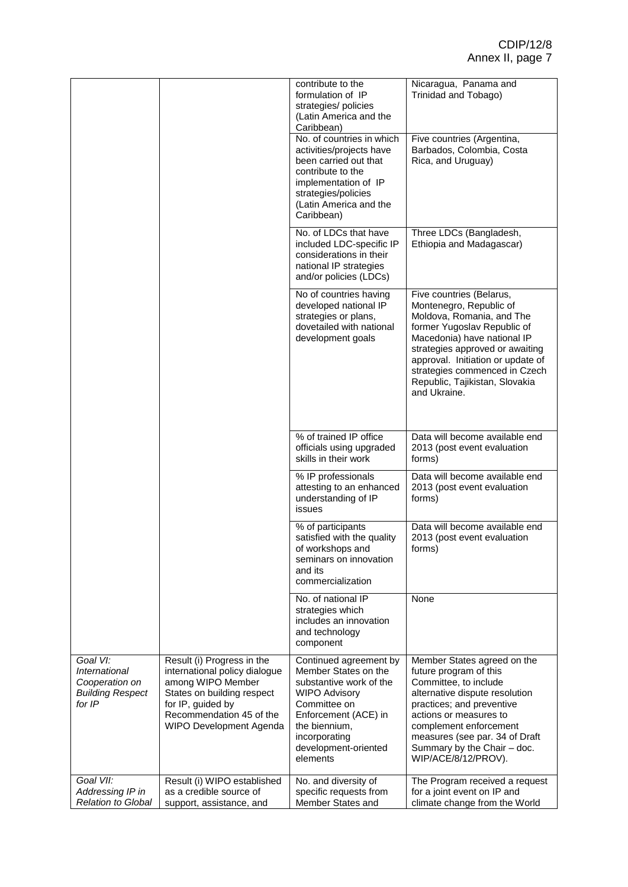|                                                                                  |                                                                                                                                                                                            | contribute to the<br>formulation of IP<br>strategies/ policies<br>(Latin America and the<br>Caribbean)                                                                                                          | Nicaragua, Panama and<br>Trinidad and Tobago)                                                                                                                                                                                                                                                             |
|----------------------------------------------------------------------------------|--------------------------------------------------------------------------------------------------------------------------------------------------------------------------------------------|-----------------------------------------------------------------------------------------------------------------------------------------------------------------------------------------------------------------|-----------------------------------------------------------------------------------------------------------------------------------------------------------------------------------------------------------------------------------------------------------------------------------------------------------|
|                                                                                  |                                                                                                                                                                                            | No. of countries in which<br>activities/projects have<br>been carried out that<br>contribute to the<br>implementation of IP<br>strategies/policies<br>(Latin America and the<br>Caribbean)                      | Five countries (Argentina,<br>Barbados, Colombia, Costa<br>Rica, and Uruguay)                                                                                                                                                                                                                             |
|                                                                                  |                                                                                                                                                                                            | No. of LDCs that have<br>included LDC-specific IP<br>considerations in their<br>national IP strategies<br>and/or policies (LDCs)                                                                                | Three LDCs (Bangladesh,<br>Ethiopia and Madagascar)                                                                                                                                                                                                                                                       |
|                                                                                  |                                                                                                                                                                                            | No of countries having<br>developed national IP<br>strategies or plans,<br>dovetailed with national<br>development goals                                                                                        | Five countries (Belarus,<br>Montenegro, Republic of<br>Moldova, Romania, and The<br>former Yugoslav Republic of<br>Macedonia) have national IP<br>strategies approved or awaiting<br>approval. Initiation or update of<br>strategies commenced in Czech<br>Republic, Tajikistan, Slovakia<br>and Ukraine. |
|                                                                                  |                                                                                                                                                                                            | % of trained IP office<br>officials using upgraded<br>skills in their work                                                                                                                                      | Data will become available end<br>2013 (post event evaluation<br>forms)                                                                                                                                                                                                                                   |
|                                                                                  |                                                                                                                                                                                            | % IP professionals<br>attesting to an enhanced<br>understanding of IP<br>issues                                                                                                                                 | Data will become available end<br>2013 (post event evaluation<br>forms)                                                                                                                                                                                                                                   |
|                                                                                  |                                                                                                                                                                                            | % of participants<br>satisfied with the quality<br>of workshops and<br>seminars on innovation<br>and its<br>commercialization                                                                                   | Data will become available end<br>2013 (post event evaluation<br>forms)                                                                                                                                                                                                                                   |
|                                                                                  |                                                                                                                                                                                            | No. of national IP<br>strategies which<br>includes an innovation<br>and technology<br>component                                                                                                                 | None                                                                                                                                                                                                                                                                                                      |
| Goal VI:<br>International<br>Cooperation on<br><b>Building Respect</b><br>for IP | Result (i) Progress in the<br>international policy dialogue<br>among WIPO Member<br>States on building respect<br>for IP, guided by<br>Recommendation 45 of the<br>WIPO Development Agenda | Continued agreement by<br>Member States on the<br>substantive work of the<br><b>WIPO Advisory</b><br>Committee on<br>Enforcement (ACE) in<br>the biennium,<br>incorporating<br>development-oriented<br>elements | Member States agreed on the<br>future program of this<br>Committee, to include<br>alternative dispute resolution<br>practices; and preventive<br>actions or measures to<br>complement enforcement<br>measures (see par. 34 of Draft<br>Summary by the Chair - doc.<br>WIP/ACE/8/12/PROV).                 |
| Goal VII:<br>Addressing IP in<br><b>Relation to Global</b>                       | Result (i) WIPO established<br>as a credible source of<br>support, assistance, and                                                                                                         | No. and diversity of<br>specific requests from<br>Member States and                                                                                                                                             | The Program received a request<br>for a joint event on IP and<br>climate change from the World                                                                                                                                                                                                            |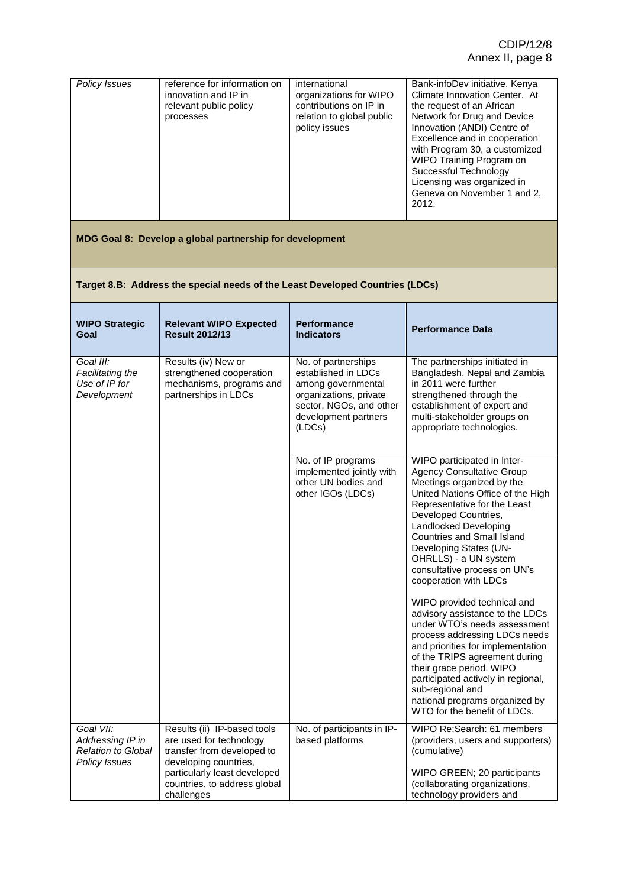### **Target 8.B: Address the special needs of the Least Developed Countries (LDCs)**

| <b>WIPO Strategic</b><br>Goal                                                      | <b>Relevant WIPO Expected</b><br><b>Result 2012/13</b>                                                        | <b>Performance</b><br><b>Indicators</b>                                                                                                                 | <b>Performance Data</b>                                                                                                                                                                                                                                                                                                                                                                                                                                                                                                                                                                                                                                                                                                       |
|------------------------------------------------------------------------------------|---------------------------------------------------------------------------------------------------------------|---------------------------------------------------------------------------------------------------------------------------------------------------------|-------------------------------------------------------------------------------------------------------------------------------------------------------------------------------------------------------------------------------------------------------------------------------------------------------------------------------------------------------------------------------------------------------------------------------------------------------------------------------------------------------------------------------------------------------------------------------------------------------------------------------------------------------------------------------------------------------------------------------|
| Goal III:<br>Facilitating the<br>Use of IP for<br>Development                      | Results (iv) New or<br>strengthened cooperation<br>mechanisms, programs and<br>partnerships in LDCs           | No. of partnerships<br>established in LDCs<br>among governmental<br>organizations, private<br>sector, NGOs, and other<br>development partners<br>(LDCs) | The partnerships initiated in<br>Bangladesh, Nepal and Zambia<br>in 2011 were further<br>strengthened through the<br>establishment of expert and<br>multi-stakeholder groups on<br>appropriate technologies.                                                                                                                                                                                                                                                                                                                                                                                                                                                                                                                  |
|                                                                                    |                                                                                                               | No. of IP programs<br>implemented jointly with<br>other UN bodies and<br>other IGOs (LDCs)                                                              | WIPO participated in Inter-<br><b>Agency Consultative Group</b><br>Meetings organized by the<br>United Nations Office of the High<br>Representative for the Least<br>Developed Countries,<br>Landlocked Developing<br>Countries and Small Island<br>Developing States (UN-<br>OHRLLS) - a UN system<br>consultative process on UN's<br>cooperation with LDCs<br>WIPO provided technical and<br>advisory assistance to the LDCs<br>under WTO's needs assessment<br>process addressing LDCs needs<br>and priorities for implementation<br>of the TRIPS agreement during<br>their grace period. WIPO<br>participated actively in regional,<br>sub-regional and<br>national programs organized by<br>WTO for the benefit of LDCs. |
| Goal VII:<br>Addressing IP in<br><b>Relation to Global</b><br><b>Policy Issues</b> | Results (ii) IP-based tools<br>are used for technology<br>transfer from developed to<br>developing countries, | No. of participants in IP-<br>based platforms                                                                                                           | WIPO Re:Search: 61 members<br>(providers, users and supporters)<br>(cumulative)                                                                                                                                                                                                                                                                                                                                                                                                                                                                                                                                                                                                                                               |
|                                                                                    | particularly least developed<br>countries, to address global<br>challenges                                    |                                                                                                                                                         | WIPO GREEN; 20 participants<br>(collaborating organizations,<br>technology providers and                                                                                                                                                                                                                                                                                                                                                                                                                                                                                                                                                                                                                                      |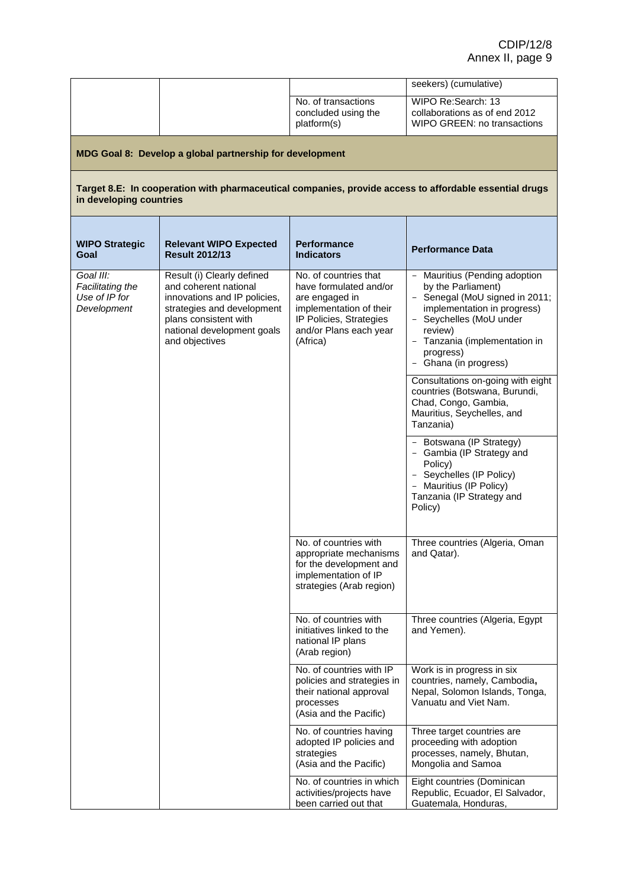|                                                               |                                                                                                                                                                                            |                                                                                                                                                               | seekers) (cumulative)                                                                                                                                                                                                                     |
|---------------------------------------------------------------|--------------------------------------------------------------------------------------------------------------------------------------------------------------------------------------------|---------------------------------------------------------------------------------------------------------------------------------------------------------------|-------------------------------------------------------------------------------------------------------------------------------------------------------------------------------------------------------------------------------------------|
|                                                               |                                                                                                                                                                                            | No. of transactions<br>concluded using the<br>platform(s)                                                                                                     | WIPO Re:Search: 13<br>collaborations as of end 2012<br>WIPO GREEN: no transactions                                                                                                                                                        |
|                                                               | MDG Goal 8: Develop a global partnership for development                                                                                                                                   |                                                                                                                                                               |                                                                                                                                                                                                                                           |
| in developing countries                                       |                                                                                                                                                                                            |                                                                                                                                                               | Target 8.E: In cooperation with pharmaceutical companies, provide access to affordable essential drugs                                                                                                                                    |
| <b>WIPO Strategic</b><br>Goal                                 | <b>Relevant WIPO Expected</b><br><b>Result 2012/13</b>                                                                                                                                     | <b>Performance</b><br><b>Indicators</b>                                                                                                                       | <b>Performance Data</b>                                                                                                                                                                                                                   |
| Goal III:<br>Facilitating the<br>Use of IP for<br>Development | Result (i) Clearly defined<br>and coherent national<br>innovations and IP policies,<br>strategies and development<br>plans consistent with<br>national development goals<br>and objectives | No. of countries that<br>have formulated and/or<br>are engaged in<br>implementation of their<br>IP Policies, Strategies<br>and/or Plans each year<br>(Africa) | - Mauritius (Pending adoption<br>by the Parliament)<br>- Senegal (MoU signed in 2011;<br>implementation in progress)<br>- Seychelles (MoU under<br>review)<br>- Tanzania (implementation in<br>progress)<br>Ghana (in progress)<br>$\sim$ |
|                                                               |                                                                                                                                                                                            |                                                                                                                                                               | Consultations on-going with eight<br>countries (Botswana, Burundi,<br>Chad, Congo, Gambia,<br>Mauritius, Seychelles, and<br>Tanzania)                                                                                                     |
|                                                               |                                                                                                                                                                                            |                                                                                                                                                               | - Botswana (IP Strategy)<br>- Gambia (IP Strategy and<br>Policy)<br>- Seychelles (IP Policy)<br>Mauritius (IP Policy)<br>Tanzania (IP Strategy and<br>Policy)                                                                             |
|                                                               |                                                                                                                                                                                            | No. of countries with<br>appropriate mechanisms<br>for the development and<br>implementation of IP<br>strategies (Arab region)                                | Three countries (Algeria, Oman<br>and Qatar).                                                                                                                                                                                             |
|                                                               |                                                                                                                                                                                            | No. of countries with<br>initiatives linked to the<br>national IP plans<br>(Arab region)                                                                      | Three countries (Algeria, Egypt<br>and Yemen).                                                                                                                                                                                            |
|                                                               |                                                                                                                                                                                            | No. of countries with IP<br>policies and strategies in<br>their national approval<br>processes<br>(Asia and the Pacific)                                      | Work is in progress in six<br>countries, namely, Cambodia,<br>Nepal, Solomon Islands, Tonga,<br>Vanuatu and Viet Nam.                                                                                                                     |
|                                                               |                                                                                                                                                                                            | No. of countries having<br>adopted IP policies and<br>strategies<br>(Asia and the Pacific)                                                                    | Three target countries are<br>proceeding with adoption<br>processes, namely, Bhutan,<br>Mongolia and Samoa                                                                                                                                |
|                                                               |                                                                                                                                                                                            | No. of countries in which<br>activities/projects have<br>been carried out that                                                                                | Eight countries (Dominican<br>Republic, Ecuador, El Salvador,<br>Guatemala, Honduras,                                                                                                                                                     |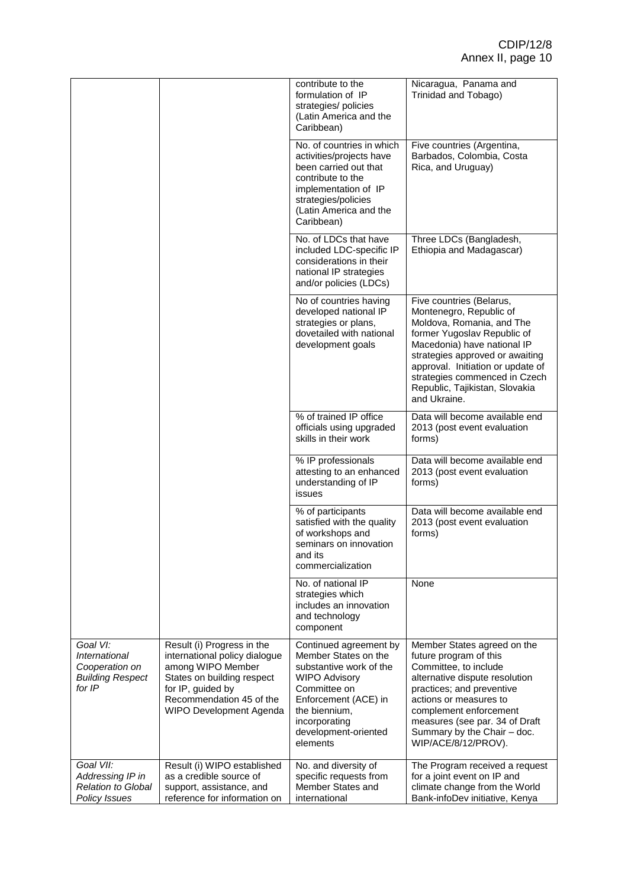|                                                                                  |                                                                                                                                                                                            | contribute to the<br>formulation of IP<br>strategies/ policies<br>(Latin America and the<br>Caribbean)                                                                                                          | Nicaragua, Panama and<br>Trinidad and Tobago)                                                                                                                                                                                                                                                             |
|----------------------------------------------------------------------------------|--------------------------------------------------------------------------------------------------------------------------------------------------------------------------------------------|-----------------------------------------------------------------------------------------------------------------------------------------------------------------------------------------------------------------|-----------------------------------------------------------------------------------------------------------------------------------------------------------------------------------------------------------------------------------------------------------------------------------------------------------|
|                                                                                  |                                                                                                                                                                                            | No. of countries in which<br>activities/projects have<br>been carried out that<br>contribute to the<br>implementation of IP<br>strategies/policies<br>(Latin America and the<br>Caribbean)                      | Five countries (Argentina,<br>Barbados, Colombia, Costa<br>Rica, and Uruguay)                                                                                                                                                                                                                             |
|                                                                                  |                                                                                                                                                                                            | No. of LDCs that have<br>included LDC-specific IP<br>considerations in their<br>national IP strategies<br>and/or policies (LDCs)                                                                                | Three LDCs (Bangladesh,<br>Ethiopia and Madagascar)                                                                                                                                                                                                                                                       |
|                                                                                  |                                                                                                                                                                                            | No of countries having<br>developed national IP<br>strategies or plans,<br>dovetailed with national<br>development goals                                                                                        | Five countries (Belarus,<br>Montenegro, Republic of<br>Moldova, Romania, and The<br>former Yugoslav Republic of<br>Macedonia) have national IP<br>strategies approved or awaiting<br>approval. Initiation or update of<br>strategies commenced in Czech<br>Republic, Tajikistan, Slovakia<br>and Ukraine. |
|                                                                                  |                                                                                                                                                                                            | % of trained IP office<br>officials using upgraded<br>skills in their work                                                                                                                                      | Data will become available end<br>2013 (post event evaluation<br>forms)                                                                                                                                                                                                                                   |
|                                                                                  |                                                                                                                                                                                            | % IP professionals<br>attesting to an enhanced<br>understanding of IP<br>issues                                                                                                                                 | Data will become available end<br>2013 (post event evaluation<br>forms)                                                                                                                                                                                                                                   |
|                                                                                  |                                                                                                                                                                                            | % of participants<br>satisfied with the quality<br>of workshops and<br>seminars on innovation<br>and its<br>commercialization                                                                                   | Data will become available end<br>2013 (post event evaluation<br>forms)                                                                                                                                                                                                                                   |
|                                                                                  |                                                                                                                                                                                            | No. of national IP<br>strategies which<br>includes an innovation<br>and technology<br>component                                                                                                                 | None                                                                                                                                                                                                                                                                                                      |
| Goal VI:<br>International<br>Cooperation on<br><b>Building Respect</b><br>for IP | Result (i) Progress in the<br>international policy dialogue<br>among WIPO Member<br>States on building respect<br>for IP, guided by<br>Recommendation 45 of the<br>WIPO Development Agenda | Continued agreement by<br>Member States on the<br>substantive work of the<br><b>WIPO Advisory</b><br>Committee on<br>Enforcement (ACE) in<br>the biennium,<br>incorporating<br>development-oriented<br>elements | Member States agreed on the<br>future program of this<br>Committee, to include<br>alternative dispute resolution<br>practices; and preventive<br>actions or measures to<br>complement enforcement<br>measures (see par. 34 of Draft<br>Summary by the Chair - doc.<br>WIP/ACE/8/12/PROV).                 |
| Goal VII:<br>Addressing IP in                                                    | Result (i) WIPO established<br>as a credible source of                                                                                                                                     | No. and diversity of<br>specific requests from                                                                                                                                                                  | The Program received a request<br>for a joint event on IP and                                                                                                                                                                                                                                             |
| <b>Relation to Global</b><br>Policy Issues                                       | support, assistance, and<br>reference for information on                                                                                                                                   | Member States and<br>international                                                                                                                                                                              | climate change from the World<br>Bank-infoDev initiative, Kenya                                                                                                                                                                                                                                           |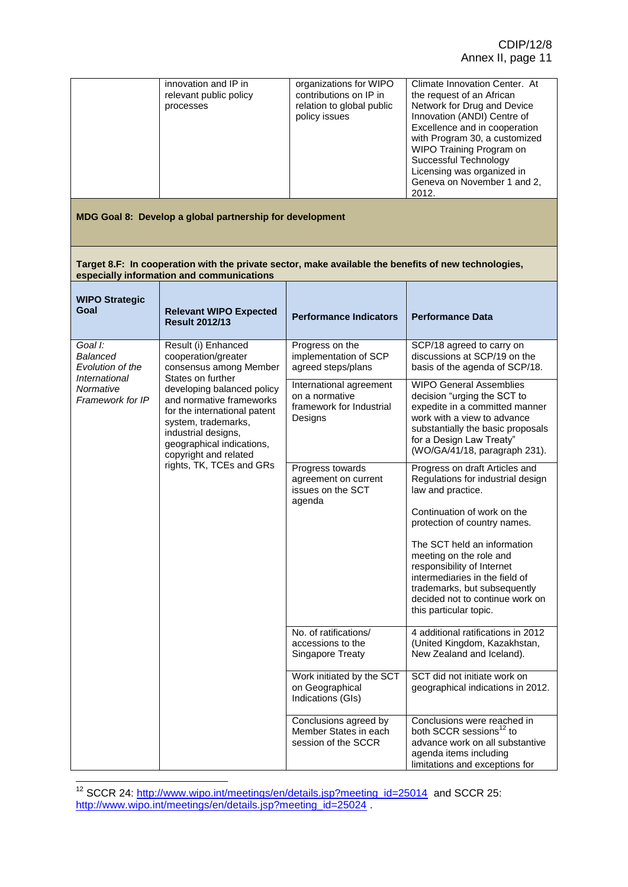| innovation and IP in<br>relevant public policy<br>processes | organizations for WIPO<br>contributions on IP in<br>relation to global public<br>policy issues | Climate Innovation Center. At<br>the request of an African<br>Network for Drug and Device<br>Innovation (ANDI) Centre of<br>Excellence and in cooperation<br>with Program 30, a customized<br>WIPO Training Program on<br>Successful Technology<br>Licensing was organized in<br>Geneva on November 1 and 2,<br>2012. |
|-------------------------------------------------------------|------------------------------------------------------------------------------------------------|-----------------------------------------------------------------------------------------------------------------------------------------------------------------------------------------------------------------------------------------------------------------------------------------------------------------------|
|-------------------------------------------------------------|------------------------------------------------------------------------------------------------|-----------------------------------------------------------------------------------------------------------------------------------------------------------------------------------------------------------------------------------------------------------------------------------------------------------------------|

#### **Target 8.F: In cooperation with the private sector, make available the benefits of new technologies, especially information and communications**

| <b>WIPO Strategic</b><br>Goal                                          | <b>Relevant WIPO Expected</b><br><b>Result 2012/13</b>                                                                                                                                                                                                                                  | <b>Performance Indicators</b>                                                                                                                                                                                       | <b>Performance Data</b>                                                                                                                                                                                                          |
|------------------------------------------------------------------------|-----------------------------------------------------------------------------------------------------------------------------------------------------------------------------------------------------------------------------------------------------------------------------------------|---------------------------------------------------------------------------------------------------------------------------------------------------------------------------------------------------------------------|----------------------------------------------------------------------------------------------------------------------------------------------------------------------------------------------------------------------------------|
| Goal I:<br>Balanced<br>Evolution of the<br><i><b>International</b></i> | Result (i) Enhanced<br>cooperation/greater<br>consensus among Member<br>States on further<br>developing balanced policy<br>and normative frameworks<br>for the international patent<br>system, trademarks,<br>industrial designs,<br>geographical indications,<br>copyright and related | Progress on the<br>implementation of SCP<br>agreed steps/plans                                                                                                                                                      | SCP/18 agreed to carry on<br>discussions at SCP/19 on the<br>basis of the agenda of SCP/18.                                                                                                                                      |
| Normative<br>Framework for IP                                          |                                                                                                                                                                                                                                                                                         | International agreement<br>on a normative<br>framework for Industrial<br>Designs                                                                                                                                    | <b>WIPO General Assemblies</b><br>decision "urging the SCT to<br>expedite in a committed manner<br>work with a view to advance<br>substantially the basic proposals<br>for a Design Law Treaty"<br>(WO/GA/41/18, paragraph 231). |
|                                                                        | rights, TK, TCEs and GRs                                                                                                                                                                                                                                                                | Progress towards<br>agreement on current<br>issues on the SCT<br>agenda                                                                                                                                             | Progress on draft Articles and<br>Regulations for industrial design<br>law and practice.                                                                                                                                         |
|                                                                        |                                                                                                                                                                                                                                                                                         |                                                                                                                                                                                                                     | Continuation of work on the<br>protection of country names.                                                                                                                                                                      |
|                                                                        |                                                                                                                                                                                                                                                                                         | The SCT held an information<br>meeting on the role and<br>responsibility of Internet<br>intermediaries in the field of<br>trademarks, but subsequently<br>decided not to continue work on<br>this particular topic. |                                                                                                                                                                                                                                  |
|                                                                        |                                                                                                                                                                                                                                                                                         | No. of ratifications/<br>accessions to the<br>Singapore Treaty                                                                                                                                                      | 4 additional ratifications in 2012<br>(United Kingdom, Kazakhstan,<br>New Zealand and Iceland).                                                                                                                                  |
|                                                                        |                                                                                                                                                                                                                                                                                         | Work initiated by the SCT<br>on Geographical<br>Indications (GIs)                                                                                                                                                   | SCT did not initiate work on<br>geographical indications in 2012.                                                                                                                                                                |
|                                                                        |                                                                                                                                                                                                                                                                                         | Conclusions agreed by<br>Member States in each<br>session of the SCCR                                                                                                                                               | Conclusions were reached in<br>both SCCR sessions <sup>12</sup> to<br>advance work on all substantive<br>agenda items including<br>limitations and exceptions for                                                                |

<sup>&</sup>lt;sup>12</sup> SCCR 24: [http://www.wipo.int/meetings/en/details.jsp?meeting\\_id=25014](http://www.wipo.int/meetings/en/details.jsp?meeting_id=25014) and SCCR 25: [http://www.wipo.int/meetings/en/details.jsp?meeting\\_id=25024](http://www.wipo.int/meetings/en/details.jsp?meeting_id=25024).

 $\overline{\phantom{a}}$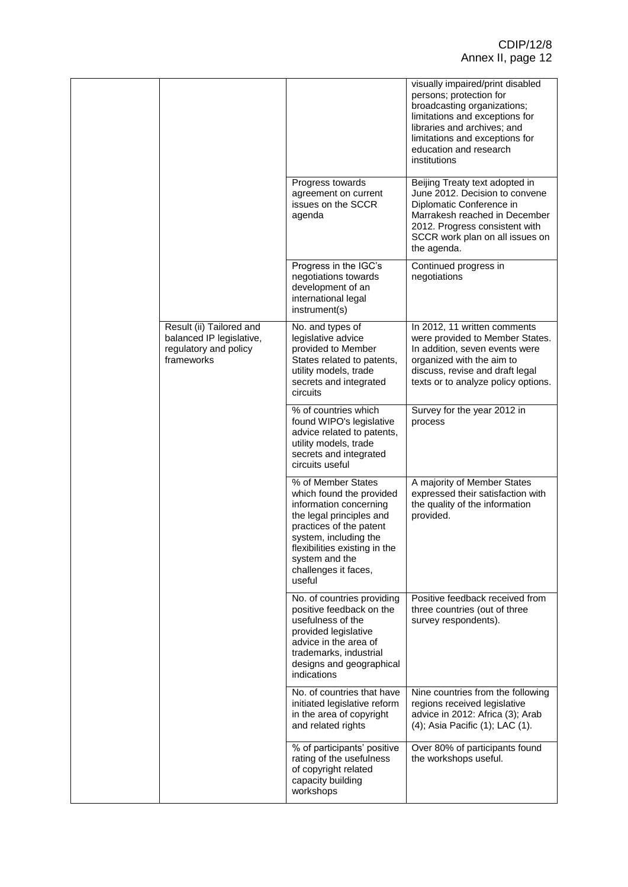|                                                                                             |                                                                                                                                                                                                                                               | visually impaired/print disabled<br>persons; protection for<br>broadcasting organizations;<br>limitations and exceptions for<br>libraries and archives; and<br>limitations and exceptions for<br>education and research<br>institutions |
|---------------------------------------------------------------------------------------------|-----------------------------------------------------------------------------------------------------------------------------------------------------------------------------------------------------------------------------------------------|-----------------------------------------------------------------------------------------------------------------------------------------------------------------------------------------------------------------------------------------|
|                                                                                             | Progress towards<br>agreement on current<br>issues on the SCCR<br>agenda                                                                                                                                                                      | Beijing Treaty text adopted in<br>June 2012. Decision to convene<br>Diplomatic Conference in<br>Marrakesh reached in December<br>2012. Progress consistent with<br>SCCR work plan on all issues on<br>the agenda.                       |
|                                                                                             | Progress in the IGC's<br>negotiations towards<br>development of an<br>international legal<br>instrument(s)                                                                                                                                    | Continued progress in<br>negotiations                                                                                                                                                                                                   |
| Result (ii) Tailored and<br>balanced IP legislative,<br>regulatory and policy<br>frameworks | No. and types of<br>legislative advice<br>provided to Member<br>States related to patents,<br>utility models, trade<br>secrets and integrated<br>circuits                                                                                     | In 2012, 11 written comments<br>were provided to Member States.<br>In addition, seven events were<br>organized with the aim to<br>discuss, revise and draft legal<br>texts or to analyze policy options.                                |
|                                                                                             | % of countries which<br>found WIPO's legislative<br>advice related to patents,<br>utility models, trade<br>secrets and integrated<br>circuits useful                                                                                          | Survey for the year 2012 in<br>process                                                                                                                                                                                                  |
|                                                                                             | % of Member States<br>which found the provided<br>information concerning<br>the legal principles and<br>practices of the patent<br>system, including the<br>flexibilities existing in the<br>system and the<br>challenges it faces,<br>useful | A majority of Member States<br>expressed their satisfaction with<br>the quality of the information<br>provided.                                                                                                                         |
|                                                                                             | No. of countries providing<br>positive feedback on the<br>usefulness of the<br>provided legislative<br>advice in the area of<br>trademarks, industrial<br>designs and geographical<br>indications                                             | Positive feedback received from<br>three countries (out of three<br>survey respondents).                                                                                                                                                |
|                                                                                             | No. of countries that have<br>initiated legislative reform<br>in the area of copyright<br>and related rights                                                                                                                                  | Nine countries from the following<br>regions received legislative<br>advice in 2012: Africa (3); Arab<br>(4); Asia Pacific (1); LAC (1).                                                                                                |
|                                                                                             | % of participants' positive<br>rating of the usefulness<br>of copyright related<br>capacity building<br>workshops                                                                                                                             | Over 80% of participants found<br>the workshops useful.                                                                                                                                                                                 |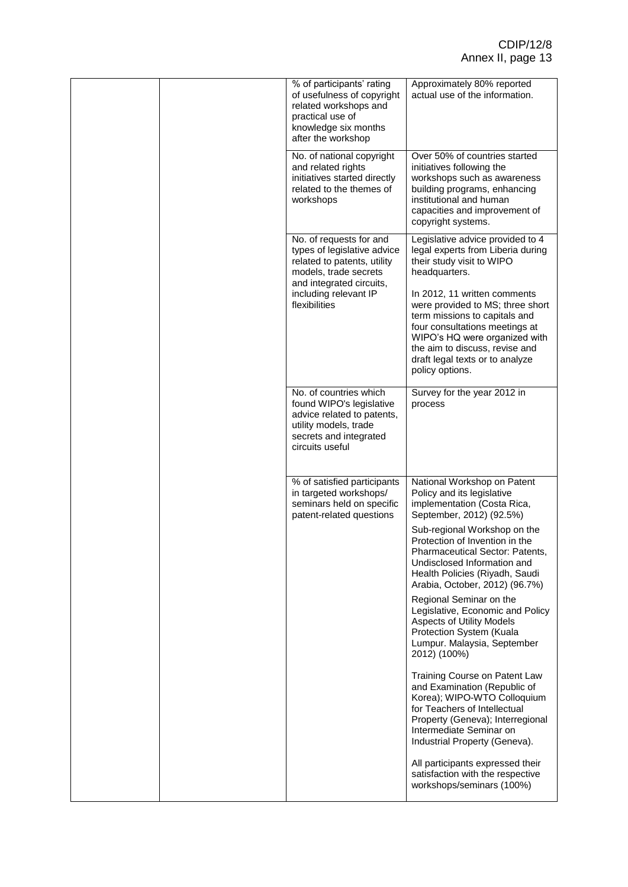|  | % of participants' rating<br>of usefulness of copyright<br>related workshops and<br>practical use of<br>knowledge six months<br>after the workshop     | Approximately 80% reported<br>actual use of the information.                                                                                                                                                                                                 |
|--|--------------------------------------------------------------------------------------------------------------------------------------------------------|--------------------------------------------------------------------------------------------------------------------------------------------------------------------------------------------------------------------------------------------------------------|
|  | No. of national copyright<br>and related rights<br>initiatives started directly<br>related to the themes of<br>workshops                               | Over 50% of countries started<br>initiatives following the<br>workshops such as awareness<br>building programs, enhancing<br>institutional and human<br>capacities and improvement of<br>copyright systems.                                                  |
|  | No. of requests for and<br>types of legislative advice<br>related to patents, utility<br>models, trade secrets<br>and integrated circuits,             | Legislative advice provided to 4<br>legal experts from Liberia during<br>their study visit to WIPO<br>headquarters.                                                                                                                                          |
|  | including relevant IP<br>flexibilities                                                                                                                 | In 2012, 11 written comments<br>were provided to MS; three short<br>term missions to capitals and<br>four consultations meetings at<br>WIPO's HQ were organized with<br>the aim to discuss, revise and<br>draft legal texts or to analyze<br>policy options. |
|  | No. of countries which<br>found WIPO's legislative<br>advice related to patents,<br>utility models, trade<br>secrets and integrated<br>circuits useful | Survey for the year 2012 in<br>process                                                                                                                                                                                                                       |
|  | % of satisfied participants<br>in targeted workshops/<br>seminars held on specific<br>patent-related questions                                         | National Workshop on Patent<br>Policy and its legislative<br>implementation (Costa Rica,<br>September, 2012) (92.5%)                                                                                                                                         |
|  |                                                                                                                                                        | Sub-regional Workshop on the<br>Protection of Invention in the<br>Pharmaceutical Sector: Patents,<br>Undisclosed Information and<br>Health Policies (Riyadh, Saudi<br>Arabia, October, 2012) (96.7%)                                                         |
|  |                                                                                                                                                        | Regional Seminar on the<br>Legislative, Economic and Policy<br><b>Aspects of Utility Models</b><br>Protection System (Kuala<br>Lumpur. Malaysia, September<br>2012) (100%)                                                                                   |
|  |                                                                                                                                                        | Training Course on Patent Law<br>and Examination (Republic of<br>Korea); WIPO-WTO Colloquium<br>for Teachers of Intellectual<br>Property (Geneva); Interregional<br>Intermediate Seminar on<br>Industrial Property (Geneva).                                 |
|  |                                                                                                                                                        | All participants expressed their<br>satisfaction with the respective<br>workshops/seminars (100%)                                                                                                                                                            |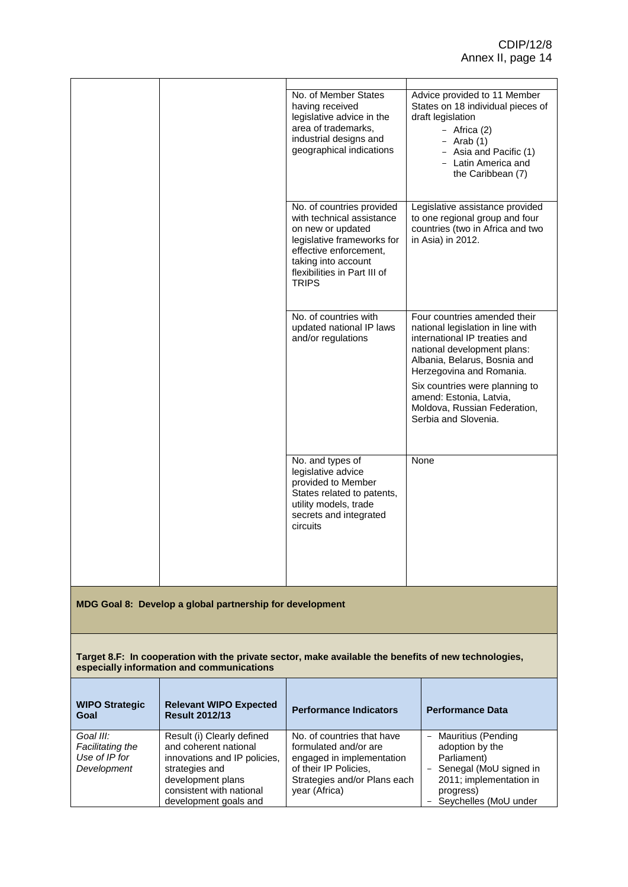|                                                          |  | No. of Member States<br>having received<br>legislative advice in the<br>area of trademarks,<br>industrial designs and<br>geographical indications                                                          | Advice provided to 11 Member<br>States on 18 individual pieces of<br>draft legislation<br>- Africa $(2)$<br>$-$ Arab (1)<br>- Asia and Pacific (1)<br>- Latin America and<br>the Caribbean (7)                                                                                                                     |
|----------------------------------------------------------|--|------------------------------------------------------------------------------------------------------------------------------------------------------------------------------------------------------------|--------------------------------------------------------------------------------------------------------------------------------------------------------------------------------------------------------------------------------------------------------------------------------------------------------------------|
|                                                          |  | No. of countries provided<br>with technical assistance<br>on new or updated<br>legislative frameworks for<br>effective enforcement,<br>taking into account<br>flexibilities in Part III of<br><b>TRIPS</b> | Legislative assistance provided<br>to one regional group and four<br>countries (two in Africa and two<br>in Asia) in 2012.                                                                                                                                                                                         |
|                                                          |  | No. of countries with<br>updated national IP laws<br>and/or regulations                                                                                                                                    | Four countries amended their<br>national legislation in line with<br>international IP treaties and<br>national development plans:<br>Albania, Belarus, Bosnia and<br>Herzegovina and Romania.<br>Six countries were planning to<br>amend: Estonia, Latvia,<br>Moldova, Russian Federation,<br>Serbia and Slovenia. |
|                                                          |  | No. and types of<br>legislative advice<br>provided to Member<br>States related to patents,<br>utility models, trade<br>secrets and integrated<br>circuits                                                  | None                                                                                                                                                                                                                                                                                                               |
| MDG Goal 8: Develop a global partnership for development |  |                                                                                                                                                                                                            |                                                                                                                                                                                                                                                                                                                    |

**Target 8.F: In cooperation with the private sector, make available the benefits of new technologies, especially information and communications**

| <b>WIPO Strategic</b><br>Goal                                 | <b>Relevant WIPO Expected</b><br><b>Result 2012/13</b>                                                                                                                          | <b>Performance Indicators</b>                                                                                                                              | <b>Performance Data</b>                                                                                                                                  |
|---------------------------------------------------------------|---------------------------------------------------------------------------------------------------------------------------------------------------------------------------------|------------------------------------------------------------------------------------------------------------------------------------------------------------|----------------------------------------------------------------------------------------------------------------------------------------------------------|
| Goal III:<br>Facilitating the<br>Use of IP for<br>Development | Result (i) Clearly defined<br>and coherent national<br>innovations and IP policies,<br>strategies and<br>development plans<br>consistent with national<br>development goals and | No. of countries that have<br>formulated and/or are<br>engaged in implementation<br>of their IP Policies.<br>Strategies and/or Plans each<br>year (Africa) | Mauritius (Pending<br>$-$<br>adoption by the<br>Parliament)<br>- Senegal (MoU signed in<br>2011; implementation in<br>progress)<br>Seychelles (MoU under |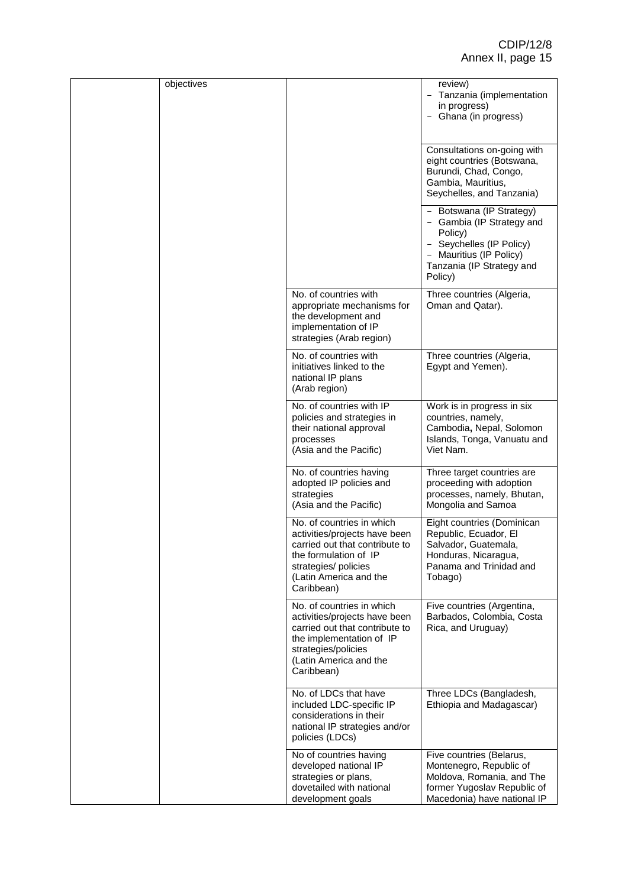| objectives |                                                                                                                                                                                         | review)<br>- Tanzania (implementation<br>in progress)<br>Ghana (in progress)                                                                                    |
|------------|-----------------------------------------------------------------------------------------------------------------------------------------------------------------------------------------|-----------------------------------------------------------------------------------------------------------------------------------------------------------------|
|            |                                                                                                                                                                                         | Consultations on-going with<br>eight countries (Botswana,<br>Burundi, Chad, Congo,<br>Gambia, Mauritius,<br>Seychelles, and Tanzania)                           |
|            |                                                                                                                                                                                         | - Botswana (IP Strategy)<br>- Gambia (IP Strategy and<br>Policy)<br>- Seychelles (IP Policy)<br>- Mauritius (IP Policy)<br>Tanzania (IP Strategy and<br>Policy) |
|            | No. of countries with<br>appropriate mechanisms for<br>the development and<br>implementation of IP<br>strategies (Arab region)                                                          | Three countries (Algeria,<br>Oman and Qatar).                                                                                                                   |
|            | No. of countries with<br>initiatives linked to the<br>national IP plans<br>(Arab region)                                                                                                | Three countries (Algeria,<br>Egypt and Yemen).                                                                                                                  |
|            | No. of countries with IP<br>policies and strategies in<br>their national approval<br>processes<br>(Asia and the Pacific)                                                                | Work is in progress in six<br>countries, namely,<br>Cambodia, Nepal, Solomon<br>Islands, Tonga, Vanuatu and<br>Viet Nam.                                        |
|            | No. of countries having<br>adopted IP policies and<br>strategies<br>(Asia and the Pacific)                                                                                              | Three target countries are<br>proceeding with adoption<br>processes, namely, Bhutan,<br>Mongolia and Samoa                                                      |
|            | No. of countries in which<br>activities/projects have been<br>carried out that contribute to<br>the formulation of IP<br>strategies/ policies<br>(Latin America and the<br>Caribbean)   | Eight countries (Dominican<br>Republic, Ecuador, El<br>Salvador, Guatemala,<br>Honduras, Nicaragua,<br>Panama and Trinidad and<br>Tobago)                       |
|            | No. of countries in which<br>activities/projects have been<br>carried out that contribute to<br>the implementation of IP<br>strategies/policies<br>(Latin America and the<br>Caribbean) | Five countries (Argentina,<br>Barbados, Colombia, Costa<br>Rica, and Uruguay)                                                                                   |
|            | No. of LDCs that have<br>included LDC-specific IP<br>considerations in their<br>national IP strategies and/or<br>policies (LDCs)                                                        | Three LDCs (Bangladesh,<br>Ethiopia and Madagascar)                                                                                                             |
|            | No of countries having<br>developed national IP<br>strategies or plans,<br>dovetailed with national<br>development goals                                                                | Five countries (Belarus,<br>Montenegro, Republic of<br>Moldova, Romania, and The<br>former Yugoslav Republic of<br>Macedonia) have national IP                  |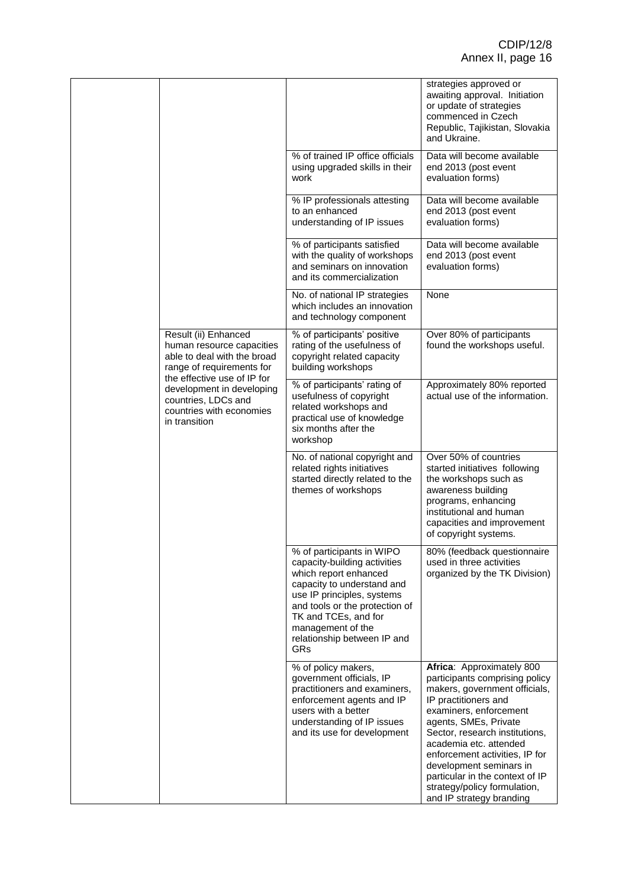|                                                                                                                                              |                                                                                                                                                                                                                                                                     | strategies approved or<br>awaiting approval. Initiation<br>or update of strategies<br>commenced in Czech<br>Republic, Tajikistan, Slovakia<br>and Ukraine.                                                                                                                                                                                                                                      |
|----------------------------------------------------------------------------------------------------------------------------------------------|---------------------------------------------------------------------------------------------------------------------------------------------------------------------------------------------------------------------------------------------------------------------|-------------------------------------------------------------------------------------------------------------------------------------------------------------------------------------------------------------------------------------------------------------------------------------------------------------------------------------------------------------------------------------------------|
|                                                                                                                                              | % of trained IP office officials<br>using upgraded skills in their<br>work                                                                                                                                                                                          | Data will become available<br>end 2013 (post event<br>evaluation forms)                                                                                                                                                                                                                                                                                                                         |
|                                                                                                                                              | % IP professionals attesting<br>to an enhanced<br>understanding of IP issues                                                                                                                                                                                        | Data will become available<br>end 2013 (post event<br>evaluation forms)                                                                                                                                                                                                                                                                                                                         |
|                                                                                                                                              | % of participants satisfied<br>with the quality of workshops<br>and seminars on innovation<br>and its commercialization                                                                                                                                             | Data will become available<br>end 2013 (post event<br>evaluation forms)                                                                                                                                                                                                                                                                                                                         |
|                                                                                                                                              | No. of national IP strategies<br>which includes an innovation<br>and technology component                                                                                                                                                                           | None                                                                                                                                                                                                                                                                                                                                                                                            |
| Result (ii) Enhanced<br>human resource capacities<br>able to deal with the broad<br>range of requirements for<br>the effective use of IP for | % of participants' positive<br>rating of the usefulness of<br>copyright related capacity<br>building workshops                                                                                                                                                      | Over 80% of participants<br>found the workshops useful.                                                                                                                                                                                                                                                                                                                                         |
| development in developing<br>countries, LDCs and<br>countries with economies<br>in transition                                                | % of participants' rating of<br>usefulness of copyright<br>related workshops and<br>practical use of knowledge<br>six months after the<br>workshop                                                                                                                  | Approximately 80% reported<br>actual use of the information.                                                                                                                                                                                                                                                                                                                                    |
|                                                                                                                                              | No. of national copyright and<br>related rights initiatives<br>started directly related to the<br>themes of workshops                                                                                                                                               | Over 50% of countries<br>started initiatives following<br>the workshops such as<br>awareness building<br>programs, enhancing<br>institutional and human<br>capacities and improvement<br>of copyright systems.                                                                                                                                                                                  |
|                                                                                                                                              | % of participants in WIPO<br>capacity-building activities<br>which report enhanced<br>capacity to understand and<br>use IP principles, systems<br>and tools or the protection of<br>TK and TCEs, and for<br>management of the<br>relationship between IP and<br>GRs | 80% (feedback questionnaire<br>used in three activities<br>organized by the TK Division)                                                                                                                                                                                                                                                                                                        |
|                                                                                                                                              | % of policy makers,<br>government officials, IP<br>practitioners and examiners,<br>enforcement agents and IP<br>users with a better<br>understanding of IP issues<br>and its use for development                                                                    | Africa: Approximately 800<br>participants comprising policy<br>makers, government officials,<br>IP practitioners and<br>examiners, enforcement<br>agents, SMEs, Private<br>Sector, research institutions,<br>academia etc. attended<br>enforcement activities, IP for<br>development seminars in<br>particular in the context of IP<br>strategy/policy formulation,<br>and IP strategy branding |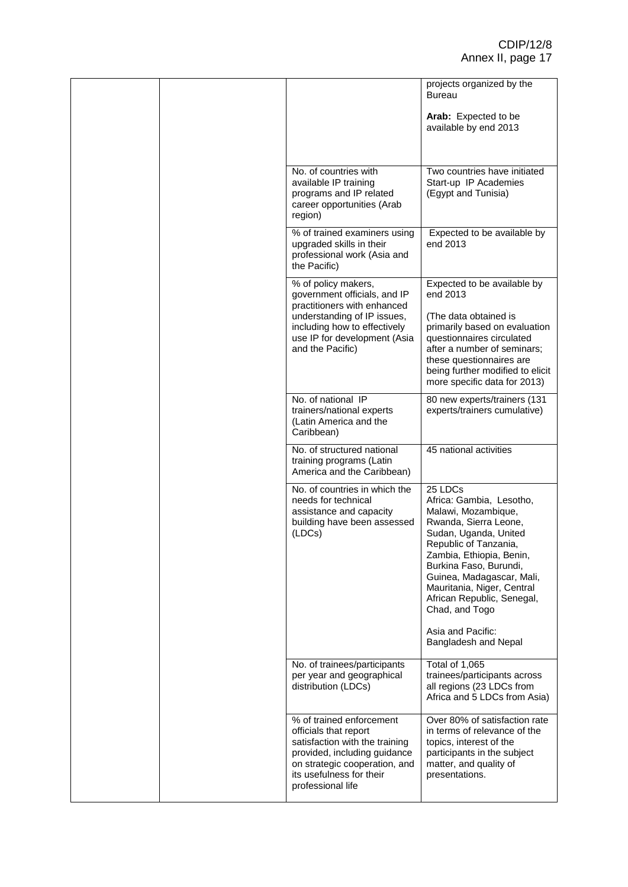|  |                                                                                                                                                                                                       |                                                                                                                                                                                                                                                                                                        | projects organized by the<br><b>Bureau</b><br>Arab: Expected to be                                                                                                  |
|--|-------------------------------------------------------------------------------------------------------------------------------------------------------------------------------------------------------|--------------------------------------------------------------------------------------------------------------------------------------------------------------------------------------------------------------------------------------------------------------------------------------------------------|---------------------------------------------------------------------------------------------------------------------------------------------------------------------|
|  |                                                                                                                                                                                                       |                                                                                                                                                                                                                                                                                                        | available by end 2013                                                                                                                                               |
|  |                                                                                                                                                                                                       | No. of countries with<br>available IP training<br>programs and IP related<br>career opportunities (Arab<br>region)                                                                                                                                                                                     | Two countries have initiated<br>Start-up IP Academies<br>(Egypt and Tunisia)                                                                                        |
|  |                                                                                                                                                                                                       | % of trained examiners using<br>upgraded skills in their<br>professional work (Asia and<br>the Pacific)                                                                                                                                                                                                | Expected to be available by<br>end 2013                                                                                                                             |
|  | % of policy makers,<br>government officials, and IP<br>practitioners with enhanced<br>understanding of IP issues,<br>including how to effectively<br>use IP for development (Asia<br>and the Pacific) | Expected to be available by<br>end 2013<br>(The data obtained is<br>primarily based on evaluation<br>questionnaires circulated<br>after a number of seminars;<br>these questionnaires are<br>being further modified to elicit<br>more specific data for 2013)                                          |                                                                                                                                                                     |
|  |                                                                                                                                                                                                       | No. of national IP<br>trainers/national experts<br>(Latin America and the<br>Caribbean)                                                                                                                                                                                                                | 80 new experts/trainers (131<br>experts/trainers cumulative)                                                                                                        |
|  |                                                                                                                                                                                                       | No. of structured national<br>training programs (Latin<br>America and the Caribbean)                                                                                                                                                                                                                   | 45 national activities                                                                                                                                              |
|  | No. of countries in which the<br>needs for technical<br>assistance and capacity<br>building have been assessed<br>(LDCs)                                                                              | 25 LDCs<br>Africa: Gambia, Lesotho,<br>Malawi, Mozambique,<br>Rwanda, Sierra Leone,<br>Sudan, Uganda, United<br>Republic of Tanzania,<br>Zambia, Ethiopia, Benin,<br>Burkina Faso, Burundi,<br>Guinea, Madagascar, Mali,<br>Mauritania, Niger, Central<br>African Republic, Senegal,<br>Chad, and Togo |                                                                                                                                                                     |
|  |                                                                                                                                                                                                       | Asia and Pacific:<br>Bangladesh and Nepal                                                                                                                                                                                                                                                              |                                                                                                                                                                     |
|  |                                                                                                                                                                                                       | No. of trainees/participants<br>per year and geographical<br>distribution (LDCs)                                                                                                                                                                                                                       | Total of 1,065<br>trainees/participants across<br>all regions (23 LDCs from<br>Africa and 5 LDCs from Asia)                                                         |
|  |                                                                                                                                                                                                       | % of trained enforcement<br>officials that report<br>satisfaction with the training<br>provided, including guidance<br>on strategic cooperation, and<br>its usefulness for their<br>professional life                                                                                                  | Over 80% of satisfaction rate<br>in terms of relevance of the<br>topics, interest of the<br>participants in the subject<br>matter, and quality of<br>presentations. |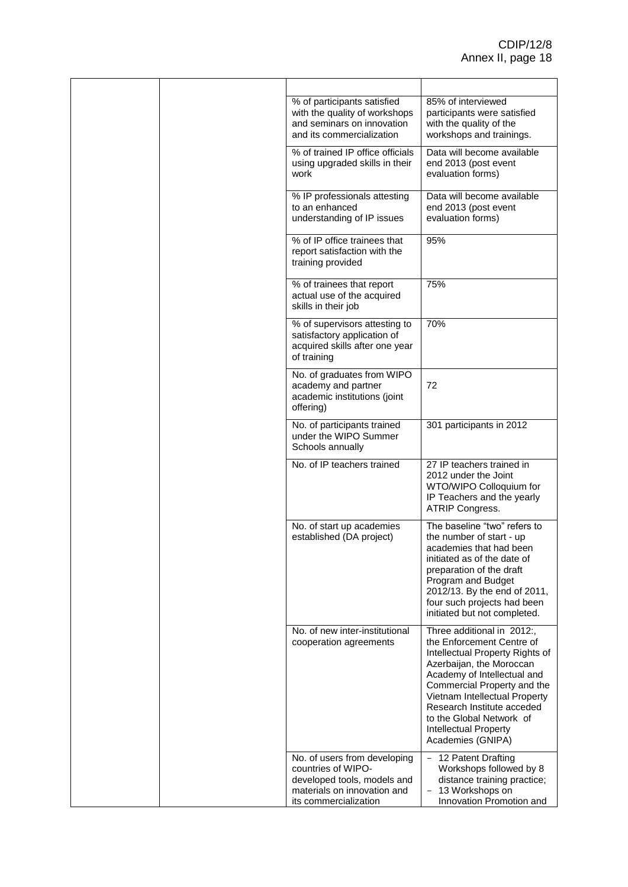|  | % of participants satisfied<br>with the quality of workshops<br>and seminars on innovation<br>and its commercialization                   | 85% of interviewed<br>participants were satisfied<br>with the quality of the<br>workshops and trainings.                                                                                                                                                                                                                             |
|--|-------------------------------------------------------------------------------------------------------------------------------------------|--------------------------------------------------------------------------------------------------------------------------------------------------------------------------------------------------------------------------------------------------------------------------------------------------------------------------------------|
|  | % of trained IP office officials<br>using upgraded skills in their<br>work                                                                | Data will become available<br>end 2013 (post event<br>evaluation forms)                                                                                                                                                                                                                                                              |
|  | % IP professionals attesting<br>to an enhanced<br>understanding of IP issues                                                              | Data will become available<br>end 2013 (post event<br>evaluation forms)                                                                                                                                                                                                                                                              |
|  | % of IP office trainees that<br>report satisfaction with the<br>training provided                                                         | 95%                                                                                                                                                                                                                                                                                                                                  |
|  | % of trainees that report<br>actual use of the acquired<br>skills in their job                                                            | 75%                                                                                                                                                                                                                                                                                                                                  |
|  | % of supervisors attesting to<br>satisfactory application of<br>acquired skills after one year<br>of training                             | 70%                                                                                                                                                                                                                                                                                                                                  |
|  | No. of graduates from WIPO<br>academy and partner<br>academic institutions (joint<br>offering)                                            | 72                                                                                                                                                                                                                                                                                                                                   |
|  | No. of participants trained<br>under the WIPO Summer<br>Schools annually                                                                  | 301 participants in 2012                                                                                                                                                                                                                                                                                                             |
|  | No. of IP teachers trained                                                                                                                | 27 IP teachers trained in<br>2012 under the Joint<br>WTO/WIPO Colloquium for<br>IP Teachers and the yearly<br><b>ATRIP Congress.</b>                                                                                                                                                                                                 |
|  | No. of start up academies<br>established (DA project)                                                                                     | The baseline "two" refers to<br>the number of start - up<br>academies that had been<br>initiated as of the date of<br>preparation of the draft<br>Program and Budget<br>2012/13. By the end of 2011,<br>four such projects had been<br>initiated but not completed.                                                                  |
|  | No. of new inter-institutional<br>cooperation agreements                                                                                  | Three additional in 2012:,<br>the Enforcement Centre of<br>Intellectual Property Rights of<br>Azerbaijan, the Moroccan<br>Academy of Intellectual and<br>Commercial Property and the<br>Vietnam Intellectual Property<br>Research Institute acceded<br>to the Global Network of<br><b>Intellectual Property</b><br>Academies (GNIPA) |
|  | No. of users from developing<br>countries of WIPO-<br>developed tools, models and<br>materials on innovation and<br>its commercialization | - 12 Patent Drafting<br>Workshops followed by 8<br>distance training practice;<br>- 13 Workshops on<br>Innovation Promotion and                                                                                                                                                                                                      |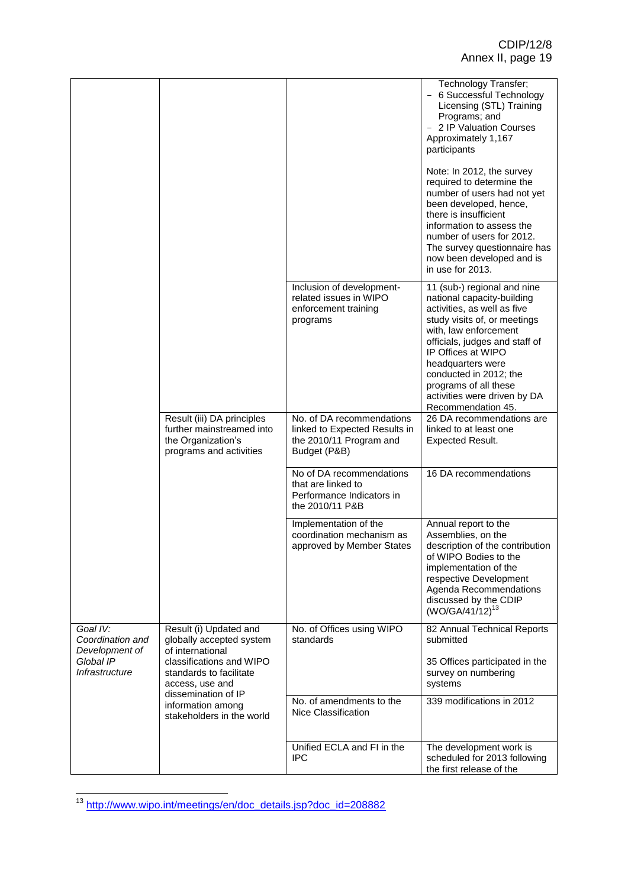|                                                                               |                                                                                                                               |                                                                                                       | Technology Transfer;<br>- 6 Successful Technology<br>Licensing (STL) Training<br>Programs; and<br>2 IP Valuation Courses<br>Approximately 1,167<br>participants<br>Note: In 2012, the survey<br>required to determine the<br>number of users had not yet<br>been developed, hence,<br>there is insufficient                             |
|-------------------------------------------------------------------------------|-------------------------------------------------------------------------------------------------------------------------------|-------------------------------------------------------------------------------------------------------|-----------------------------------------------------------------------------------------------------------------------------------------------------------------------------------------------------------------------------------------------------------------------------------------------------------------------------------------|
|                                                                               |                                                                                                                               |                                                                                                       | information to assess the<br>number of users for 2012.<br>The survey questionnaire has<br>now been developed and is<br>in use for 2013.                                                                                                                                                                                                 |
|                                                                               |                                                                                                                               | Inclusion of development-<br>related issues in WIPO<br>enforcement training<br>programs               | 11 (sub-) regional and nine<br>national capacity-building<br>activities, as well as five<br>study visits of, or meetings<br>with, law enforcement<br>officials, judges and staff of<br>IP Offices at WIPO<br>headquarters were<br>conducted in 2012; the<br>programs of all these<br>activities were driven by DA<br>Recommendation 45. |
|                                                                               | Result (iii) DA principles<br>further mainstreamed into<br>the Organization's<br>programs and activities                      | No. of DA recommendations<br>linked to Expected Results in<br>the 2010/11 Program and<br>Budget (P&B) | 26 DA recommendations are<br>linked to at least one<br><b>Expected Result.</b>                                                                                                                                                                                                                                                          |
|                                                                               |                                                                                                                               | No of DA recommendations<br>that are linked to<br>Performance Indicators in<br>the 2010/11 P&B        | 16 DA recommendations                                                                                                                                                                                                                                                                                                                   |
|                                                                               |                                                                                                                               | Implementation of the<br>coordination mechanism as<br>approved by Member States                       | Annual report to the<br>Assemblies, on the<br>description of the contribution<br>of WIPO Bodies to the<br>implementation of the<br>respective Development<br>Agenda Recommendations<br>discussed by the CDIP<br>(WO/GA/41/12) <sup>13</sup>                                                                                             |
| Goal IV:<br>Coordination and<br>Development of<br>Global IP<br>Infrastructure | Result (i) Updated and<br>globally accepted system<br>of international<br>classifications and WIPO<br>standards to facilitate | No. of Offices using WIPO<br>standards                                                                | 82 Annual Technical Reports<br>submitted<br>35 Offices participated in the<br>survey on numbering                                                                                                                                                                                                                                       |
|                                                                               | access, use and<br>dissemination of IP<br>information among<br>stakeholders in the world                                      | No. of amendments to the<br>Nice Classification                                                       | systems<br>339 modifications in 2012                                                                                                                                                                                                                                                                                                    |
|                                                                               |                                                                                                                               | Unified ECLA and FI in the<br><b>IPC</b>                                                              | The development work is<br>scheduled for 2013 following<br>the first release of the                                                                                                                                                                                                                                                     |

**<sup>.</sup>** <sup>13</sup> [http://www.wipo.int/meetings/en/doc\\_details.jsp?doc\\_id=208882](http://www.wipo.int/meetings/en/doc_details.jsp?doc_id=208882)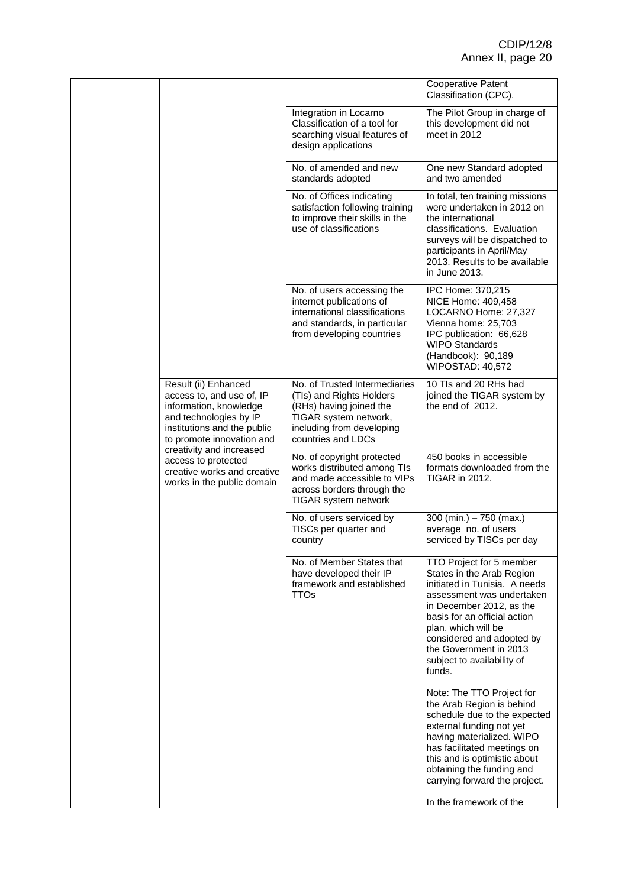|  |                                                                                                                                                                                                                                                                                   |                                                                                                                                                                                                                                                                                                       | <b>Cooperative Patent</b><br>Classification (CPC).                                                                                                                                                                                                                           |
|--|-----------------------------------------------------------------------------------------------------------------------------------------------------------------------------------------------------------------------------------------------------------------------------------|-------------------------------------------------------------------------------------------------------------------------------------------------------------------------------------------------------------------------------------------------------------------------------------------------------|------------------------------------------------------------------------------------------------------------------------------------------------------------------------------------------------------------------------------------------------------------------------------|
|  |                                                                                                                                                                                                                                                                                   | Integration in Locarno<br>Classification of a tool for<br>searching visual features of<br>design applications                                                                                                                                                                                         | The Pilot Group in charge of<br>this development did not<br>meet in 2012                                                                                                                                                                                                     |
|  |                                                                                                                                                                                                                                                                                   | No. of amended and new<br>standards adopted                                                                                                                                                                                                                                                           | One new Standard adopted<br>and two amended                                                                                                                                                                                                                                  |
|  | No. of Offices indicating<br>satisfaction following training<br>to improve their skills in the<br>use of classifications                                                                                                                                                          | In total, ten training missions<br>were undertaken in 2012 on<br>the international<br>classifications. Evaluation<br>surveys will be dispatched to<br>participants in April/May<br>2013. Results to be available<br>in June 2013.                                                                     |                                                                                                                                                                                                                                                                              |
|  |                                                                                                                                                                                                                                                                                   | No. of users accessing the<br>internet publications of<br>international classifications<br>and standards, in particular<br>from developing countries                                                                                                                                                  | IPC Home: 370,215<br>NICE Home: 409,458<br>LOCARNO Home: 27,327<br>Vienna home: 25,703<br>IPC publication: 66,628<br><b>WIPO Standards</b><br>(Handbook): 90,189<br>WIPOSTAD: 40,572                                                                                         |
|  | Result (ii) Enhanced<br>access to, and use of, IP<br>information, knowledge<br>and technologies by IP<br>institutions and the public<br>to promote innovation and<br>creativity and increased<br>access to protected<br>creative works and creative<br>works in the public domain | No. of Trusted Intermediaries<br>(TIs) and Rights Holders<br>(RHs) having joined the<br>TIGAR system network,<br>including from developing<br>countries and LDCs                                                                                                                                      | 10 Tls and 20 RHs had<br>joined the TIGAR system by<br>the end of 2012.                                                                                                                                                                                                      |
|  |                                                                                                                                                                                                                                                                                   | No. of copyright protected<br>works distributed among TIs<br>and made accessible to VIPs<br>across borders through the<br>TIGAR system network                                                                                                                                                        | 450 books in accessible<br>formats downloaded from the<br><b>TIGAR in 2012.</b>                                                                                                                                                                                              |
|  |                                                                                                                                                                                                                                                                                   | No. of users serviced by<br>TISCs per quarter and<br>country                                                                                                                                                                                                                                          | 300 (min.) $-750$ (max.)<br>average no. of users<br>serviced by TISCs per day                                                                                                                                                                                                |
|  | No. of Member States that<br>have developed their IP<br>framework and established<br><b>TTOs</b>                                                                                                                                                                                  | TTO Project for 5 member<br>States in the Arab Region<br>initiated in Tunisia. A needs<br>assessment was undertaken<br>in December 2012, as the<br>basis for an official action<br>plan, which will be<br>considered and adopted by<br>the Government in 2013<br>subject to availability of<br>funds. |                                                                                                                                                                                                                                                                              |
|  |                                                                                                                                                                                                                                                                                   |                                                                                                                                                                                                                                                                                                       | Note: The TTO Project for<br>the Arab Region is behind<br>schedule due to the expected<br>external funding not yet<br>having materialized. WIPO<br>has facilitated meetings on<br>this and is optimistic about<br>obtaining the funding and<br>carrying forward the project. |
|  |                                                                                                                                                                                                                                                                                   |                                                                                                                                                                                                                                                                                                       | In the framework of the                                                                                                                                                                                                                                                      |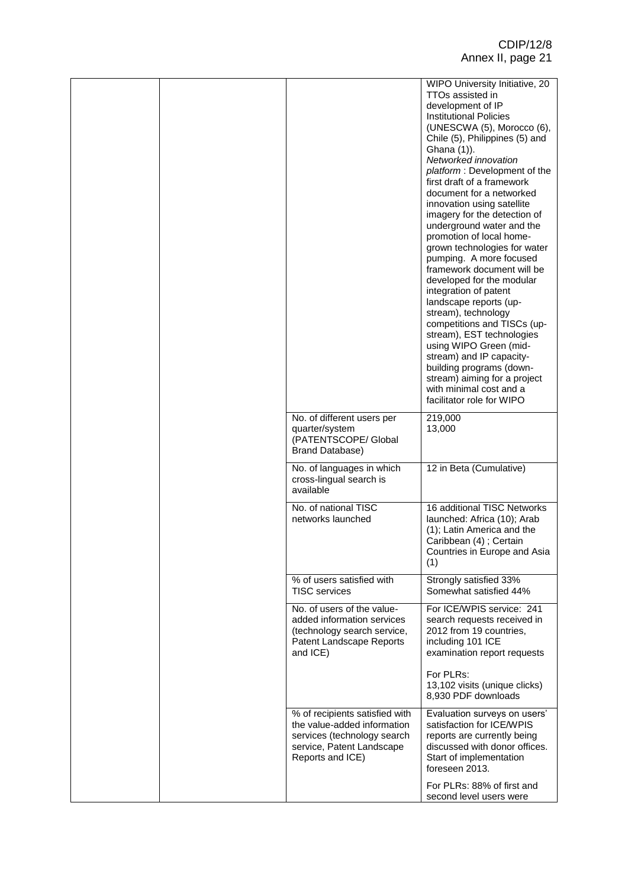|  |                                                                                                                                               | WIPO University Initiative, 20<br>TTOs assisted in<br>development of IP<br><b>Institutional Policies</b><br>(UNESCWA (5), Morocco (6),<br>Chile (5), Philippines (5) and<br>Ghana (1)).<br>Networked innovation<br>platform: Development of the<br>first draft of a framework<br>document for a networked<br>innovation using satellite<br>imagery for the detection of<br>underground water and the<br>promotion of local home-<br>grown technologies for water<br>pumping. A more focused<br>framework document will be<br>developed for the modular<br>integration of patent<br>landscape reports (up-<br>stream), technology<br>competitions and TISCs (up-<br>stream), EST technologies<br>using WIPO Green (mid-<br>stream) and IP capacity-<br>building programs (down-<br>stream) aiming for a project<br>with minimal cost and a<br>facilitator role for WIPO |
|--|-----------------------------------------------------------------------------------------------------------------------------------------------|------------------------------------------------------------------------------------------------------------------------------------------------------------------------------------------------------------------------------------------------------------------------------------------------------------------------------------------------------------------------------------------------------------------------------------------------------------------------------------------------------------------------------------------------------------------------------------------------------------------------------------------------------------------------------------------------------------------------------------------------------------------------------------------------------------------------------------------------------------------------|
|  | No. of different users per<br>quarter/system<br>(PATENTSCOPE/ Global<br><b>Brand Database)</b>                                                | 219,000<br>13,000                                                                                                                                                                                                                                                                                                                                                                                                                                                                                                                                                                                                                                                                                                                                                                                                                                                      |
|  | No. of languages in which<br>cross-lingual search is<br>available                                                                             | 12 in Beta (Cumulative)                                                                                                                                                                                                                                                                                                                                                                                                                                                                                                                                                                                                                                                                                                                                                                                                                                                |
|  | No. of national TISC<br>networks launched                                                                                                     | 16 additional TISC Networks<br>launched: Africa (10); Arab<br>(1); Latin America and the<br>Caribbean (4) ; Certain<br>Countries in Europe and Asia<br>(1)                                                                                                                                                                                                                                                                                                                                                                                                                                                                                                                                                                                                                                                                                                             |
|  | % of users satisfied with<br><b>TISC</b> services                                                                                             | Strongly satisfied 33%<br>Somewhat satisfied 44%                                                                                                                                                                                                                                                                                                                                                                                                                                                                                                                                                                                                                                                                                                                                                                                                                       |
|  | No. of users of the value-<br>added information services<br>(technology search service,<br>Patent Landscape Reports<br>and ICE)               | For ICE/WPIS service: 241<br>search requests received in<br>2012 from 19 countries,<br>including 101 ICE<br>examination report requests                                                                                                                                                                                                                                                                                                                                                                                                                                                                                                                                                                                                                                                                                                                                |
|  |                                                                                                                                               | For PLRs:<br>13,102 visits (unique clicks)<br>8,930 PDF downloads                                                                                                                                                                                                                                                                                                                                                                                                                                                                                                                                                                                                                                                                                                                                                                                                      |
|  | % of recipients satisfied with<br>the value-added information<br>services (technology search<br>service, Patent Landscape<br>Reports and ICE) | Evaluation surveys on users'<br>satisfaction for ICE/WPIS<br>reports are currently being<br>discussed with donor offices.<br>Start of implementation<br>foreseen 2013.                                                                                                                                                                                                                                                                                                                                                                                                                                                                                                                                                                                                                                                                                                 |
|  |                                                                                                                                               | For PLRs: 88% of first and<br>second level users were                                                                                                                                                                                                                                                                                                                                                                                                                                                                                                                                                                                                                                                                                                                                                                                                                  |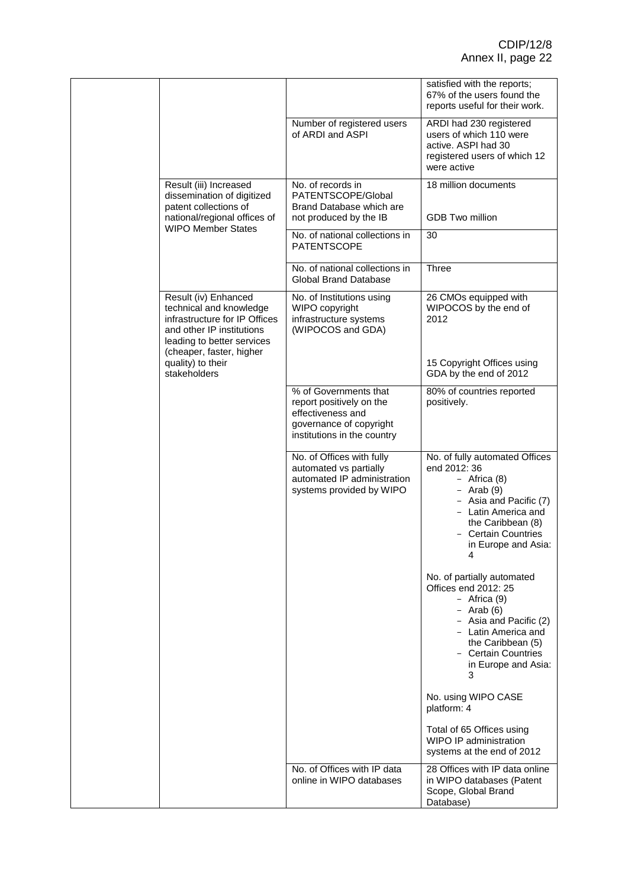|                                                                                                                                                                         |                                                                                                                                  | satisfied with the reports;<br>67% of the users found the<br>reports useful for their work.                                                                                                                   |
|-------------------------------------------------------------------------------------------------------------------------------------------------------------------------|----------------------------------------------------------------------------------------------------------------------------------|---------------------------------------------------------------------------------------------------------------------------------------------------------------------------------------------------------------|
|                                                                                                                                                                         | Number of registered users<br>of ARDI and ASPI                                                                                   | ARDI had 230 registered<br>users of which 110 were<br>active. ASPI had 30<br>registered users of which 12<br>were active                                                                                      |
| Result (iii) Increased<br>dissemination of digitized<br>patent collections of                                                                                           | No. of records in<br>PATENTSCOPE/Global<br>Brand Database which are                                                              | 18 million documents                                                                                                                                                                                          |
| national/regional offices of<br><b>WIPO Member States</b>                                                                                                               | not produced by the IB<br>No. of national collections in                                                                         | <b>GDB Two million</b><br>30                                                                                                                                                                                  |
|                                                                                                                                                                         | <b>PATENTSCOPE</b>                                                                                                               |                                                                                                                                                                                                               |
|                                                                                                                                                                         | No. of national collections in<br><b>Global Brand Database</b>                                                                   | <b>Three</b>                                                                                                                                                                                                  |
| Result (iv) Enhanced<br>technical and knowledge<br>infrastructure for IP Offices<br>and other IP institutions<br>leading to better services<br>(cheaper, faster, higher | No. of Institutions using<br>WIPO copyright<br>infrastructure systems<br>(WIPOCOS and GDA)                                       | 26 CMOs equipped with<br>WIPOCOS by the end of<br>2012                                                                                                                                                        |
| quality) to their<br>stakeholders                                                                                                                                       |                                                                                                                                  | 15 Copyright Offices using<br>GDA by the end of 2012                                                                                                                                                          |
|                                                                                                                                                                         | % of Governments that<br>report positively on the<br>effectiveness and<br>governance of copyright<br>institutions in the country | 80% of countries reported<br>positively.                                                                                                                                                                      |
|                                                                                                                                                                         | No. of Offices with fully<br>automated vs partially<br>automated IP administration<br>systems provided by WIPO                   | No. of fully automated Offices<br>end 2012: 36<br>- Africa $(8)$<br>- Arab $(9)$<br>- Asia and Pacific (7)<br>- Latin America and<br>the Caribbean (8)<br>- Certain Countries<br>in Europe and Asia:<br>4     |
|                                                                                                                                                                         |                                                                                                                                  | No. of partially automated<br>Offices end 2012: 25<br>- Africa $(9)$<br>$-$ Arab (6)<br>- Asia and Pacific (2)<br>- Latin America and<br>the Caribbean (5)<br>- Certain Countries<br>in Europe and Asia:<br>3 |
|                                                                                                                                                                         |                                                                                                                                  | No. using WIPO CASE<br>platform: 4                                                                                                                                                                            |
|                                                                                                                                                                         |                                                                                                                                  | Total of 65 Offices using<br>WIPO IP administration<br>systems at the end of 2012                                                                                                                             |
|                                                                                                                                                                         | No. of Offices with IP data<br>online in WIPO databases                                                                          | 28 Offices with IP data online<br>in WIPO databases (Patent<br>Scope, Global Brand<br>Database)                                                                                                               |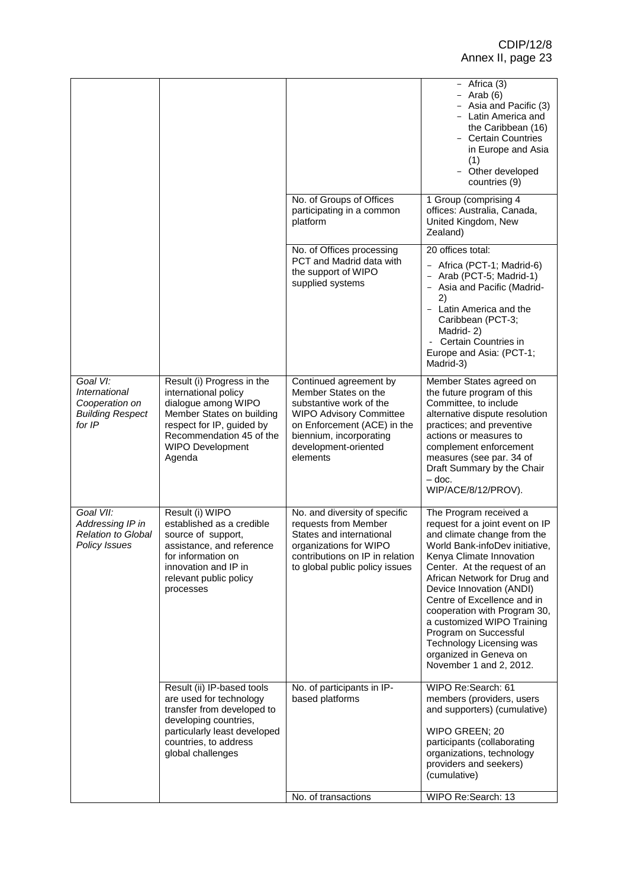|                                                                                  |                                                                                                                                                                                               |                                                                                                                                                                                                           | $-$ Africa (3)<br>- Arab $(6)$<br>- Asia and Pacific (3)<br>- Latin America and<br>the Caribbean (16)<br>- Certain Countries<br>in Europe and Asia<br>(1)<br>Other developed<br>countries (9)                                                                                                                                                                                                                                                                    |
|----------------------------------------------------------------------------------|-----------------------------------------------------------------------------------------------------------------------------------------------------------------------------------------------|-----------------------------------------------------------------------------------------------------------------------------------------------------------------------------------------------------------|------------------------------------------------------------------------------------------------------------------------------------------------------------------------------------------------------------------------------------------------------------------------------------------------------------------------------------------------------------------------------------------------------------------------------------------------------------------|
|                                                                                  |                                                                                                                                                                                               | No. of Groups of Offices<br>participating in a common<br>platform                                                                                                                                         | 1 Group (comprising 4<br>offices: Australia, Canada,<br>United Kingdom, New<br>Zealand)                                                                                                                                                                                                                                                                                                                                                                          |
|                                                                                  |                                                                                                                                                                                               | No. of Offices processing<br>PCT and Madrid data with<br>the support of WIPO<br>supplied systems                                                                                                          | 20 offices total:<br>Africa (PCT-1; Madrid-6)<br>- Arab (PCT-5; Madrid-1)<br>Asia and Pacific (Madrid-<br>2)<br>- Latin America and the<br>Caribbean (PCT-3;<br>Madrid-2)<br>Certain Countries in<br>Europe and Asia: (PCT-1;<br>Madrid-3)                                                                                                                                                                                                                       |
| Goal VI:<br>International<br>Cooperation on<br><b>Building Respect</b><br>for IP | Result (i) Progress in the<br>international policy<br>dialogue among WIPO<br>Member States on building<br>respect for IP, guided by<br>Recommendation 45 of the<br>WIPO Development<br>Agenda | Continued agreement by<br>Member States on the<br>substantive work of the<br><b>WIPO Advisory Committee</b><br>on Enforcement (ACE) in the<br>biennium, incorporating<br>development-oriented<br>elements | Member States agreed on<br>the future program of this<br>Committee, to include<br>alternative dispute resolution<br>practices; and preventive<br>actions or measures to<br>complement enforcement<br>measures (see par. 34 of<br>Draft Summary by the Chair<br>$-$ doc.<br>WIP/ACE/8/12/PROV).                                                                                                                                                                   |
| Goal VII:<br>Addressing IP in<br>Relation to Global<br>Policy Issues             | Result (i) WIPO<br>established as a credible<br>source of support,<br>assistance, and reference<br>for information on<br>innovation and IP in<br>relevant public policy<br>processes          | No. and diversity of specific<br>requests from Member<br>States and international<br>organizations for WIPO<br>contributions on IP in relation<br>to global public policy issues                          | The Program received a<br>request for a joint event on IP<br>and climate change from the<br>World Bank-infoDev initiative,<br>Kenya Climate Innovation<br>Center. At the request of an<br>African Network for Drug and<br>Device Innovation (ANDI)<br>Centre of Excellence and in<br>cooperation with Program 30,<br>a customized WIPO Training<br>Program on Successful<br><b>Technology Licensing was</b><br>organized in Geneva on<br>November 1 and 2, 2012. |
|                                                                                  | Result (ii) IP-based tools<br>are used for technology<br>transfer from developed to<br>developing countries,<br>particularly least developed<br>countries, to address<br>global challenges    | No. of participants in IP-<br>based platforms                                                                                                                                                             | WIPO Re:Search: 61<br>members (providers, users<br>and supporters) (cumulative)<br>WIPO GREEN; 20<br>participants (collaborating<br>organizations, technology<br>providers and seekers)<br>(cumulative)                                                                                                                                                                                                                                                          |
|                                                                                  |                                                                                                                                                                                               | No. of transactions                                                                                                                                                                                       | WIPO Re:Search: 13                                                                                                                                                                                                                                                                                                                                                                                                                                               |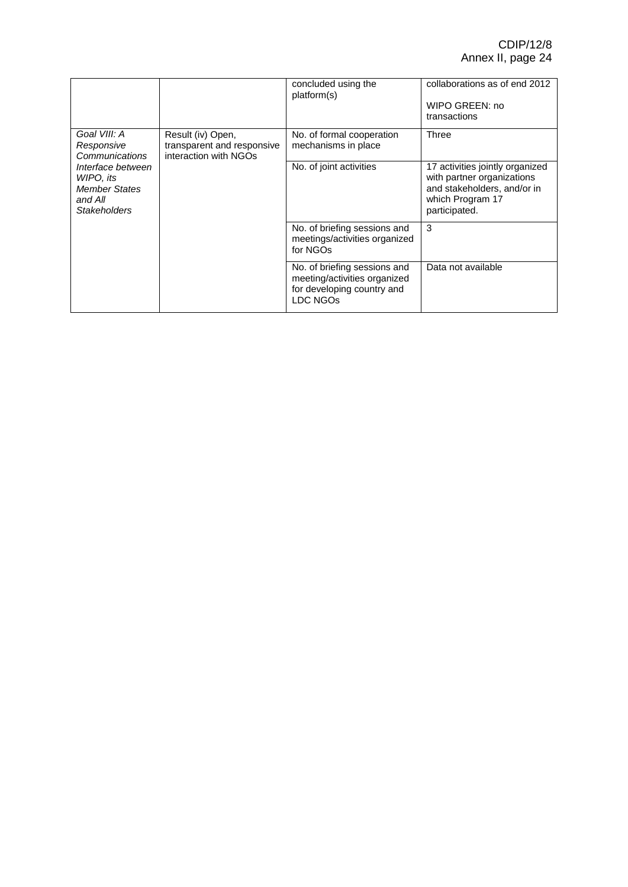|                                                                                                                                                                                                                      |                         | concluded using the<br>platform(s)                                                                                                | collaborations as of end 2012<br>WIPO GREEN: no<br>transactions |
|----------------------------------------------------------------------------------------------------------------------------------------------------------------------------------------------------------------------|-------------------------|-----------------------------------------------------------------------------------------------------------------------------------|-----------------------------------------------------------------|
| Goal VIII: A<br>Result (iv) Open,<br>transparent and responsive<br>Responsive<br>interaction with NGOs<br>Communications<br>Interface between<br>WIPO, its<br><b>Member States</b><br>and All<br><b>Stakeholders</b> |                         | No. of formal cooperation<br>mechanisms in place                                                                                  | <b>Three</b>                                                    |
|                                                                                                                                                                                                                      | No. of joint activities | 17 activities jointly organized<br>with partner organizations<br>and stakeholders, and/or in<br>which Program 17<br>participated. |                                                                 |
|                                                                                                                                                                                                                      |                         | No. of briefing sessions and<br>meetings/activities organized<br>for NGOs                                                         | 3                                                               |
|                                                                                                                                                                                                                      |                         | No. of briefing sessions and<br>meeting/activities organized<br>for developing country and<br>LDC NGOs                            | Data not available                                              |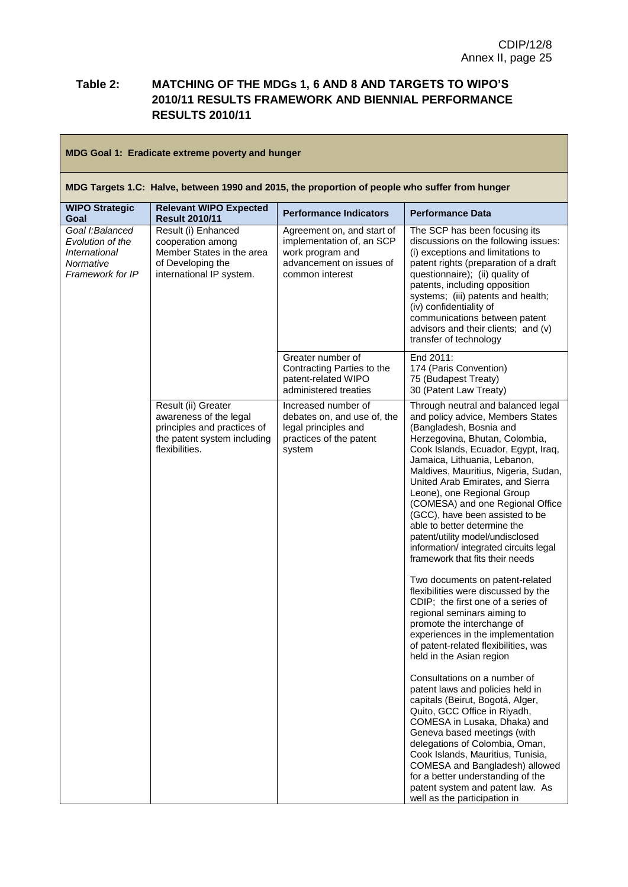## **Table 2: MATCHING OF THE MDGs 1, 6 AND 8 AND TARGETS TO WIPO'S 2010/11 RESULTS FRAMEWORK AND BIENNIAL PERFORMANCE RESULTS 2010/11**

| MDG Goal 1: Eradicate extreme poverty and hunger                                               |                                                                                                                               |                                                                                                                            |                                                                                                                                                                                                                                                                                                                                                                                                                                                                                                                                                                                                                                                                                                                                                                                                                                                                                                                                                                                                                                                                                                                   |
|------------------------------------------------------------------------------------------------|-------------------------------------------------------------------------------------------------------------------------------|----------------------------------------------------------------------------------------------------------------------------|-------------------------------------------------------------------------------------------------------------------------------------------------------------------------------------------------------------------------------------------------------------------------------------------------------------------------------------------------------------------------------------------------------------------------------------------------------------------------------------------------------------------------------------------------------------------------------------------------------------------------------------------------------------------------------------------------------------------------------------------------------------------------------------------------------------------------------------------------------------------------------------------------------------------------------------------------------------------------------------------------------------------------------------------------------------------------------------------------------------------|
| MDG Targets 1.C: Halve, between 1990 and 2015, the proportion of people who suffer from hunger |                                                                                                                               |                                                                                                                            |                                                                                                                                                                                                                                                                                                                                                                                                                                                                                                                                                                                                                                                                                                                                                                                                                                                                                                                                                                                                                                                                                                                   |
| <b>WIPO Strategic</b><br>Goal                                                                  | <b>Relevant WIPO Expected</b><br><b>Result 2010/11</b>                                                                        | <b>Performance Indicators</b>                                                                                              | <b>Performance Data</b>                                                                                                                                                                                                                                                                                                                                                                                                                                                                                                                                                                                                                                                                                                                                                                                                                                                                                                                                                                                                                                                                                           |
| Goal I:Balanced<br>Evolution of the<br>International<br>Normative<br>Framework for IP          | Result (i) Enhanced<br>cooperation among<br>Member States in the area<br>of Developing the<br>international IP system.        | Agreement on, and start of<br>implementation of, an SCP<br>work program and<br>advancement on issues of<br>common interest | The SCP has been focusing its<br>discussions on the following issues:<br>(i) exceptions and limitations to<br>patent rights (preparation of a draft<br>questionnaire); (ii) quality of<br>patents, including opposition<br>systems; (iii) patents and health;<br>(iv) confidentiality of<br>communications between patent<br>advisors and their clients; and (v)<br>transfer of technology                                                                                                                                                                                                                                                                                                                                                                                                                                                                                                                                                                                                                                                                                                                        |
|                                                                                                |                                                                                                                               | Greater number of<br>Contracting Parties to the<br>patent-related WIPO<br>administered treaties                            | End 2011:<br>174 (Paris Convention)<br>75 (Budapest Treaty)<br>30 (Patent Law Treaty)                                                                                                                                                                                                                                                                                                                                                                                                                                                                                                                                                                                                                                                                                                                                                                                                                                                                                                                                                                                                                             |
|                                                                                                | Result (ii) Greater<br>awareness of the legal<br>principles and practices of<br>the patent system including<br>flexibilities. | Increased number of<br>debates on, and use of, the<br>legal principles and<br>practices of the patent<br>system            | Through neutral and balanced legal<br>and policy advice, Members States<br>(Bangladesh, Bosnia and<br>Herzegovina, Bhutan, Colombia,<br>Cook Islands, Ecuador, Egypt, Iraq,<br>Jamaica, Lithuania, Lebanon,<br>Maldives, Mauritius, Nigeria, Sudan,<br>United Arab Emirates, and Sierra<br>Leone), one Regional Group<br>(COMESA) and one Regional Office<br>(GCC), have been assisted to be<br>able to better determine the<br>patent/utility model/undisclosed<br>information/ integrated circuits legal<br>framework that fits their needs<br>Two documents on patent-related<br>flexibilities were discussed by the<br>CDIP; the first one of a series of<br>regional seminars aiming to<br>promote the interchange of<br>experiences in the implementation<br>of patent-related flexibilities, was<br>held in the Asian region<br>Consultations on a number of<br>patent laws and policies held in<br>capitals (Beirut, Bogotá, Alger,<br>Quito, GCC Office in Riyadh,<br>COMESA in Lusaka, Dhaka) and<br>Geneva based meetings (with<br>delegations of Colombia, Oman,<br>Cook Islands, Mauritius, Tunisia, |
|                                                                                                |                                                                                                                               |                                                                                                                            | COMESA and Bangladesh) allowed<br>for a better understanding of the<br>patent system and patent law. As<br>well as the participation in                                                                                                                                                                                                                                                                                                                                                                                                                                                                                                                                                                                                                                                                                                                                                                                                                                                                                                                                                                           |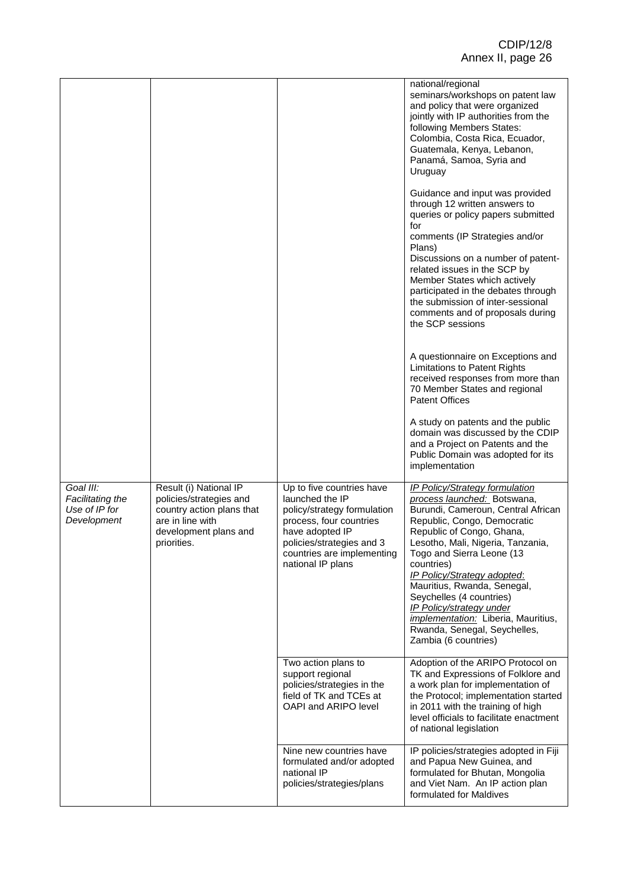|                                                               |                                                                                                                                            |                                                                                                                                                                                                           | national/regional<br>seminars/workshops on patent law<br>and policy that were organized<br>jointly with IP authorities from the<br>following Members States:<br>Colombia, Costa Rica, Ecuador,<br>Guatemala, Kenya, Lebanon,<br>Panamá, Samoa, Syria and<br>Uruguay<br>Guidance and input was provided                                                                                                                                                                      |
|---------------------------------------------------------------|--------------------------------------------------------------------------------------------------------------------------------------------|-----------------------------------------------------------------------------------------------------------------------------------------------------------------------------------------------------------|-----------------------------------------------------------------------------------------------------------------------------------------------------------------------------------------------------------------------------------------------------------------------------------------------------------------------------------------------------------------------------------------------------------------------------------------------------------------------------|
|                                                               |                                                                                                                                            |                                                                                                                                                                                                           | through 12 written answers to<br>queries or policy papers submitted<br>for<br>comments (IP Strategies and/or<br>Plans)<br>Discussions on a number of patent-<br>related issues in the SCP by<br>Member States which actively<br>participated in the debates through<br>the submission of inter-sessional<br>comments and of proposals during<br>the SCP sessions                                                                                                            |
|                                                               |                                                                                                                                            |                                                                                                                                                                                                           | A questionnaire on Exceptions and<br>Limitations to Patent Rights<br>received responses from more than<br>70 Member States and regional<br><b>Patent Offices</b>                                                                                                                                                                                                                                                                                                            |
|                                                               |                                                                                                                                            |                                                                                                                                                                                                           | A study on patents and the public<br>domain was discussed by the CDIP<br>and a Project on Patents and the<br>Public Domain was adopted for its<br>implementation                                                                                                                                                                                                                                                                                                            |
| Goal III:<br>Facilitating the<br>Use of IP for<br>Development | Result (i) National IP<br>policies/strategies and<br>country action plans that<br>are in line with<br>development plans and<br>priorities. | Up to five countries have<br>launched the IP<br>policy/strategy formulation<br>process, four countries<br>have adopted IP<br>policies/strategies and 3<br>countries are implementing<br>national IP plans | <b>IP Policy/Strategy formulation</b><br>process launched: Botswana,<br>Burundi, Cameroun, Central African<br>Republic, Congo, Democratic<br>Republic of Congo, Ghana,<br>Lesotho, Mali, Nigeria, Tanzania,<br>Togo and Sierra Leone (13<br>countries)<br>IP Policy/Strategy adopted:<br>Mauritius, Rwanda, Senegal,<br>Seychelles (4 countries)<br>IP Policy/strategy under<br>implementation: Liberia, Mauritius,<br>Rwanda, Senegal, Seychelles,<br>Zambia (6 countries) |
|                                                               |                                                                                                                                            | Two action plans to<br>support regional<br>policies/strategies in the<br>field of TK and TCEs at<br>OAPI and ARIPO level                                                                                  | Adoption of the ARIPO Protocol on<br>TK and Expressions of Folklore and<br>a work plan for implementation of<br>the Protocol; implementation started<br>in 2011 with the training of high<br>level officials to facilitate enactment<br>of national legislation                                                                                                                                                                                                             |
|                                                               |                                                                                                                                            | Nine new countries have<br>formulated and/or adopted<br>national IP<br>policies/strategies/plans                                                                                                          | IP policies/strategies adopted in Fiji<br>and Papua New Guinea, and<br>formulated for Bhutan, Mongolia<br>and Viet Nam. An IP action plan<br>formulated for Maldives                                                                                                                                                                                                                                                                                                        |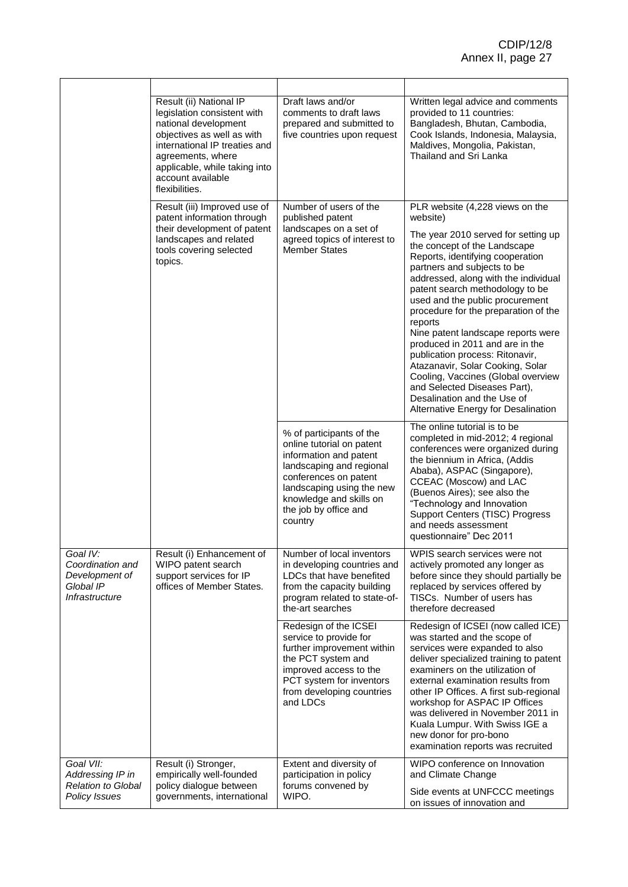|                                                                                    | Result (ii) National IP<br>legislation consistent with<br>national development<br>objectives as well as with<br>international IP treaties and<br>agreements, where<br>applicable, while taking into<br>account available<br>flexibilities. | Draft laws and/or<br>comments to draft laws<br>prepared and submitted to<br>five countries upon request                                                                                                                          | Written legal advice and comments<br>provided to 11 countries:<br>Bangladesh, Bhutan, Cambodia,<br>Cook Islands, Indonesia, Malaysia,<br>Maldives, Mongolia, Pakistan,<br>Thailand and Sri Lanka                                                                                                                                                                                                                                                                                                                                                                                                                                                   |
|------------------------------------------------------------------------------------|--------------------------------------------------------------------------------------------------------------------------------------------------------------------------------------------------------------------------------------------|----------------------------------------------------------------------------------------------------------------------------------------------------------------------------------------------------------------------------------|----------------------------------------------------------------------------------------------------------------------------------------------------------------------------------------------------------------------------------------------------------------------------------------------------------------------------------------------------------------------------------------------------------------------------------------------------------------------------------------------------------------------------------------------------------------------------------------------------------------------------------------------------|
|                                                                                    | Result (iii) Improved use of<br>patent information through<br>their development of patent<br>landscapes and related<br>tools covering selected<br>topics.                                                                                  | Number of users of the<br>published patent<br>landscapes on a set of<br>agreed topics of interest to<br><b>Member States</b>                                                                                                     | PLR website (4,228 views on the<br>website)<br>The year 2010 served for setting up<br>the concept of the Landscape<br>Reports, identifying cooperation<br>partners and subjects to be<br>addressed, along with the individual<br>patent search methodology to be<br>used and the public procurement<br>procedure for the preparation of the<br>reports<br>Nine patent landscape reports were<br>produced in 2011 and are in the<br>publication process: Ritonavir,<br>Atazanavir, Solar Cooking, Solar<br>Cooling, Vaccines (Global overview<br>and Selected Diseases Part),<br>Desalination and the Use of<br>Alternative Energy for Desalination |
|                                                                                    |                                                                                                                                                                                                                                            | % of participants of the<br>online tutorial on patent<br>information and patent<br>landscaping and regional<br>conferences on patent<br>landscaping using the new<br>knowledge and skills on<br>the job by office and<br>country | The online tutorial is to be<br>completed in mid-2012; 4 regional<br>conferences were organized during<br>the biennium in Africa, (Addis<br>Ababa), ASPAC (Singapore),<br>CCEAC (Moscow) and LAC<br>(Buenos Aires); see also the<br>"Technology and Innovation<br>Support Centers (TISC) Progress<br>and needs assessment<br>questionnaire" Dec 2011                                                                                                                                                                                                                                                                                               |
| Goal IV:<br>Coordination and<br>Development of<br>Global IP<br>Infrastructure      | Result (i) Enhancement of<br>WIPO patent search<br>support services for IP<br>offices of Member States.                                                                                                                                    | Number of local inventors<br>in developing countries and<br>LDCs that have benefited<br>from the capacity building<br>program related to state-of-<br>the-art searches                                                           | WPIS search services were not<br>actively promoted any longer as<br>before since they should partially be<br>replaced by services offered by<br>TISCs. Number of users has<br>therefore decreased                                                                                                                                                                                                                                                                                                                                                                                                                                                  |
|                                                                                    |                                                                                                                                                                                                                                            | Redesign of the ICSEI<br>service to provide for<br>further improvement within<br>the PCT system and<br>improved access to the<br>PCT system for inventors<br>from developing countries<br>and LDCs                               | Redesign of ICSEI (now called ICE)<br>was started and the scope of<br>services were expanded to also<br>deliver specialized training to patent<br>examiners on the utilization of<br>external examination results from<br>other IP Offices. A first sub-regional<br>workshop for ASPAC IP Offices<br>was delivered in November 2011 in<br>Kuala Lumpur. With Swiss IGE a<br>new donor for pro-bono<br>examination reports was recruited                                                                                                                                                                                                            |
| Goal VII:<br>Addressing IP in<br><b>Relation to Global</b><br><b>Policy Issues</b> | Result (i) Stronger,<br>empirically well-founded<br>policy dialogue between<br>governments, international                                                                                                                                  | Extent and diversity of<br>participation in policy<br>forums convened by<br>WIPO.                                                                                                                                                | WIPO conference on Innovation<br>and Climate Change<br>Side events at UNFCCC meetings<br>on issues of innovation and                                                                                                                                                                                                                                                                                                                                                                                                                                                                                                                               |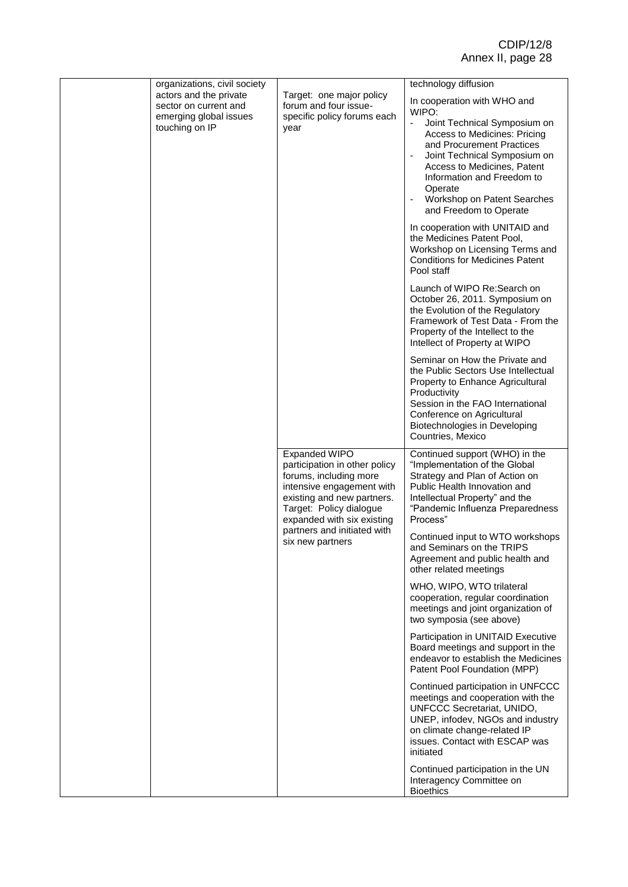| organizations, civil society                                                                |                                                                                                                                                                                                     | technology diffusion                                                                                                                                                                                                                                                                                                                   |
|---------------------------------------------------------------------------------------------|-----------------------------------------------------------------------------------------------------------------------------------------------------------------------------------------------------|----------------------------------------------------------------------------------------------------------------------------------------------------------------------------------------------------------------------------------------------------------------------------------------------------------------------------------------|
| actors and the private<br>sector on current and<br>emerging global issues<br>touching on IP | Target: one major policy<br>forum and four issue-<br>specific policy forums each<br>year                                                                                                            | In cooperation with WHO and<br>WIPO:<br>Joint Technical Symposium on<br>$\blacksquare$<br>Access to Medicines: Pricing<br>and Procurement Practices<br>Joint Technical Symposium on<br>Access to Medicines, Patent<br>Information and Freedom to<br>Operate<br>Workshop on Patent Searches<br>$\blacksquare$<br>and Freedom to Operate |
|                                                                                             |                                                                                                                                                                                                     | In cooperation with UNITAID and<br>the Medicines Patent Pool,<br>Workshop on Licensing Terms and<br><b>Conditions for Medicines Patent</b><br>Pool staff                                                                                                                                                                               |
|                                                                                             |                                                                                                                                                                                                     | Launch of WIPO Re:Search on<br>October 26, 2011. Symposium on<br>the Evolution of the Regulatory<br>Framework of Test Data - From the<br>Property of the Intellect to the<br>Intellect of Property at WIPO                                                                                                                             |
|                                                                                             |                                                                                                                                                                                                     | Seminar on How the Private and<br>the Public Sectors Use Intellectual<br>Property to Enhance Agricultural<br>Productivity<br>Session in the FAO International<br>Conference on Agricultural<br>Biotechnologies in Developing<br>Countries, Mexico                                                                                      |
|                                                                                             | <b>Expanded WIPO</b><br>participation in other policy<br>forums, including more<br>intensive engagement with<br>existing and new partners.<br>Target: Policy dialogue<br>expanded with six existing | Continued support (WHO) in the<br>"Implementation of the Global<br>Strategy and Plan of Action on<br>Public Health Innovation and<br>Intellectual Property" and the<br>"Pandemic Influenza Preparedness<br>Process"                                                                                                                    |
|                                                                                             | partners and initiated with<br>six new partners                                                                                                                                                     | Continued input to WTO workshops<br>and Seminars on the TRIPS<br>Agreement and public health and<br>other related meetings                                                                                                                                                                                                             |
|                                                                                             |                                                                                                                                                                                                     | WHO, WIPO, WTO trilateral<br>cooperation, regular coordination<br>meetings and joint organization of<br>two symposia (see above)                                                                                                                                                                                                       |
|                                                                                             |                                                                                                                                                                                                     | Participation in UNITAID Executive<br>Board meetings and support in the<br>endeavor to establish the Medicines<br>Patent Pool Foundation (MPP)                                                                                                                                                                                         |
|                                                                                             |                                                                                                                                                                                                     | Continued participation in UNFCCC<br>meetings and cooperation with the<br>UNFCCC Secretariat, UNIDO,<br>UNEP, infodev, NGOs and industry<br>on climate change-related IP<br>issues. Contact with ESCAP was<br>initiated                                                                                                                |
|                                                                                             |                                                                                                                                                                                                     | Continued participation in the UN<br>Interagency Committee on<br><b>Bioethics</b>                                                                                                                                                                                                                                                      |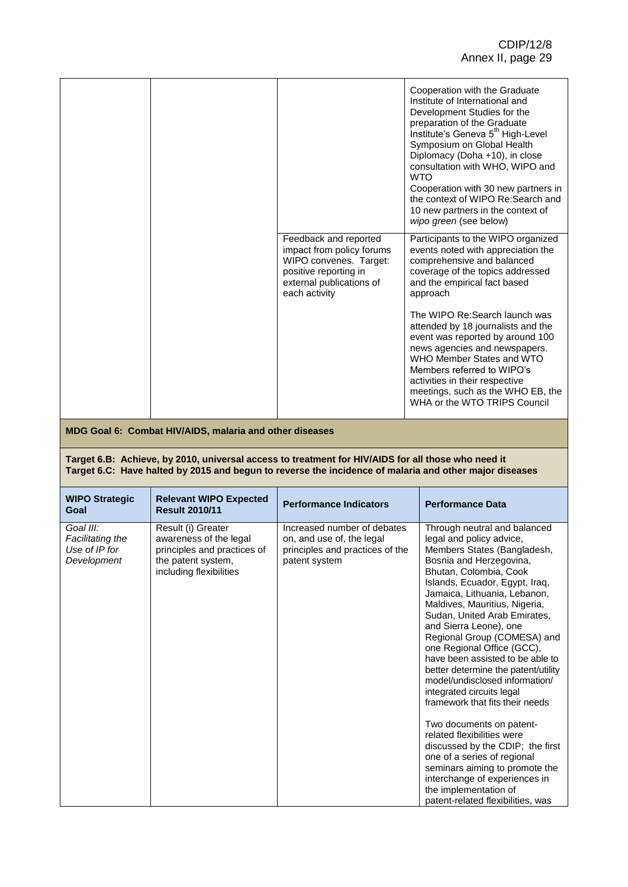|  |                                                                                                                                                    | Cooperation with the Graduate<br>Institute of International and<br>Development Studies for the<br>preparation of the Graduate<br>Institute's Geneva 5 <sup>th</sup> High-Level<br>Symposium on Global Health<br>Diplomacy (Doha +10), in close<br>consultation with WHO, WIPO and<br><b>WTO</b><br>Cooperation with 30 new partners in<br>the context of WIPO Re:Search and<br>10 new partners in the context of<br>wipo green (see below) |
|--|----------------------------------------------------------------------------------------------------------------------------------------------------|--------------------------------------------------------------------------------------------------------------------------------------------------------------------------------------------------------------------------------------------------------------------------------------------------------------------------------------------------------------------------------------------------------------------------------------------|
|  | Feedback and reported<br>impact from policy forums<br>WIPO convenes. Target:<br>positive reporting in<br>external publications of<br>each activity | Participants to the WIPO organized<br>events noted with appreciation the<br>comprehensive and balanced<br>coverage of the topics addressed<br>and the empirical fact based<br>approach                                                                                                                                                                                                                                                     |
|  |                                                                                                                                                    | The WIPO Re: Search launch was<br>attended by 18 journalists and the<br>event was reported by around 100<br>news agencies and newspapers.<br>WHO Member States and WTO<br>Members referred to WIPO's<br>activities in their respective<br>meetings, such as the WHO EB, the<br>WHA or the WTO TRIPS Council                                                                                                                                |

**MDG Goal 6: Combat HIV/AIDS, malaria and other diseases**

#### **Target 6.B: Achieve, by 2010, universal access to treatment for HIV/AIDS for all those who need it Target 6.C: Have halted by 2015 and begun to reverse the incidence of malaria and other major diseases**

| <b>WIPO Strategic</b><br>Goal                                 | <b>Relevant WIPO Expected</b><br><b>Result 2010/11</b>                                                                       | <b>Performance Indicators</b>                                                                                | <b>Performance Data</b>                                                                                                                                                                                                                                                                                                                                                                                                                                                                                                                                                                                                                                                                                                                                                                                           |
|---------------------------------------------------------------|------------------------------------------------------------------------------------------------------------------------------|--------------------------------------------------------------------------------------------------------------|-------------------------------------------------------------------------------------------------------------------------------------------------------------------------------------------------------------------------------------------------------------------------------------------------------------------------------------------------------------------------------------------------------------------------------------------------------------------------------------------------------------------------------------------------------------------------------------------------------------------------------------------------------------------------------------------------------------------------------------------------------------------------------------------------------------------|
| Goal III:<br>Facilitating the<br>Use of IP for<br>Development | Result (i) Greater<br>awareness of the legal<br>principles and practices of<br>the patent system,<br>including flexibilities | Increased number of debates<br>on, and use of, the legal<br>principles and practices of the<br>patent system | Through neutral and balanced<br>legal and policy advice,<br>Members States (Bangladesh,<br>Bosnia and Herzegovina,<br>Bhutan, Colombia, Cook<br>Islands, Ecuador, Egypt, Iraq,<br>Jamaica, Lithuania, Lebanon,<br>Maldives, Mauritius, Nigeria,<br>Sudan, United Arab Emirates,<br>and Sierra Leone), one<br>Regional Group (COMESA) and<br>one Regional Office (GCC),<br>have been assisted to be able to<br>better determine the patent/utility<br>model/undisclosed information/<br>integrated circuits legal<br>framework that fits their needs<br>Two documents on patent-<br>related flexibilities were<br>discussed by the CDIP; the first<br>one of a series of regional<br>seminars aiming to promote the<br>interchange of experiences in<br>the implementation of<br>patent-related flexibilities, was |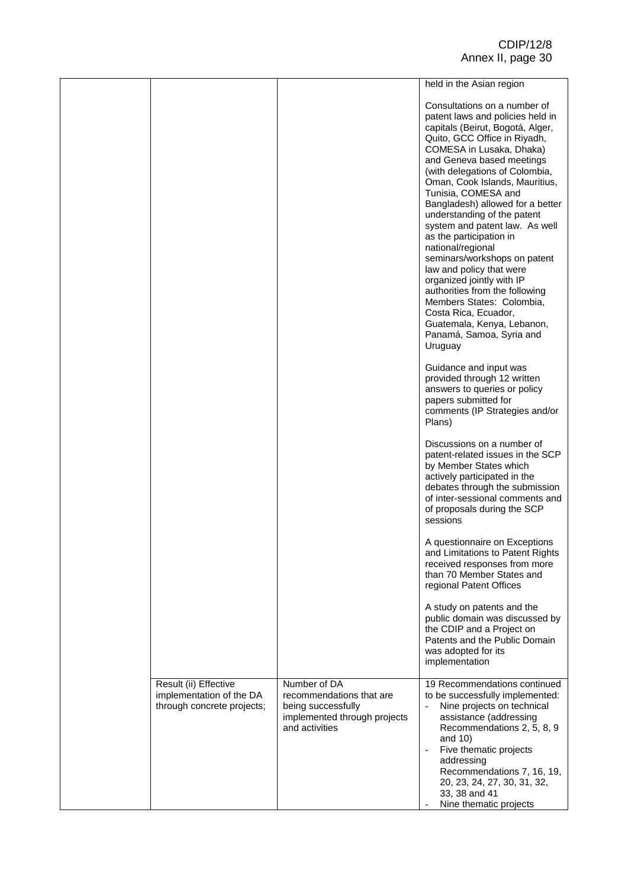|                                                                                 |                                                                                                                  | held in the Asian region                                                                                                                                                                                                                                                                                                                                                                                                                                                                                                                                                                                                                                                                           |
|---------------------------------------------------------------------------------|------------------------------------------------------------------------------------------------------------------|----------------------------------------------------------------------------------------------------------------------------------------------------------------------------------------------------------------------------------------------------------------------------------------------------------------------------------------------------------------------------------------------------------------------------------------------------------------------------------------------------------------------------------------------------------------------------------------------------------------------------------------------------------------------------------------------------|
|                                                                                 |                                                                                                                  | Consultations on a number of<br>patent laws and policies held in<br>capitals (Beirut, Bogotá, Alger,<br>Quito, GCC Office in Riyadh,<br>COMESA in Lusaka, Dhaka)<br>and Geneva based meetings<br>(with delegations of Colombia,<br>Oman, Cook Islands, Mauritius,<br>Tunisia, COMESA and<br>Bangladesh) allowed for a better<br>understanding of the patent<br>system and patent law. As well<br>as the participation in<br>national/regional<br>seminars/workshops on patent<br>law and policy that were<br>organized jointly with IP<br>authorities from the following<br>Members States: Colombia,<br>Costa Rica, Ecuador,<br>Guatemala, Kenya, Lebanon,<br>Panamá, Samoa, Syria and<br>Uruguay |
|                                                                                 |                                                                                                                  | Guidance and input was<br>provided through 12 written<br>answers to queries or policy<br>papers submitted for<br>comments (IP Strategies and/or<br>Plans)                                                                                                                                                                                                                                                                                                                                                                                                                                                                                                                                          |
|                                                                                 |                                                                                                                  | Discussions on a number of<br>patent-related issues in the SCP<br>by Member States which<br>actively participated in the<br>debates through the submission<br>of inter-sessional comments and<br>of proposals during the SCP<br>sessions                                                                                                                                                                                                                                                                                                                                                                                                                                                           |
|                                                                                 |                                                                                                                  | A questionnaire on Exceptions<br>and Limitations to Patent Rights<br>received responses from more<br>than 70 Member States and<br>regional Patent Offices                                                                                                                                                                                                                                                                                                                                                                                                                                                                                                                                          |
|                                                                                 |                                                                                                                  | A study on patents and the<br>public domain was discussed by<br>the CDIP and a Project on<br>Patents and the Public Domain<br>was adopted for its<br>implementation                                                                                                                                                                                                                                                                                                                                                                                                                                                                                                                                |
| Result (ii) Effective<br>implementation of the DA<br>through concrete projects; | Number of DA<br>recommendations that are<br>being successfully<br>implemented through projects<br>and activities | 19 Recommendations continued<br>to be successfully implemented:<br>Nine projects on technical<br>assistance (addressing<br>Recommendations 2, 5, 8, 9<br>and 10)<br>Five thematic projects<br>addressing<br>Recommendations 7, 16, 19,<br>20, 23, 24, 27, 30, 31, 32,<br>33, 38 and 41<br>Nine thematic projects                                                                                                                                                                                                                                                                                                                                                                                   |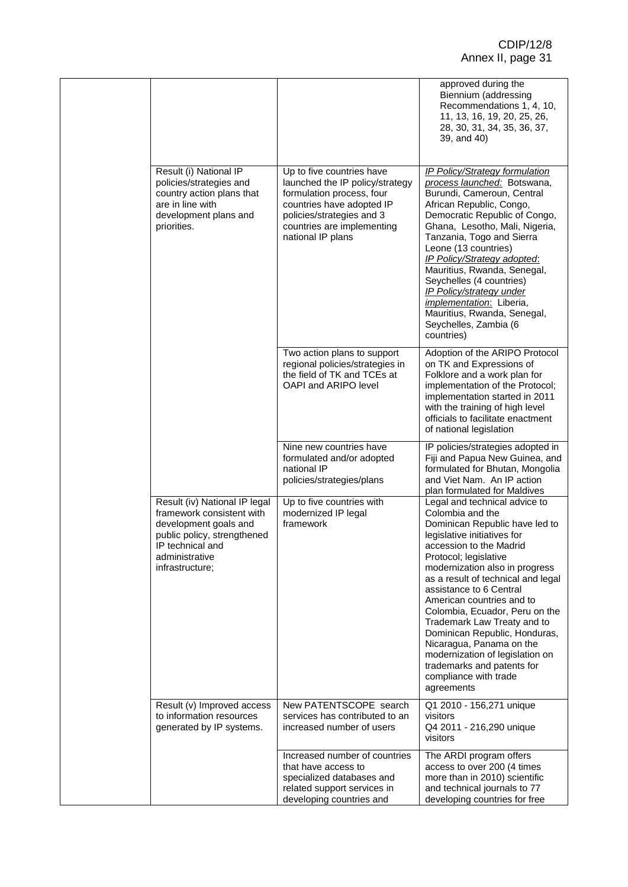|                                                                                                                                                                             |                                                                                                                                                                                                        | approved during the<br>Biennium (addressing<br>Recommendations 1, 4, 10,<br>11, 13, 16, 19, 20, 25, 26,<br>28, 30, 31, 34, 35, 36, 37,<br>39, and 40)                                                                                                                                                                                                                                                                                                                                                                                        |
|-----------------------------------------------------------------------------------------------------------------------------------------------------------------------------|--------------------------------------------------------------------------------------------------------------------------------------------------------------------------------------------------------|----------------------------------------------------------------------------------------------------------------------------------------------------------------------------------------------------------------------------------------------------------------------------------------------------------------------------------------------------------------------------------------------------------------------------------------------------------------------------------------------------------------------------------------------|
| Result (i) National IP<br>policies/strategies and<br>country action plans that<br>are in line with<br>development plans and<br>priorities.                                  | Up to five countries have<br>launched the IP policy/strategy<br>formulation process, four<br>countries have adopted IP<br>policies/strategies and 3<br>countries are implementing<br>national IP plans | <b>IP Policy/Strategy formulation</b><br>process launched: Botswana,<br>Burundi, Cameroun, Central<br>African Republic, Congo,<br>Democratic Republic of Congo,<br>Ghana, Lesotho, Mali, Nigeria,<br>Tanzania, Togo and Sierra<br>Leone (13 countries)<br><b>IP Policy/Strategy adopted:</b><br>Mauritius, Rwanda, Senegal,<br>Seychelles (4 countries)<br><b>IP Policy/strategy under</b><br><i>implementation</i> : Liberia,<br>Mauritius, Rwanda, Senegal,<br>Seychelles, Zambia (6<br>countries)                                         |
|                                                                                                                                                                             | Two action plans to support<br>regional policies/strategies in<br>the field of TK and TCEs at<br>OAPI and ARIPO level                                                                                  | Adoption of the ARIPO Protocol<br>on TK and Expressions of<br>Folklore and a work plan for<br>implementation of the Protocol;<br>implementation started in 2011<br>with the training of high level<br>officials to facilitate enactment<br>of national legislation                                                                                                                                                                                                                                                                           |
|                                                                                                                                                                             | Nine new countries have<br>formulated and/or adopted<br>national IP<br>policies/strategies/plans                                                                                                       | IP policies/strategies adopted in<br>Fiji and Papua New Guinea, and<br>formulated for Bhutan, Mongolia<br>and Viet Nam. An IP action<br>plan formulated for Maldives                                                                                                                                                                                                                                                                                                                                                                         |
| Result (iv) National IP legal<br>framework consistent with<br>development goals and<br>public policy, strengthened<br>IP technical and<br>administrative<br>infrastructure; | Up to five countries with<br>modernized IP legal<br>framework                                                                                                                                          | Legal and technical advice to<br>Colombia and the<br>Dominican Republic have led to<br>legislative initiatives for<br>accession to the Madrid<br>Protocol; legislative<br>modernization also in progress<br>as a result of technical and legal<br>assistance to 6 Central<br>American countries and to<br>Colombia, Ecuador, Peru on the<br>Trademark Law Treaty and to<br>Dominican Republic, Honduras,<br>Nicaragua, Panama on the<br>modernization of legislation on<br>trademarks and patents for<br>compliance with trade<br>agreements |
| Result (v) Improved access<br>to information resources<br>generated by IP systems.                                                                                          | New PATENTSCOPE search<br>services has contributed to an<br>increased number of users                                                                                                                  | Q1 2010 - 156,271 unique<br>visitors<br>Q4 2011 - 216,290 unique<br>visitors                                                                                                                                                                                                                                                                                                                                                                                                                                                                 |
|                                                                                                                                                                             | Increased number of countries<br>that have access to<br>specialized databases and<br>related support services in<br>developing countries and                                                           | The ARDI program offers<br>access to over 200 (4 times<br>more than in 2010) scientific<br>and technical journals to 77<br>developing countries for free                                                                                                                                                                                                                                                                                                                                                                                     |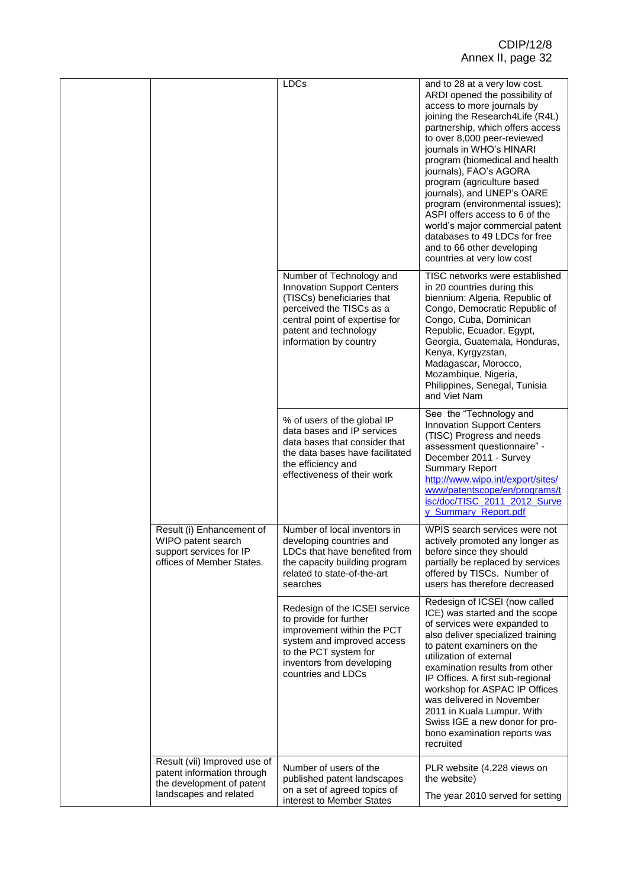|  |                                                                                                                   | LDCs                                                                                                                                                                                                         | and to 28 at a very low cost.<br>ARDI opened the possibility of<br>access to more journals by<br>joining the Research4Life (R4L)<br>partnership, which offers access<br>to over 8,000 peer-reviewed<br>journals in WHO's HINARI<br>program (biomedical and health<br>journals), FAO's AGORA<br>program (agriculture based<br>journals), and UNEP's OARE<br>program (environmental issues);<br>ASPI offers access to 6 of the<br>world's major commercial patent<br>databases to 49 LDCs for free<br>and to 66 other developing<br>countries at very low cost |
|--|-------------------------------------------------------------------------------------------------------------------|--------------------------------------------------------------------------------------------------------------------------------------------------------------------------------------------------------------|--------------------------------------------------------------------------------------------------------------------------------------------------------------------------------------------------------------------------------------------------------------------------------------------------------------------------------------------------------------------------------------------------------------------------------------------------------------------------------------------------------------------------------------------------------------|
|  |                                                                                                                   | Number of Technology and<br><b>Innovation Support Centers</b><br>(TISCs) beneficiaries that<br>perceived the TISCs as a<br>central point of expertise for<br>patent and technology<br>information by country | TISC networks were established<br>in 20 countries during this<br>biennium: Algeria, Republic of<br>Congo, Democratic Republic of<br>Congo, Cuba, Dominican<br>Republic, Ecuador, Egypt,<br>Georgia, Guatemala, Honduras,<br>Kenya, Kyrgyzstan,<br>Madagascar, Morocco,<br>Mozambique, Nigeria,<br>Philippines, Senegal, Tunisia<br>and Viet Nam                                                                                                                                                                                                              |
|  |                                                                                                                   | % of users of the global IP<br>data bases and IP services<br>data bases that consider that<br>the data bases have facilitated<br>the efficiency and<br>effectiveness of their work                           | See the "Technology and<br><b>Innovation Support Centers</b><br>(TISC) Progress and needs<br>assessment questionnaire" -<br>December 2011 - Survey<br><b>Summary Report</b><br>http://www.wipo.int/export/sites/<br>www/patentscope/en/programs/t<br>isc/doc/TISC_2011_2012_Surve<br>y Summary Report.pdf                                                                                                                                                                                                                                                    |
|  | Result (i) Enhancement of<br>WIPO patent search<br>support services for IP<br>offices of Member States.           | Number of local inventors in<br>developing countries and<br>LDCs that have benefited from<br>the capacity building program<br>related to state-of-the-art<br>searches                                        | WPIS search services were not<br>actively promoted any longer as<br>before since they should<br>partially be replaced by services<br>offered by TISCs. Number of<br>users has therefore decreased                                                                                                                                                                                                                                                                                                                                                            |
|  |                                                                                                                   | Redesign of the ICSEI service<br>to provide for further<br>improvement within the PCT<br>system and improved access<br>to the PCT system for<br>inventors from developing<br>countries and LDCs              | Redesign of ICSEI (now called<br>ICE) was started and the scope<br>of services were expanded to<br>also deliver specialized training<br>to patent examiners on the<br>utilization of external<br>examination results from other<br>IP Offices. A first sub-regional<br>workshop for ASPAC IP Offices<br>was delivered in November<br>2011 in Kuala Lumpur. With<br>Swiss IGE a new donor for pro-<br>bono examination reports was<br>recruited                                                                                                               |
|  | Result (vii) Improved use of<br>patent information through<br>the development of patent<br>landscapes and related | Number of users of the<br>published patent landscapes<br>on a set of agreed topics of<br>interest to Member States                                                                                           | PLR website (4,228 views on<br>the website)<br>The year 2010 served for setting                                                                                                                                                                                                                                                                                                                                                                                                                                                                              |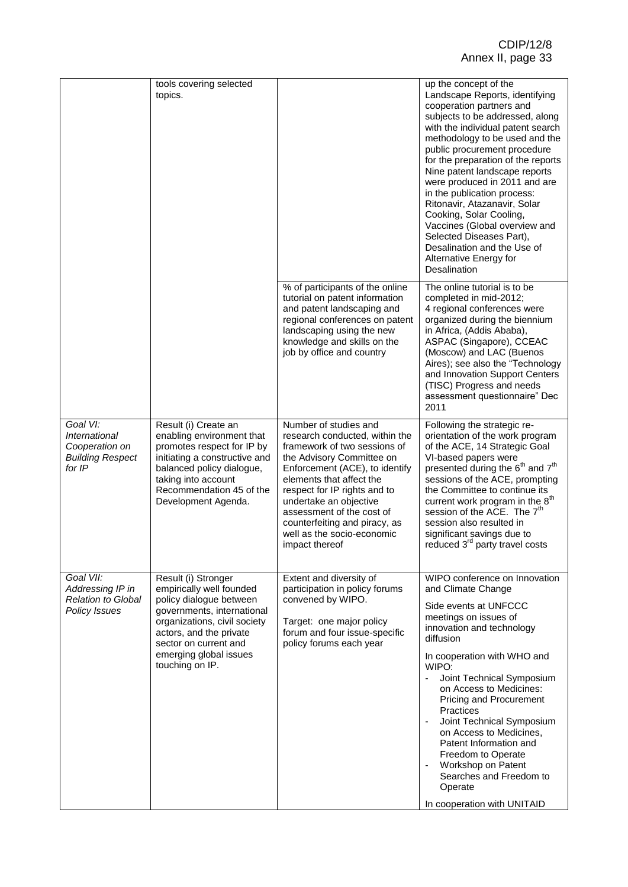|                                                                                  | tools covering selected<br>topics.                                                                                                                                                                                                        |                                                                                                                                                                                                                                                                                                                                                            | up the concept of the<br>Landscape Reports, identifying<br>cooperation partners and<br>subjects to be addressed, along<br>with the individual patent search<br>methodology to be used and the<br>public procurement procedure<br>for the preparation of the reports<br>Nine patent landscape reports<br>were produced in 2011 and are<br>in the publication process:<br>Ritonavir, Atazanavir, Solar<br>Cooking, Solar Cooling,<br>Vaccines (Global overview and<br>Selected Diseases Part),<br>Desalination and the Use of<br>Alternative Energy for<br>Desalination |
|----------------------------------------------------------------------------------|-------------------------------------------------------------------------------------------------------------------------------------------------------------------------------------------------------------------------------------------|------------------------------------------------------------------------------------------------------------------------------------------------------------------------------------------------------------------------------------------------------------------------------------------------------------------------------------------------------------|-----------------------------------------------------------------------------------------------------------------------------------------------------------------------------------------------------------------------------------------------------------------------------------------------------------------------------------------------------------------------------------------------------------------------------------------------------------------------------------------------------------------------------------------------------------------------|
|                                                                                  |                                                                                                                                                                                                                                           | % of participants of the online<br>tutorial on patent information<br>and patent landscaping and<br>regional conferences on patent<br>landscaping using the new<br>knowledge and skills on the<br>job by office and country                                                                                                                                 | The online tutorial is to be<br>completed in mid-2012;<br>4 regional conferences were<br>organized during the biennium<br>in Africa, (Addis Ababa),<br>ASPAC (Singapore), CCEAC<br>(Moscow) and LAC (Buenos<br>Aires); see also the "Technology<br>and Innovation Support Centers<br>(TISC) Progress and needs<br>assessment questionnaire" Dec<br>2011                                                                                                                                                                                                               |
| Goal VI:<br>International<br>Cooperation on<br><b>Building Respect</b><br>for IP | Result (i) Create an<br>enabling environment that<br>promotes respect for IP by<br>initiating a constructive and<br>balanced policy dialogue,<br>taking into account<br>Recommendation 45 of the<br>Development Agenda.                   | Number of studies and<br>research conducted, within the<br>framework of two sessions of<br>the Advisory Committee on<br>Enforcement (ACE), to identify<br>elements that affect the<br>respect for IP rights and to<br>undertake an objective<br>assessment of the cost of<br>counterfeiting and piracy, as<br>well as the socio-economic<br>impact thereof | Following the strategic re-<br>orientation of the work program<br>of the ACE, 14 Strategic Goal<br>VI-based papers were<br>presented during the 6 <sup>th</sup> and 7 <sup>th</sup><br>sessions of the ACE, prompting<br>the Committee to continue its<br>current work program in the 8 <sup>th</sup><br>session of the ACE. The 7 <sup>th</sup><br>session also resulted in<br>significant savings due to<br>reduced 3 <sup>rd</sup> party travel costs                                                                                                              |
| Goal VII:<br>Addressing IP in<br><b>Relation to Global</b><br>Policy Issues      | Result (i) Stronger<br>empirically well founded<br>policy dialogue between<br>governments, international<br>organizations, civil society<br>actors, and the private<br>sector on current and<br>emerging global issues<br>touching on IP. | Extent and diversity of<br>participation in policy forums<br>convened by WIPO.<br>Target: one major policy<br>forum and four issue-specific<br>policy forums each year                                                                                                                                                                                     | WIPO conference on Innovation<br>and Climate Change<br>Side events at UNFCCC<br>meetings on issues of<br>innovation and technology<br>diffusion<br>In cooperation with WHO and<br>WIPO:<br>Joint Technical Symposium<br>on Access to Medicines:<br>Pricing and Procurement<br>Practices<br>$\Box$<br>Joint Technical Symposium<br>on Access to Medicines,<br>Patent Information and<br>Freedom to Operate<br>Workshop on Patent<br>Searches and Freedom to<br>Operate<br>In cooperation with UNITAID                                                                  |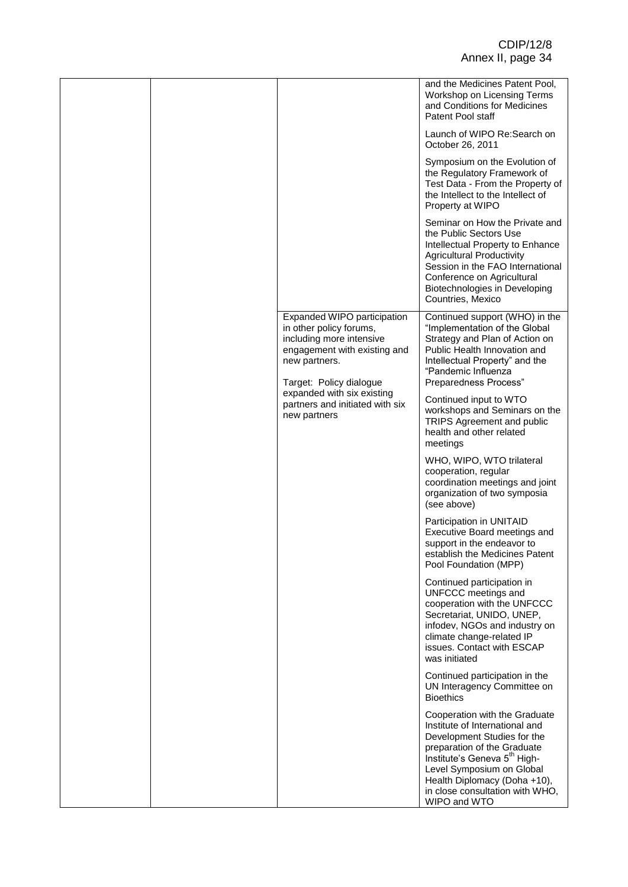|  |                                                                               |                                                                                                                                                                | and the Medicines Patent Pool,<br>Workshop on Licensing Terms<br>and Conditions for Medicines<br>Patent Pool staff                                                                                                                                                                        |
|--|-------------------------------------------------------------------------------|----------------------------------------------------------------------------------------------------------------------------------------------------------------|-------------------------------------------------------------------------------------------------------------------------------------------------------------------------------------------------------------------------------------------------------------------------------------------|
|  |                                                                               |                                                                                                                                                                | Launch of WIPO Re: Search on<br>October 26, 2011                                                                                                                                                                                                                                          |
|  |                                                                               |                                                                                                                                                                | Symposium on the Evolution of<br>the Regulatory Framework of<br>Test Data - From the Property of<br>the Intellect to the Intellect of<br>Property at WIPO                                                                                                                                 |
|  |                                                                               |                                                                                                                                                                | Seminar on How the Private and<br>the Public Sectors Use<br>Intellectual Property to Enhance<br><b>Agricultural Productivity</b><br>Session in the FAO International<br>Conference on Agricultural<br>Biotechnologies in Developing<br>Countries, Mexico                                  |
|  |                                                                               | Expanded WIPO participation<br>in other policy forums,<br>including more intensive<br>engagement with existing and<br>new partners.<br>Target: Policy dialogue | Continued support (WHO) in the<br>"Implementation of the Global<br>Strategy and Plan of Action on<br>Public Health Innovation and<br>Intellectual Property" and the<br>"Pandemic Influenza<br>Preparedness Process"                                                                       |
|  | expanded with six existing<br>partners and initiated with six<br>new partners | Continued input to WTO<br>workshops and Seminars on the<br>TRIPS Agreement and public<br>health and other related<br>meetings                                  |                                                                                                                                                                                                                                                                                           |
|  |                                                                               |                                                                                                                                                                | WHO, WIPO, WTO trilateral<br>cooperation, regular<br>coordination meetings and joint<br>organization of two symposia<br>(see above)                                                                                                                                                       |
|  |                                                                               |                                                                                                                                                                | Participation in UNITAID<br>Executive Board meetings and<br>support in the endeavor to<br>establish the Medicines Patent<br>Pool Foundation (MPP)                                                                                                                                         |
|  |                                                                               |                                                                                                                                                                | Continued participation in<br>UNFCCC meetings and<br>cooperation with the UNFCCC<br>Secretariat, UNIDO, UNEP,<br>infodev, NGOs and industry on<br>climate change-related IP<br>issues. Contact with ESCAP<br>was initiated                                                                |
|  |                                                                               |                                                                                                                                                                | Continued participation in the<br>UN Interagency Committee on<br><b>Bioethics</b>                                                                                                                                                                                                         |
|  |                                                                               |                                                                                                                                                                | Cooperation with the Graduate<br>Institute of International and<br>Development Studies for the<br>preparation of the Graduate<br>Institute's Geneva 5 <sup>th</sup> High-<br>Level Symposium on Global<br>Health Diplomacy (Doha +10),<br>in close consultation with WHO,<br>WIPO and WTO |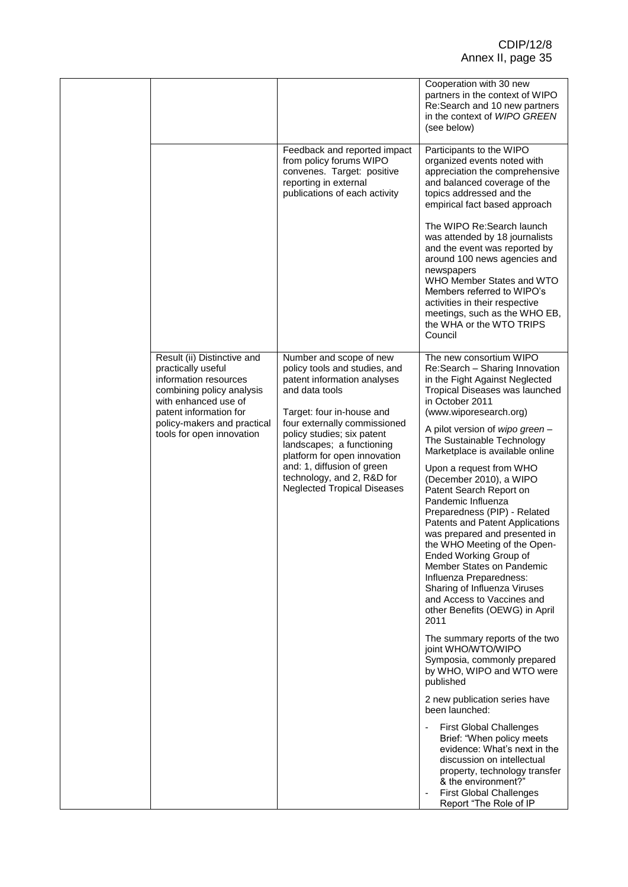|                                                                                                                                                                                                                       |                                                                                                                                                                                                                                                                                                                                                                     | Cooperation with 30 new<br>partners in the context of WIPO<br>Re:Search and 10 new partners<br>in the context of WIPO GREEN<br>(see below)                                                                                                                                                                                                                                                                                                                                                                                                                                                                                                                                                                                                                                                                                                                                                                                                                                                                                                                                                                                                               |
|-----------------------------------------------------------------------------------------------------------------------------------------------------------------------------------------------------------------------|---------------------------------------------------------------------------------------------------------------------------------------------------------------------------------------------------------------------------------------------------------------------------------------------------------------------------------------------------------------------|----------------------------------------------------------------------------------------------------------------------------------------------------------------------------------------------------------------------------------------------------------------------------------------------------------------------------------------------------------------------------------------------------------------------------------------------------------------------------------------------------------------------------------------------------------------------------------------------------------------------------------------------------------------------------------------------------------------------------------------------------------------------------------------------------------------------------------------------------------------------------------------------------------------------------------------------------------------------------------------------------------------------------------------------------------------------------------------------------------------------------------------------------------|
|                                                                                                                                                                                                                       | Feedback and reported impact<br>from policy forums WIPO<br>convenes. Target: positive<br>reporting in external<br>publications of each activity                                                                                                                                                                                                                     | Participants to the WIPO<br>organized events noted with<br>appreciation the comprehensive<br>and balanced coverage of the<br>topics addressed and the<br>empirical fact based approach                                                                                                                                                                                                                                                                                                                                                                                                                                                                                                                                                                                                                                                                                                                                                                                                                                                                                                                                                                   |
|                                                                                                                                                                                                                       |                                                                                                                                                                                                                                                                                                                                                                     | The WIPO Re: Search launch<br>was attended by 18 journalists<br>and the event was reported by<br>around 100 news agencies and<br>newspapers<br>WHO Member States and WTO<br>Members referred to WIPO's<br>activities in their respective<br>meetings, such as the WHO EB,<br>the WHA or the WTO TRIPS<br>Council                                                                                                                                                                                                                                                                                                                                                                                                                                                                                                                                                                                                                                                                                                                                                                                                                                         |
| Result (ii) Distinctive and<br>practically useful<br>information resources<br>combining policy analysis<br>with enhanced use of<br>patent information for<br>policy-makers and practical<br>tools for open innovation | Number and scope of new<br>policy tools and studies, and<br>patent information analyses<br>and data tools<br>Target: four in-house and<br>four externally commissioned<br>policy studies; six patent<br>landscapes; a functioning<br>platform for open innovation<br>and: 1, diffusion of green<br>technology, and 2, R&D for<br><b>Neglected Tropical Diseases</b> | The new consortium WIPO<br>Re:Search - Sharing Innovation<br>in the Fight Against Neglected<br>Tropical Diseases was launched<br>in October 2011<br>(www.wiporesearch.org)<br>A pilot version of wipo green -<br>The Sustainable Technology<br>Marketplace is available online<br>Upon a request from WHO<br>(December 2010), a WIPO<br>Patent Search Report on<br>Pandemic Influenza<br>Preparedness (PIP) - Related<br>Patents and Patent Applications<br>was prepared and presented in<br>the WHO Meeting of the Open-<br>Ended Working Group of<br>Member States on Pandemic<br>Influenza Preparedness:<br>Sharing of Influenza Viruses<br>and Access to Vaccines and<br>other Benefits (OEWG) in April<br>2011<br>The summary reports of the two<br>joint WHO/WTO/WIPO<br>Symposia, commonly prepared<br>by WHO, WIPO and WTO were<br>published<br>2 new publication series have<br>been launched:<br><b>First Global Challenges</b><br>Brief: "When policy meets<br>evidence: What's next in the<br>discussion on intellectual<br>property, technology transfer<br>& the environment?"<br><b>First Global Challenges</b><br>Report "The Role of IP |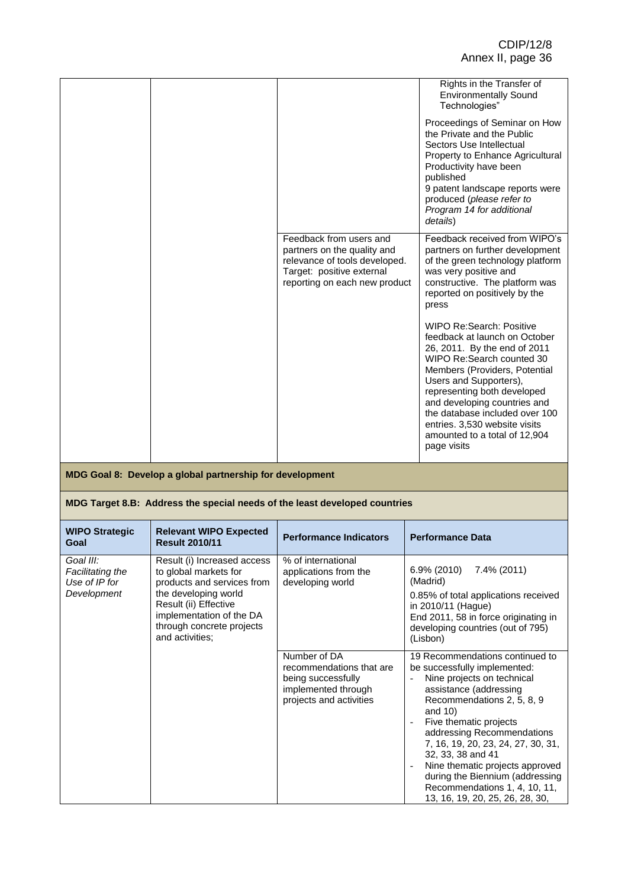| Feedback from users and<br>partners on the quality and<br>relevance of tools developed.<br>Target: positive external<br>reporting on each new product | Proceedings of Seminar on How<br>the Private and the Public<br>Sectors Use Intellectual<br>Property to Enhance Agricultural<br>Productivity have been<br>published<br>9 patent landscape reports were<br>produced (please refer to<br>Program 14 for additional<br>details)<br>Feedback received from WIPO's<br>partners on further development<br>of the green technology platform<br>was very positive and<br>constructive. The platform was<br>reported on positively by the<br>press<br><b>WIPO Re:Search: Positive</b> |
|-------------------------------------------------------------------------------------------------------------------------------------------------------|-----------------------------------------------------------------------------------------------------------------------------------------------------------------------------------------------------------------------------------------------------------------------------------------------------------------------------------------------------------------------------------------------------------------------------------------------------------------------------------------------------------------------------|
|                                                                                                                                                       | feedback at launch on October<br>26, 2011. By the end of 2011<br>WIPO Re:Search counted 30<br>Members (Providers, Potential<br>Users and Supporters),<br>representing both developed<br>and developing countries and<br>the database included over 100<br>entries. 3,530 website visits<br>amounted to a total of 12,904<br>page visits                                                                                                                                                                                     |

## **MDG Target 8.B: Address the special needs of the least developed countries**

| <b>WIPO Strategic</b><br>Goal                                 | <b>Relevant WIPO Expected</b><br><b>Result 2010/11</b>                                                                                                                                                          | <b>Performance Indicators</b>                                                                                    | <b>Performance Data</b>                                                                                                                                                                                                                                                                                                                                                                                                          |
|---------------------------------------------------------------|-----------------------------------------------------------------------------------------------------------------------------------------------------------------------------------------------------------------|------------------------------------------------------------------------------------------------------------------|----------------------------------------------------------------------------------------------------------------------------------------------------------------------------------------------------------------------------------------------------------------------------------------------------------------------------------------------------------------------------------------------------------------------------------|
| Goal III:<br>Facilitating the<br>Use of IP for<br>Development | Result (i) Increased access<br>to global markets for<br>products and services from<br>the developing world<br>Result (ii) Effective<br>implementation of the DA<br>through concrete projects<br>and activities; | % of international<br>applications from the<br>developing world                                                  | 6.9% (2010)<br>7.4% (2011)<br>(Madrid)<br>0.85% of total applications received<br>in 2010/11 (Hague)<br>End 2011, 58 in force originating in<br>developing countries (out of 795)<br>(Lisbon)                                                                                                                                                                                                                                    |
|                                                               |                                                                                                                                                                                                                 | Number of DA<br>recommendations that are<br>being successfully<br>implemented through<br>projects and activities | 19 Recommendations continued to<br>be successfully implemented:<br>Nine projects on technical<br>assistance (addressing<br>Recommendations 2, 5, 8, 9<br>and $10$ )<br>Five thematic projects<br>addressing Recommendations<br>7, 16, 19, 20, 23, 24, 27, 30, 31,<br>32, 33, 38 and 41<br>Nine thematic projects approved<br>during the Biennium (addressing<br>Recommendations 1, 4, 10, 11,<br>13, 16, 19, 20, 25, 26, 28, 30, |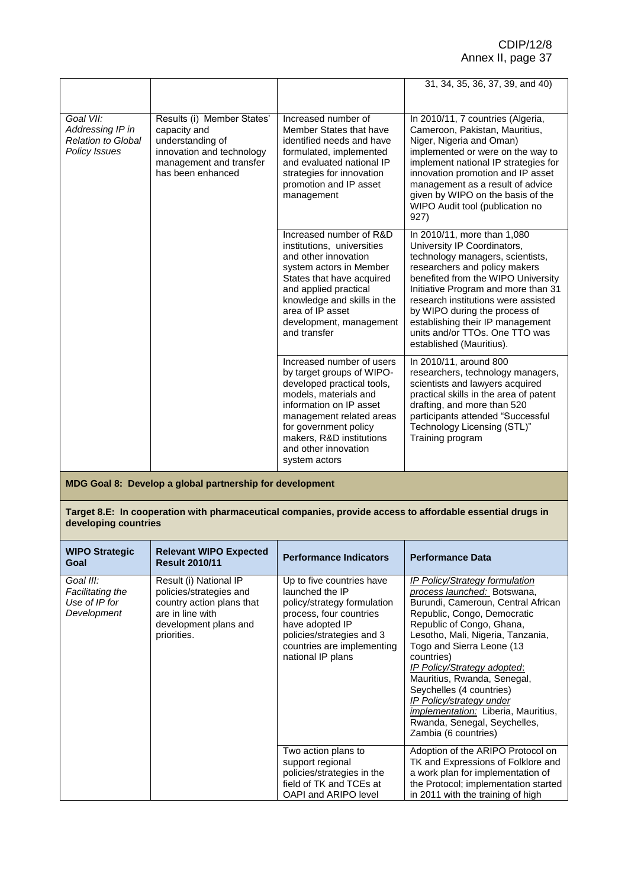|                                                                                    |                                                                                                                                             |                                                                                                                                                                                                                                                                    | 31, 34, 35, 36, 37, 39, and 40)                                                                                                                                                                                                                                                                                                                                                        |
|------------------------------------------------------------------------------------|---------------------------------------------------------------------------------------------------------------------------------------------|--------------------------------------------------------------------------------------------------------------------------------------------------------------------------------------------------------------------------------------------------------------------|----------------------------------------------------------------------------------------------------------------------------------------------------------------------------------------------------------------------------------------------------------------------------------------------------------------------------------------------------------------------------------------|
|                                                                                    |                                                                                                                                             |                                                                                                                                                                                                                                                                    |                                                                                                                                                                                                                                                                                                                                                                                        |
| Goal VII:<br>Addressing IP in<br><b>Relation to Global</b><br><b>Policy Issues</b> | Results (i) Member States'<br>capacity and<br>understanding of<br>innovation and technology<br>management and transfer<br>has been enhanced | Increased number of<br>Member States that have<br>identified needs and have<br>formulated, implemented<br>and evaluated national IP<br>strategies for innovation<br>promotion and IP asset<br>management                                                           | In 2010/11, 7 countries (Algeria,<br>Cameroon, Pakistan, Mauritius,<br>Niger, Nigeria and Oman)<br>implemented or were on the way to<br>implement national IP strategies for<br>innovation promotion and IP asset<br>management as a result of advice<br>given by WIPO on the basis of the<br>WIPO Audit tool (publication no<br>927)                                                  |
|                                                                                    |                                                                                                                                             | Increased number of R&D<br>institutions, universities<br>and other innovation<br>system actors in Member<br>States that have acquired<br>and applied practical<br>knowledge and skills in the<br>area of IP asset<br>development, management<br>and transfer       | In 2010/11, more than 1,080<br>University IP Coordinators,<br>technology managers, scientists,<br>researchers and policy makers<br>benefited from the WIPO University<br>Initiative Program and more than 31<br>research institutions were assisted<br>by WIPO during the process of<br>establishing their IP management<br>units and/or TTOs. One TTO was<br>established (Mauritius). |
|                                                                                    |                                                                                                                                             | Increased number of users<br>by target groups of WIPO-<br>developed practical tools,<br>models, materials and<br>information on IP asset<br>management related areas<br>for government policy<br>makers, R&D institutions<br>and other innovation<br>system actors | In 2010/11, around 800<br>researchers, technology managers,<br>scientists and lawyers acquired<br>practical skills in the area of patent<br>drafting, and more than 520<br>participants attended "Successful<br>Technology Licensing (STL)"<br>Training program                                                                                                                        |

**Target 8.E: In cooperation with pharmaceutical companies, provide access to affordable essential drugs in developing countries**

| <b>WIPO Strategic</b><br>Goal                                 | <b>Relevant WIPO Expected</b><br><b>Result 2010/11</b>                                                                                     | <b>Performance Indicators</b>                                                                                                                                                                             | <b>Performance Data</b>                                                                                                                                                                                                                                                                                                                                                                                                                                                     |
|---------------------------------------------------------------|--------------------------------------------------------------------------------------------------------------------------------------------|-----------------------------------------------------------------------------------------------------------------------------------------------------------------------------------------------------------|-----------------------------------------------------------------------------------------------------------------------------------------------------------------------------------------------------------------------------------------------------------------------------------------------------------------------------------------------------------------------------------------------------------------------------------------------------------------------------|
| Goal III:<br>Facilitating the<br>Use of IP for<br>Development | Result (i) National IP<br>policies/strategies and<br>country action plans that<br>are in line with<br>development plans and<br>priorities. | Up to five countries have<br>launched the IP<br>policy/strategy formulation<br>process, four countries<br>have adopted IP<br>policies/strategies and 3<br>countries are implementing<br>national IP plans | IP Policy/Strategy formulation<br>process launched: Botswana,<br>Burundi, Cameroun, Central African<br>Republic, Congo, Democratic<br>Republic of Congo, Ghana,<br>Lesotho, Mali, Nigeria, Tanzania,<br>Togo and Sierra Leone (13<br>countries)<br>IP Policy/Strategy adopted:<br>Mauritius, Rwanda, Senegal,<br>Seychelles (4 countries)<br>IP Policy/strategy under<br><i>implementation:</i> Liberia, Mauritius,<br>Rwanda, Senegal, Seychelles,<br>Zambia (6 countries) |
|                                                               |                                                                                                                                            | Two action plans to<br>support regional<br>policies/strategies in the<br>field of TK and TCEs at<br>OAPI and ARIPO level                                                                                  | Adoption of the ARIPO Protocol on<br>TK and Expressions of Folklore and<br>a work plan for implementation of<br>the Protocol; implementation started<br>in 2011 with the training of high                                                                                                                                                                                                                                                                                   |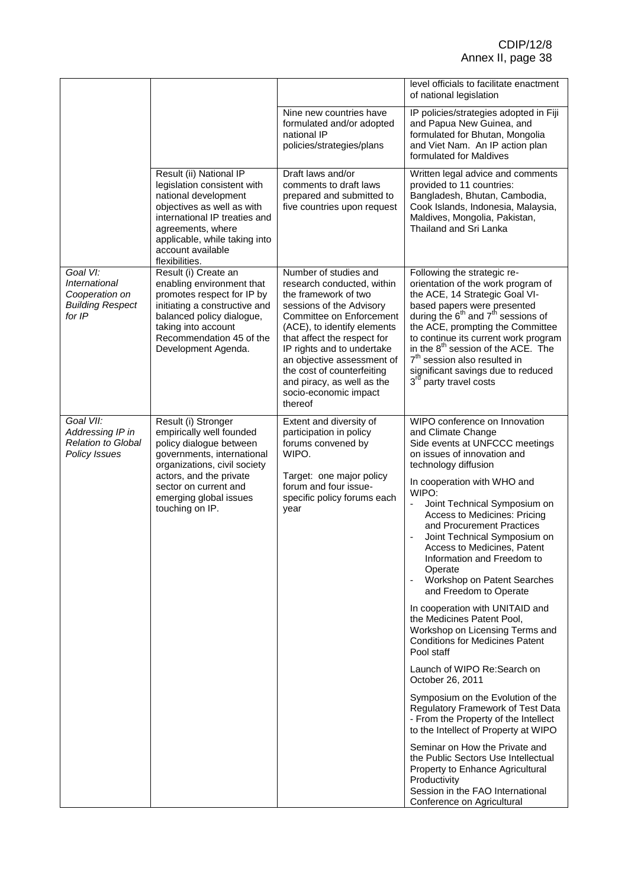|                                                                                  |                                                                                                                                                                                                                                            |                                                                                                                                                                                                                                                                                                                                                               | level officials to facilitate enactment<br>of national legislation                                                                                                                                                                                                                                                                                                                                                                                                                                                                                                                                                                                                                                                                                                                                                                                                                                                                                                                                                         |
|----------------------------------------------------------------------------------|--------------------------------------------------------------------------------------------------------------------------------------------------------------------------------------------------------------------------------------------|---------------------------------------------------------------------------------------------------------------------------------------------------------------------------------------------------------------------------------------------------------------------------------------------------------------------------------------------------------------|----------------------------------------------------------------------------------------------------------------------------------------------------------------------------------------------------------------------------------------------------------------------------------------------------------------------------------------------------------------------------------------------------------------------------------------------------------------------------------------------------------------------------------------------------------------------------------------------------------------------------------------------------------------------------------------------------------------------------------------------------------------------------------------------------------------------------------------------------------------------------------------------------------------------------------------------------------------------------------------------------------------------------|
|                                                                                  |                                                                                                                                                                                                                                            | Nine new countries have<br>formulated and/or adopted<br>national IP<br>policies/strategies/plans                                                                                                                                                                                                                                                              | IP policies/strategies adopted in Fiji<br>and Papua New Guinea, and<br>formulated for Bhutan, Mongolia<br>and Viet Nam. An IP action plan<br>formulated for Maldives                                                                                                                                                                                                                                                                                                                                                                                                                                                                                                                                                                                                                                                                                                                                                                                                                                                       |
|                                                                                  | Result (ii) National IP<br>legislation consistent with<br>national development<br>objectives as well as with<br>international IP treaties and<br>agreements, where<br>applicable, while taking into<br>account available<br>flexibilities. | Draft laws and/or<br>comments to draft laws<br>prepared and submitted to<br>five countries upon request                                                                                                                                                                                                                                                       | Written legal advice and comments<br>provided to 11 countries:<br>Bangladesh, Bhutan, Cambodia,<br>Cook Islands, Indonesia, Malaysia,<br>Maldives, Mongolia, Pakistan,<br>Thailand and Sri Lanka                                                                                                                                                                                                                                                                                                                                                                                                                                                                                                                                                                                                                                                                                                                                                                                                                           |
| Goal VI:<br>International<br>Cooperation on<br><b>Building Respect</b><br>for IP | Result (i) Create an<br>enabling environment that<br>promotes respect for IP by<br>initiating a constructive and<br>balanced policy dialogue,<br>taking into account<br>Recommendation 45 of the<br>Development Agenda.                    | Number of studies and<br>research conducted, within<br>the framework of two<br>sessions of the Advisory<br>Committee on Enforcement<br>(ACE), to identify elements<br>that affect the respect for<br>IP rights and to undertake<br>an objective assessment of<br>the cost of counterfeiting<br>and piracy, as well as the<br>socio-economic impact<br>thereof | Following the strategic re-<br>orientation of the work program of<br>the ACE, 14 Strategic Goal VI-<br>based papers were presented<br>during the 6 <sup>th</sup> and 7 <sup>th</sup> sessions of<br>the ACE, prompting the Committee<br>to continue its current work program<br>in the 8 <sup>th</sup> session of the ACE. The<br>7 <sup>th</sup> session also resulted in<br>significant savings due to reduced<br>3 <sup>rd</sup> party travel costs                                                                                                                                                                                                                                                                                                                                                                                                                                                                                                                                                                     |
| Goal VII:<br>Addressing IP in<br><b>Relation to Global</b><br>Policy Issues      | Result (i) Stronger<br>empirically well founded<br>policy dialogue between<br>governments, international<br>organizations, civil society<br>actors, and the private<br>sector on current and<br>emerging global issues<br>touching on IP.  | Extent and diversity of<br>participation in policy<br>forums convened by<br>WIPO.<br>Target: one major policy<br>forum and four issue-<br>specific policy forums each<br>year                                                                                                                                                                                 | WIPO conference on Innovation<br>and Climate Change<br>Side events at UNFCCC meetings<br>on issues of innovation and<br>technology diffusion<br>In cooperation with WHO and<br>WIPO:<br>Joint Technical Symposium on<br>Access to Medicines: Pricing<br>and Procurement Practices<br>Joint Technical Symposium on<br>Access to Medicines, Patent<br>Information and Freedom to<br>Operate<br>Workshop on Patent Searches<br>and Freedom to Operate<br>In cooperation with UNITAID and<br>the Medicines Patent Pool,<br>Workshop on Licensing Terms and<br><b>Conditions for Medicines Patent</b><br>Pool staff<br>Launch of WIPO Re:Search on<br>October 26, 2011<br>Symposium on the Evolution of the<br>Regulatory Framework of Test Data<br>- From the Property of the Intellect<br>to the Intellect of Property at WIPO<br>Seminar on How the Private and<br>the Public Sectors Use Intellectual<br>Property to Enhance Agricultural<br>Productivity<br>Session in the FAO International<br>Conference on Agricultural |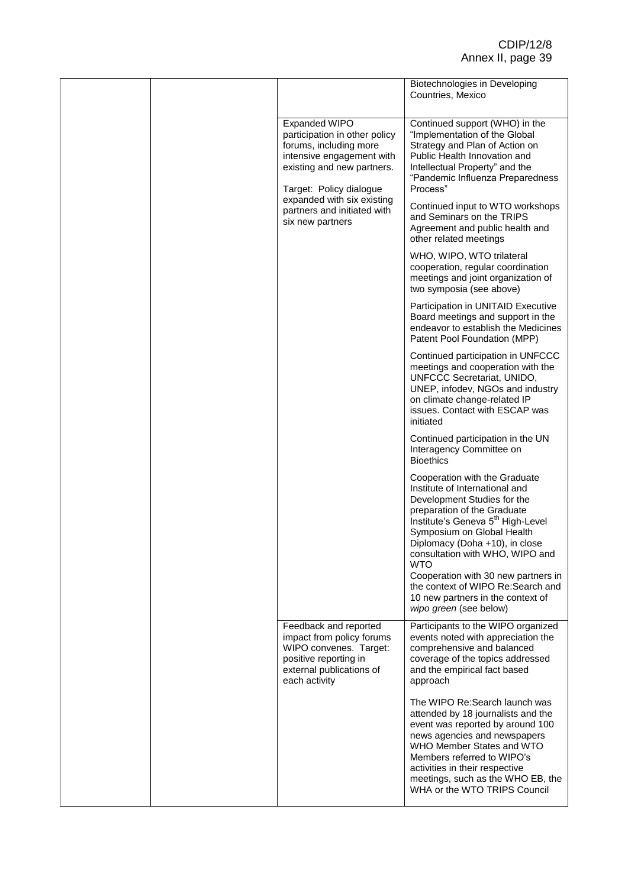|  |                                                                                                                                                                                              |                                                                                                                                                                                                                     | Biotechnologies in Developing<br>Countries, Mexico                                                                                                                                                                                                                                                                                                                                                                                          |
|--|----------------------------------------------------------------------------------------------------------------------------------------------------------------------------------------------|---------------------------------------------------------------------------------------------------------------------------------------------------------------------------------------------------------------------|---------------------------------------------------------------------------------------------------------------------------------------------------------------------------------------------------------------------------------------------------------------------------------------------------------------------------------------------------------------------------------------------------------------------------------------------|
|  | Expanded WIPO<br>participation in other policy<br>forums, including more<br>intensive engagement with<br>existing and new partners.<br>Target: Policy dialogue<br>expanded with six existing | Continued support (WHO) in the<br>"Implementation of the Global<br>Strategy and Plan of Action on<br>Public Health Innovation and<br>Intellectual Property" and the<br>"Pandemic Influenza Preparedness<br>Process" |                                                                                                                                                                                                                                                                                                                                                                                                                                             |
|  |                                                                                                                                                                                              | partners and initiated with<br>six new partners                                                                                                                                                                     | Continued input to WTO workshops<br>and Seminars on the TRIPS<br>Agreement and public health and<br>other related meetings                                                                                                                                                                                                                                                                                                                  |
|  |                                                                                                                                                                                              |                                                                                                                                                                                                                     | WHO, WIPO, WTO trilateral<br>cooperation, regular coordination<br>meetings and joint organization of<br>two symposia (see above)                                                                                                                                                                                                                                                                                                            |
|  |                                                                                                                                                                                              |                                                                                                                                                                                                                     | Participation in UNITAID Executive<br>Board meetings and support in the<br>endeavor to establish the Medicines<br>Patent Pool Foundation (MPP)                                                                                                                                                                                                                                                                                              |
|  |                                                                                                                                                                                              |                                                                                                                                                                                                                     | Continued participation in UNFCCC<br>meetings and cooperation with the<br>UNFCCC Secretariat, UNIDO,<br>UNEP, infodev, NGOs and industry<br>on climate change-related IP<br>issues. Contact with ESCAP was<br>initiated                                                                                                                                                                                                                     |
|  |                                                                                                                                                                                              |                                                                                                                                                                                                                     | Continued participation in the UN<br>Interagency Committee on<br><b>Bioethics</b>                                                                                                                                                                                                                                                                                                                                                           |
|  |                                                                                                                                                                                              |                                                                                                                                                                                                                     | Cooperation with the Graduate<br>Institute of International and<br>Development Studies for the<br>preparation of the Graduate<br>Institute's Geneva 5 <sup>th</sup> High-Level<br>Symposium on Global Health<br>Diplomacy (Doha +10), in close<br>consultation with WHO, WIPO and<br><b>WTO</b><br>Cooperation with 30 new partners in<br>the context of WIPO Re: Search and<br>10 new partners in the context of<br>wipo green (see below) |
|  |                                                                                                                                                                                              | Feedback and reported<br>impact from policy forums<br>WIPO convenes. Target:<br>positive reporting in<br>external publications of<br>each activity                                                                  | Participants to the WIPO organized<br>events noted with appreciation the<br>comprehensive and balanced<br>coverage of the topics addressed<br>and the empirical fact based<br>approach                                                                                                                                                                                                                                                      |
|  |                                                                                                                                                                                              |                                                                                                                                                                                                                     | The WIPO Re: Search launch was<br>attended by 18 journalists and the<br>event was reported by around 100<br>news agencies and newspapers<br>WHO Member States and WTO<br>Members referred to WIPO's<br>activities in their respective<br>meetings, such as the WHO EB, the<br>WHA or the WTO TRIPS Council                                                                                                                                  |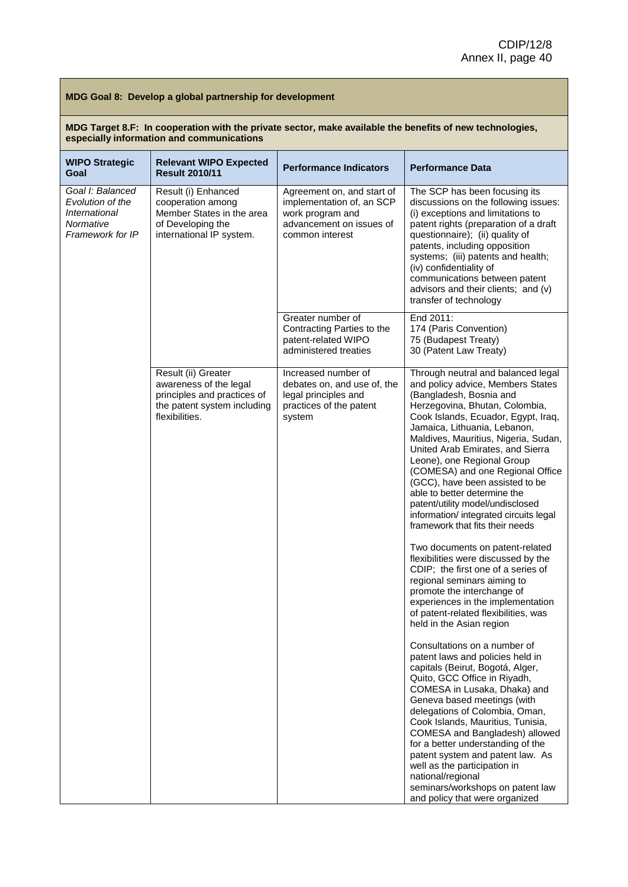| MDG Target 8.F: In cooperation with the private sector, make available the benefits of new technologies, |
|----------------------------------------------------------------------------------------------------------|
| especially information and communications                                                                |

| <b>WIPO Strategic</b><br>Goal                                                          | <b>Relevant WIPO Expected</b><br><b>Result 2010/11</b>                                                                        | <b>Performance Indicators</b>                                                                                              | <b>Performance Data</b>                                                                                                                                                                                                                                                                                                                                                                                                                                                                                                                       |
|----------------------------------------------------------------------------------------|-------------------------------------------------------------------------------------------------------------------------------|----------------------------------------------------------------------------------------------------------------------------|-----------------------------------------------------------------------------------------------------------------------------------------------------------------------------------------------------------------------------------------------------------------------------------------------------------------------------------------------------------------------------------------------------------------------------------------------------------------------------------------------------------------------------------------------|
| Goal I: Balanced<br>Evolution of the<br>International<br>Normative<br>Framework for IP | Result (i) Enhanced<br>cooperation among<br>Member States in the area<br>of Developing the<br>international IP system.        | Agreement on, and start of<br>implementation of, an SCP<br>work program and<br>advancement on issues of<br>common interest | The SCP has been focusing its<br>discussions on the following issues:<br>(i) exceptions and limitations to<br>patent rights (preparation of a draft<br>questionnaire); (ii) quality of<br>patents, including opposition<br>systems; (iii) patents and health;<br>(iv) confidentiality of<br>communications between patent<br>advisors and their clients; and (v)<br>transfer of technology                                                                                                                                                    |
|                                                                                        |                                                                                                                               | Greater number of<br>Contracting Parties to the<br>patent-related WIPO<br>administered treaties                            | End 2011:<br>174 (Paris Convention)<br>75 (Budapest Treaty)<br>30 (Patent Law Treaty)                                                                                                                                                                                                                                                                                                                                                                                                                                                         |
|                                                                                        | Result (ii) Greater<br>awareness of the legal<br>principles and practices of<br>the patent system including<br>flexibilities. | Increased number of<br>debates on, and use of, the<br>legal principles and<br>practices of the patent<br>system            | Through neutral and balanced legal<br>and policy advice, Members States<br>(Bangladesh, Bosnia and<br>Herzegovina, Bhutan, Colombia,<br>Cook Islands, Ecuador, Egypt, Iraq,<br>Jamaica, Lithuania, Lebanon,<br>Maldives, Mauritius, Nigeria, Sudan,<br>United Arab Emirates, and Sierra<br>Leone), one Regional Group<br>(COMESA) and one Regional Office<br>(GCC), have been assisted to be<br>able to better determine the<br>patent/utility model/undisclosed<br>information/ integrated circuits legal<br>framework that fits their needs |
|                                                                                        |                                                                                                                               |                                                                                                                            | Two documents on patent-related<br>flexibilities were discussed by the<br>CDIP; the first one of a series of<br>regional seminars aiming to<br>promote the interchange of<br>experiences in the implementation<br>of patent-related flexibilities, was<br>held in the Asian region                                                                                                                                                                                                                                                            |
|                                                                                        |                                                                                                                               |                                                                                                                            | Consultations on a number of<br>patent laws and policies held in<br>capitals (Beirut, Bogotá, Alger,<br>Quito, GCC Office in Riyadh,<br>COMESA in Lusaka, Dhaka) and<br>Geneva based meetings (with<br>delegations of Colombia, Oman,<br>Cook Islands, Mauritius, Tunisia,<br>COMESA and Bangladesh) allowed<br>for a better understanding of the<br>patent system and patent law. As<br>well as the participation in<br>national/regional<br>seminars/workshops on patent law<br>and policy that were organized                              |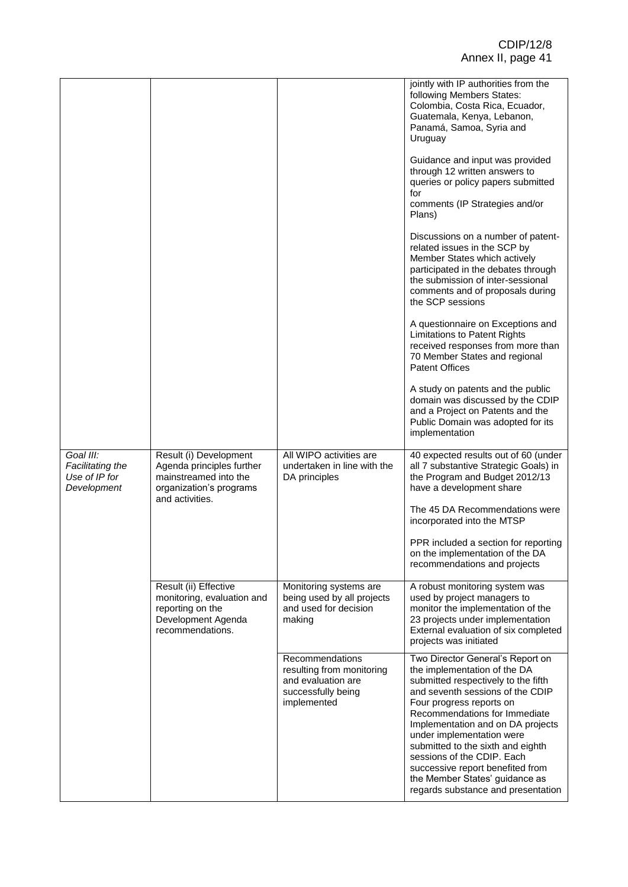|                                                               |                                                                                                                            |                                                                                                         | jointly with IP authorities from the<br>following Members States:<br>Colombia, Costa Rica, Ecuador,<br>Guatemala, Kenya, Lebanon,<br>Panamá, Samoa, Syria and<br>Uruguay                                                                                                                                                                                                                                                                                  |
|---------------------------------------------------------------|----------------------------------------------------------------------------------------------------------------------------|---------------------------------------------------------------------------------------------------------|-----------------------------------------------------------------------------------------------------------------------------------------------------------------------------------------------------------------------------------------------------------------------------------------------------------------------------------------------------------------------------------------------------------------------------------------------------------|
|                                                               |                                                                                                                            |                                                                                                         | Guidance and input was provided<br>through 12 written answers to<br>queries or policy papers submitted<br>for                                                                                                                                                                                                                                                                                                                                             |
|                                                               |                                                                                                                            |                                                                                                         | comments (IP Strategies and/or<br>Plans)                                                                                                                                                                                                                                                                                                                                                                                                                  |
|                                                               |                                                                                                                            |                                                                                                         | Discussions on a number of patent-<br>related issues in the SCP by<br>Member States which actively<br>participated in the debates through<br>the submission of inter-sessional<br>comments and of proposals during<br>the SCP sessions                                                                                                                                                                                                                    |
|                                                               |                                                                                                                            |                                                                                                         | A questionnaire on Exceptions and<br>Limitations to Patent Rights<br>received responses from more than<br>70 Member States and regional<br><b>Patent Offices</b>                                                                                                                                                                                                                                                                                          |
|                                                               |                                                                                                                            |                                                                                                         | A study on patents and the public<br>domain was discussed by the CDIP<br>and a Project on Patents and the<br>Public Domain was adopted for its<br>implementation                                                                                                                                                                                                                                                                                          |
| Goal III:<br>Facilitating the<br>Use of IP for<br>Development | Result (i) Development<br>Agenda principles further<br>mainstreamed into the<br>organization's programs<br>and activities. | All WIPO activities are<br>undertaken in line with the<br>DA principles                                 | 40 expected results out of 60 (under<br>all 7 substantive Strategic Goals) in<br>the Program and Budget 2012/13<br>have a development share                                                                                                                                                                                                                                                                                                               |
|                                                               |                                                                                                                            |                                                                                                         | The 45 DA Recommendations were<br>incorporated into the MTSP                                                                                                                                                                                                                                                                                                                                                                                              |
|                                                               |                                                                                                                            |                                                                                                         | PPR included a section for reporting<br>on the implementation of the DA<br>recommendations and projects                                                                                                                                                                                                                                                                                                                                                   |
|                                                               | Result (ii) Effective<br>monitoring, evaluation and<br>reporting on the<br>Development Agenda<br>recommendations.          | Monitoring systems are<br>being used by all projects<br>and used for decision<br>making                 | A robust monitoring system was<br>used by project managers to<br>monitor the implementation of the<br>23 projects under implementation<br>External evaluation of six completed<br>projects was initiated                                                                                                                                                                                                                                                  |
|                                                               |                                                                                                                            | Recommendations<br>resulting from monitoring<br>and evaluation are<br>successfully being<br>implemented | Two Director General's Report on<br>the implementation of the DA<br>submitted respectively to the fifth<br>and seventh sessions of the CDIP<br>Four progress reports on<br>Recommendations for Immediate<br>Implementation and on DA projects<br>under implementation were<br>submitted to the sixth and eighth<br>sessions of the CDIP. Each<br>successive report benefited from<br>the Member States' guidance as<br>regards substance and presentation |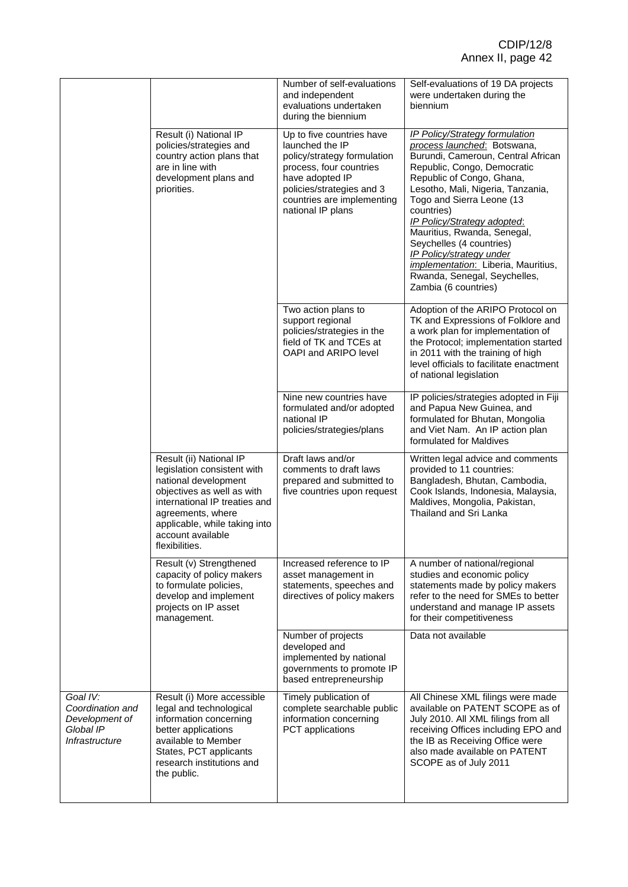|                                                                               |                                                                                                                                                                                                                                            | Number of self-evaluations<br>and independent<br>evaluations undertaken<br>during the biennium                                                                                                            | Self-evaluations of 19 DA projects<br>were undertaken during the<br>biennium                                                                                                                                                                                                                                                                                                                                                                                                       |
|-------------------------------------------------------------------------------|--------------------------------------------------------------------------------------------------------------------------------------------------------------------------------------------------------------------------------------------|-----------------------------------------------------------------------------------------------------------------------------------------------------------------------------------------------------------|------------------------------------------------------------------------------------------------------------------------------------------------------------------------------------------------------------------------------------------------------------------------------------------------------------------------------------------------------------------------------------------------------------------------------------------------------------------------------------|
|                                                                               | Result (i) National IP<br>policies/strategies and<br>country action plans that<br>are in line with<br>development plans and<br>priorities.                                                                                                 | Up to five countries have<br>launched the IP<br>policy/strategy formulation<br>process, four countries<br>have adopted IP<br>policies/strategies and 3<br>countries are implementing<br>national IP plans | <b>IP Policy/Strategy formulation</b><br>process launched: Botswana,<br>Burundi, Cameroun, Central African<br>Republic, Congo, Democratic<br>Republic of Congo, Ghana,<br>Lesotho, Mali, Nigeria, Tanzania,<br>Togo and Sierra Leone (13<br>countries)<br><b>IP Policy/Strategy adopted:</b><br>Mauritius, Rwanda, Senegal,<br>Seychelles (4 countries)<br>IP Policy/strategy under<br>implementation: Liberia, Mauritius,<br>Rwanda, Senegal, Seychelles,<br>Zambia (6 countries) |
|                                                                               |                                                                                                                                                                                                                                            | Two action plans to<br>support regional<br>policies/strategies in the<br>field of TK and TCEs at<br>OAPI and ARIPO level                                                                                  | Adoption of the ARIPO Protocol on<br>TK and Expressions of Folklore and<br>a work plan for implementation of<br>the Protocol; implementation started<br>in 2011 with the training of high<br>level officials to facilitate enactment<br>of national legislation                                                                                                                                                                                                                    |
|                                                                               |                                                                                                                                                                                                                                            | Nine new countries have<br>formulated and/or adopted<br>national IP<br>policies/strategies/plans                                                                                                          | IP policies/strategies adopted in Fiji<br>and Papua New Guinea, and<br>formulated for Bhutan, Mongolia<br>and Viet Nam. An IP action plan<br>formulated for Maldives                                                                                                                                                                                                                                                                                                               |
|                                                                               | Result (ii) National IP<br>legislation consistent with<br>national development<br>objectives as well as with<br>international IP treaties and<br>agreements, where<br>applicable, while taking into<br>account available<br>flexibilities. | Draft laws and/or<br>comments to draft laws<br>prepared and submitted to<br>five countries upon request                                                                                                   | Written legal advice and comments<br>provided to 11 countries:<br>Bangladesh, Bhutan, Cambodia,<br>Cook Islands, Indonesia, Malaysia,<br>Maldives, Mongolia, Pakistan,<br>Thailand and Sri Lanka                                                                                                                                                                                                                                                                                   |
|                                                                               | Result (v) Strengthened<br>capacity of policy makers<br>to formulate policies,<br>develop and implement<br>projects on IP asset<br>management.                                                                                             | Increased reference to IP<br>asset management in<br>statements, speeches and<br>directives of policy makers                                                                                               | A number of national/regional<br>studies and economic policy<br>statements made by policy makers<br>refer to the need for SMEs to better<br>understand and manage IP assets<br>for their competitiveness                                                                                                                                                                                                                                                                           |
|                                                                               |                                                                                                                                                                                                                                            | Number of projects<br>developed and<br>implemented by national<br>governments to promote IP<br>based entrepreneurship                                                                                     | Data not available                                                                                                                                                                                                                                                                                                                                                                                                                                                                 |
| Goal IV:<br>Coordination and<br>Development of<br>Global IP<br>Infrastructure | Result (i) More accessible<br>legal and technological<br>information concerning<br>better applications<br>available to Member<br>States, PCT applicants<br>research institutions and<br>the public.                                        | Timely publication of<br>complete searchable public<br>information concerning<br>PCT applications                                                                                                         | All Chinese XML filings were made<br>available on PATENT SCOPE as of<br>July 2010. All XML filings from all<br>receiving Offices including EPO and<br>the IB as Receiving Office were<br>also made available on PATENT<br>SCOPE as of July 2011                                                                                                                                                                                                                                    |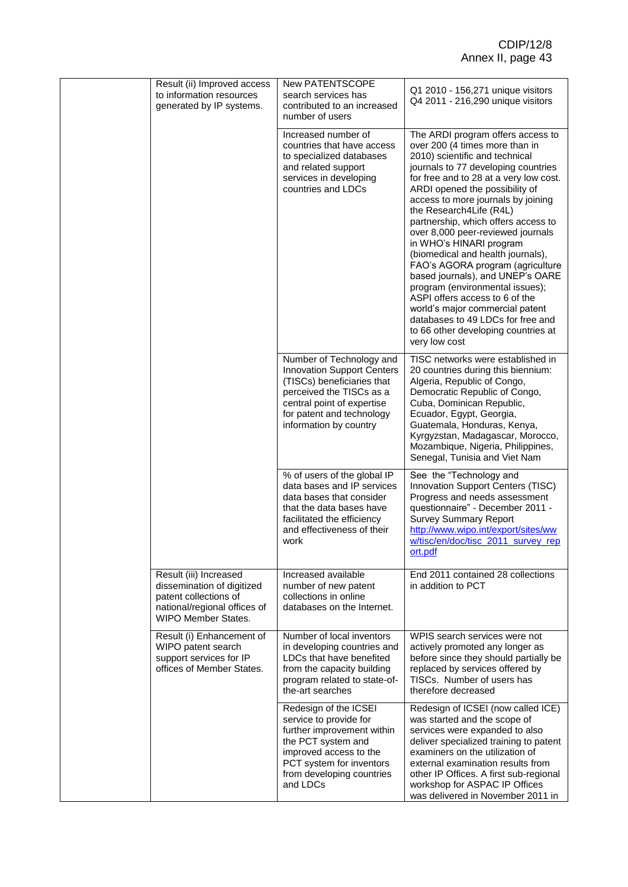| Result (ii) Improved access<br>to information resources<br>generated by IP systems.                                                  | <b>New PATENTSCOPE</b><br>search services has<br>contributed to an increased<br>number of users                                                                                                              | Q1 2010 - 156,271 unique visitors<br>Q4 2011 - 216,290 unique visitors                                                                                                                                                                                                                                                                                                                                                                                                                                                                                                                                                                                                                                             |
|--------------------------------------------------------------------------------------------------------------------------------------|--------------------------------------------------------------------------------------------------------------------------------------------------------------------------------------------------------------|--------------------------------------------------------------------------------------------------------------------------------------------------------------------------------------------------------------------------------------------------------------------------------------------------------------------------------------------------------------------------------------------------------------------------------------------------------------------------------------------------------------------------------------------------------------------------------------------------------------------------------------------------------------------------------------------------------------------|
|                                                                                                                                      | Increased number of<br>countries that have access<br>to specialized databases<br>and related support<br>services in developing<br>countries and LDCs                                                         | The ARDI program offers access to<br>over 200 (4 times more than in<br>2010) scientific and technical<br>journals to 77 developing countries<br>for free and to 28 at a very low cost.<br>ARDI opened the possibility of<br>access to more journals by joining<br>the Research4Life (R4L)<br>partnership, which offers access to<br>over 8,000 peer-reviewed journals<br>in WHO's HINARI program<br>(biomedical and health journals),<br>FAO's AGORA program (agriculture<br>based journals), and UNEP's OARE<br>program (environmental issues);<br>ASPI offers access to 6 of the<br>world's major commercial patent<br>databases to 49 LDCs for free and<br>to 66 other developing countries at<br>very low cost |
|                                                                                                                                      | Number of Technology and<br><b>Innovation Support Centers</b><br>(TISCs) beneficiaries that<br>perceived the TISCs as a<br>central point of expertise<br>for patent and technology<br>information by country | TISC networks were established in<br>20 countries during this biennium:<br>Algeria, Republic of Congo,<br>Democratic Republic of Congo,<br>Cuba, Dominican Republic,<br>Ecuador, Egypt, Georgia,<br>Guatemala, Honduras, Kenya,<br>Kyrgyzstan, Madagascar, Morocco,<br>Mozambique, Nigeria, Philippines,<br>Senegal, Tunisia and Viet Nam                                                                                                                                                                                                                                                                                                                                                                          |
|                                                                                                                                      | % of users of the global IP<br>data bases and IP services<br>data bases that consider<br>that the data bases have<br>facilitated the efficiency<br>and effectiveness of their<br>work                        | See the "Technology and<br>Innovation Support Centers (TISC)<br>Progress and needs assessment<br>questionnaire" - December 2011 -<br><b>Survey Summary Report</b><br>http://www.wipo.int/export/sites/ww<br>w/tisc/en/doc/tisc_2011_survey_rep<br>ort.pdf                                                                                                                                                                                                                                                                                                                                                                                                                                                          |
| Result (iii) Increased<br>dissemination of digitized<br>patent collections of<br>national/regional offices of<br>WIPO Member States. | Increased available<br>number of new patent<br>collections in online<br>databases on the Internet.                                                                                                           | End 2011 contained 28 collections<br>in addition to PCT                                                                                                                                                                                                                                                                                                                                                                                                                                                                                                                                                                                                                                                            |
| Result (i) Enhancement of<br>WIPO patent search<br>support services for IP<br>offices of Member States.                              | Number of local inventors<br>in developing countries and<br>LDCs that have benefited<br>from the capacity building<br>program related to state-of-<br>the-art searches                                       | WPIS search services were not<br>actively promoted any longer as<br>before since they should partially be<br>replaced by services offered by<br>TISCs. Number of users has<br>therefore decreased                                                                                                                                                                                                                                                                                                                                                                                                                                                                                                                  |
|                                                                                                                                      | Redesign of the ICSEI<br>service to provide for<br>further improvement within<br>the PCT system and<br>improved access to the<br>PCT system for inventors<br>from developing countries<br>and LDCs           | Redesign of ICSEI (now called ICE)<br>was started and the scope of<br>services were expanded to also<br>deliver specialized training to patent<br>examiners on the utilization of<br>external examination results from<br>other IP Offices. A first sub-regional<br>workshop for ASPAC IP Offices<br>was delivered in November 2011 in                                                                                                                                                                                                                                                                                                                                                                             |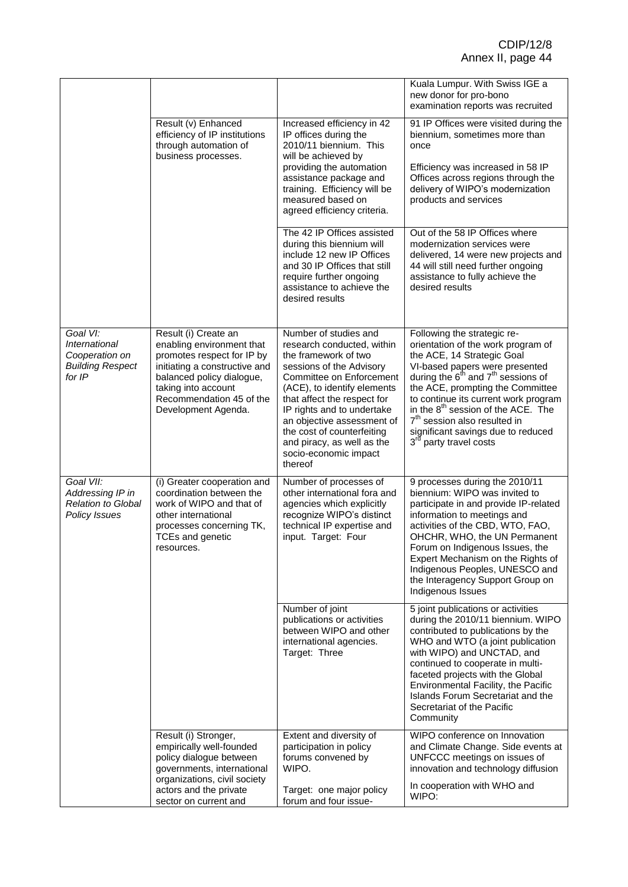|                                                                                         |                                                                                                                                                                                                                         |                                                                                                                                                                                                                                                                                                                                                               | Kuala Lumpur. With Swiss IGE a<br>new donor for pro-bono<br>examination reports was recruited                                                                                                                                                                                                                                                                                                                                     |
|-----------------------------------------------------------------------------------------|-------------------------------------------------------------------------------------------------------------------------------------------------------------------------------------------------------------------------|---------------------------------------------------------------------------------------------------------------------------------------------------------------------------------------------------------------------------------------------------------------------------------------------------------------------------------------------------------------|-----------------------------------------------------------------------------------------------------------------------------------------------------------------------------------------------------------------------------------------------------------------------------------------------------------------------------------------------------------------------------------------------------------------------------------|
|                                                                                         | Result (v) Enhanced<br>efficiency of IP institutions<br>through automation of<br>business processes.                                                                                                                    | Increased efficiency in 42<br>IP offices during the<br>2010/11 biennium. This<br>will be achieved by<br>providing the automation<br>assistance package and<br>training. Efficiency will be<br>measured based on<br>agreed efficiency criteria.                                                                                                                | 91 IP Offices were visited during the<br>biennium, sometimes more than<br>once<br>Efficiency was increased in 58 IP<br>Offices across regions through the<br>delivery of WIPO's modernization<br>products and services                                                                                                                                                                                                            |
|                                                                                         |                                                                                                                                                                                                                         | The 42 IP Offices assisted<br>during this biennium will<br>include 12 new IP Offices<br>and 30 IP Offices that still<br>require further ongoing<br>assistance to achieve the<br>desired results                                                                                                                                                               | Out of the 58 IP Offices where<br>modernization services were<br>delivered, 14 were new projects and<br>44 will still need further ongoing<br>assistance to fully achieve the<br>desired results                                                                                                                                                                                                                                  |
| Goal VI:<br><b>International</b><br>Cooperation on<br><b>Building Respect</b><br>for IP | Result (i) Create an<br>enabling environment that<br>promotes respect for IP by<br>initiating a constructive and<br>balanced policy dialogue,<br>taking into account<br>Recommendation 45 of the<br>Development Agenda. | Number of studies and<br>research conducted, within<br>the framework of two<br>sessions of the Advisory<br>Committee on Enforcement<br>(ACE), to identify elements<br>that affect the respect for<br>IP rights and to undertake<br>an objective assessment of<br>the cost of counterfeiting<br>and piracy, as well as the<br>socio-economic impact<br>thereof | Following the strategic re-<br>orientation of the work program of<br>the ACE, 14 Strategic Goal<br>VI-based papers were presented<br>during the $6th$ and $7th$ sessions of<br>the ACE, prompting the Committee<br>to continue its current work program<br>in the 8 <sup>th</sup> session of the ACE. The<br>7 <sup>th</sup> session also resulted in<br>significant savings due to reduced<br>3 <sup>rd</sup> party travel costs |
| Goal VII:<br>Addressing IP in<br><b>Relation to Global</b><br><b>Policy Issues</b>      | (i) Greater cooperation and<br>coordination between the<br>work of WIPO and that of<br>other international<br>processes concerning TK,<br>TCEs and genetic<br>resources.                                                | Number of processes of<br>other international fora and<br>agencies which explicitly<br>recognize WIPO's distinct<br>technical IP expertise and<br>input. Target: Four                                                                                                                                                                                         | 9 processes during the 2010/11<br>biennium: WIPO was invited to<br>participate in and provide IP-related<br>information to meetings and<br>activities of the CBD, WTO, FAO,<br>OHCHR, WHO, the UN Permanent<br>Forum on Indigenous Issues, the<br>Expert Mechanism on the Rights of<br>Indigenous Peoples, UNESCO and<br>the Interagency Support Group on<br>Indigenous Issues                                                    |
|                                                                                         |                                                                                                                                                                                                                         | Number of joint<br>publications or activities<br>between WIPO and other<br>international agencies.<br>Target: Three                                                                                                                                                                                                                                           | 5 joint publications or activities<br>during the 2010/11 biennium. WIPO<br>contributed to publications by the<br>WHO and WTO (a joint publication<br>with WIPO) and UNCTAD, and<br>continued to cooperate in multi-<br>faceted projects with the Global<br>Environmental Facility, the Pacific<br>Islands Forum Secretariat and the<br>Secretariat of the Pacific<br>Community                                                    |
|                                                                                         | Result (i) Stronger,<br>empirically well-founded<br>policy dialogue between<br>governments, international<br>organizations, civil society<br>actors and the private<br>sector on current and                            | Extent and diversity of<br>participation in policy<br>forums convened by<br>WIPO.<br>Target: one major policy<br>forum and four issue-                                                                                                                                                                                                                        | WIPO conference on Innovation<br>and Climate Change. Side events at<br>UNFCCC meetings on issues of<br>innovation and technology diffusion<br>In cooperation with WHO and<br>WIPO:                                                                                                                                                                                                                                                |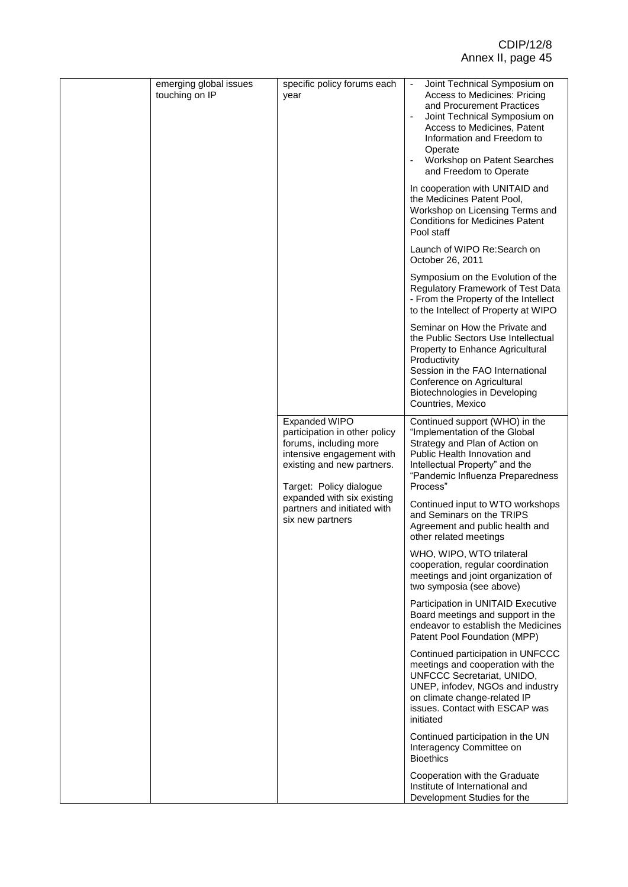| emerging global issues<br>touching on IP | specific policy forums each<br>year                                                                                                                                   | Joint Technical Symposium on<br>Access to Medicines: Pricing<br>and Procurement Practices<br>Joint Technical Symposium on<br>Access to Medicines, Patent<br>Information and Freedom to<br>Operate<br>Workshop on Patent Searches<br>and Freedom to Operate |
|------------------------------------------|-----------------------------------------------------------------------------------------------------------------------------------------------------------------------|------------------------------------------------------------------------------------------------------------------------------------------------------------------------------------------------------------------------------------------------------------|
|                                          |                                                                                                                                                                       | In cooperation with UNITAID and<br>the Medicines Patent Pool,<br>Workshop on Licensing Terms and<br><b>Conditions for Medicines Patent</b><br>Pool staff                                                                                                   |
|                                          |                                                                                                                                                                       | Launch of WIPO Re: Search on<br>October 26, 2011                                                                                                                                                                                                           |
|                                          |                                                                                                                                                                       | Symposium on the Evolution of the<br>Regulatory Framework of Test Data<br>- From the Property of the Intellect<br>to the Intellect of Property at WIPO                                                                                                     |
|                                          |                                                                                                                                                                       | Seminar on How the Private and<br>the Public Sectors Use Intellectual<br>Property to Enhance Agricultural<br>Productivity<br>Session in the FAO International<br>Conference on Agricultural<br>Biotechnologies in Developing<br>Countries, Mexico          |
|                                          | <b>Expanded WIPO</b><br>participation in other policy<br>forums, including more<br>intensive engagement with<br>existing and new partners.<br>Target: Policy dialogue | Continued support (WHO) in the<br>"Implementation of the Global<br>Strategy and Plan of Action on<br>Public Health Innovation and<br>Intellectual Property" and the<br>"Pandemic Influenza Preparedness<br>Process"                                        |
|                                          | expanded with six existing<br>partners and initiated with<br>six new partners                                                                                         | Continued input to WTO workshops<br>and Seminars on the TRIPS<br>Agreement and public health and<br>other related meetings                                                                                                                                 |
|                                          |                                                                                                                                                                       | WHO, WIPO, WTO trilateral<br>cooperation, regular coordination<br>meetings and joint organization of<br>two symposia (see above)                                                                                                                           |
|                                          |                                                                                                                                                                       | Participation in UNITAID Executive<br>Board meetings and support in the<br>endeavor to establish the Medicines<br>Patent Pool Foundation (MPP)                                                                                                             |
|                                          |                                                                                                                                                                       | Continued participation in UNFCCC<br>meetings and cooperation with the<br>UNFCCC Secretariat, UNIDO,<br>UNEP, infodev, NGOs and industry<br>on climate change-related IP<br>issues. Contact with ESCAP was<br>initiated                                    |
|                                          |                                                                                                                                                                       | Continued participation in the UN<br>Interagency Committee on<br><b>Bioethics</b>                                                                                                                                                                          |
|                                          |                                                                                                                                                                       | Cooperation with the Graduate<br>Institute of International and<br>Development Studies for the                                                                                                                                                             |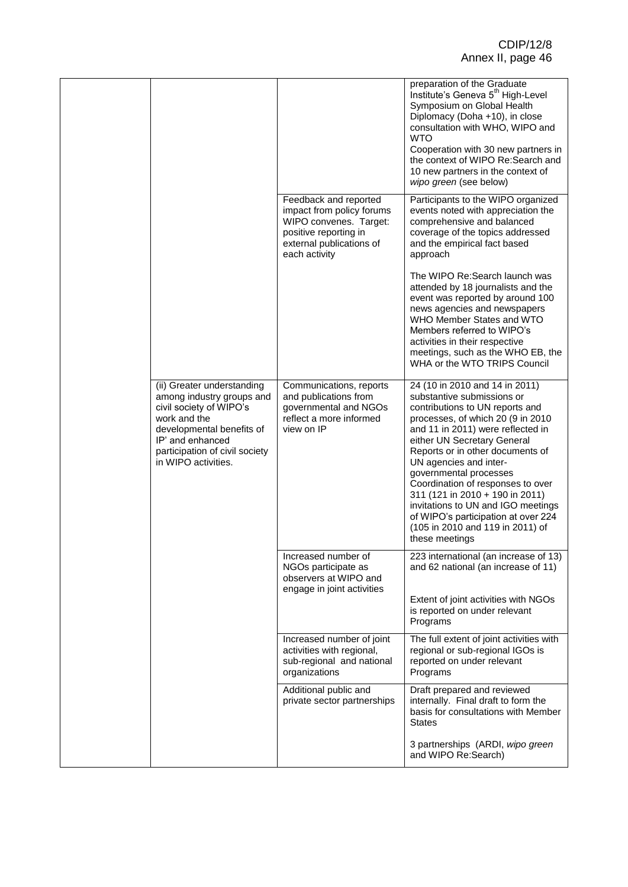|                                                                                                                                                                                                              |                                                                                                                                                    | preparation of the Graduate<br>Institute's Geneva 5 <sup>th</sup> High-Level<br>Symposium on Global Health<br>Diplomacy (Doha +10), in close<br>consultation with WHO, WIPO and<br><b>WTO</b><br>Cooperation with 30 new partners in<br>the context of WIPO Re: Search and<br>10 new partners in the context of<br>wipo green (see below)                                                                                                                                                                   |
|--------------------------------------------------------------------------------------------------------------------------------------------------------------------------------------------------------------|----------------------------------------------------------------------------------------------------------------------------------------------------|-------------------------------------------------------------------------------------------------------------------------------------------------------------------------------------------------------------------------------------------------------------------------------------------------------------------------------------------------------------------------------------------------------------------------------------------------------------------------------------------------------------|
|                                                                                                                                                                                                              | Feedback and reported<br>impact from policy forums<br>WIPO convenes. Target:<br>positive reporting in<br>external publications of<br>each activity | Participants to the WIPO organized<br>events noted with appreciation the<br>comprehensive and balanced<br>coverage of the topics addressed<br>and the empirical fact based<br>approach                                                                                                                                                                                                                                                                                                                      |
|                                                                                                                                                                                                              |                                                                                                                                                    | The WIPO Re: Search launch was<br>attended by 18 journalists and the<br>event was reported by around 100<br>news agencies and newspapers<br>WHO Member States and WTO<br>Members referred to WIPO's<br>activities in their respective<br>meetings, such as the WHO EB, the<br>WHA or the WTO TRIPS Council                                                                                                                                                                                                  |
| (ii) Greater understanding<br>among industry groups and<br>civil society of WIPO's<br>work and the<br>developmental benefits of<br>IP' and enhanced<br>participation of civil society<br>in WIPO activities. | Communications, reports<br>and publications from<br>governmental and NGOs<br>reflect a more informed<br>view on IP                                 | 24 (10 in 2010 and 14 in 2011)<br>substantive submissions or<br>contributions to UN reports and<br>processes, of which 20 (9 in 2010<br>and 11 in 2011) were reflected in<br>either UN Secretary General<br>Reports or in other documents of<br>UN agencies and inter-<br>governmental processes<br>Coordination of responses to over<br>311 (121 in 2010 + 190 in 2011)<br>invitations to UN and IGO meetings<br>of WIPO's participation at over 224<br>(105 in 2010 and 119 in 2011) of<br>these meetings |
|                                                                                                                                                                                                              | Increased number of<br>NGOs participate as<br>observers at WIPO and<br>engage in joint activities                                                  | 223 international (an increase of 13)<br>and 62 national (an increase of 11)<br>Extent of joint activities with NGOs<br>is reported on under relevant<br>Programs                                                                                                                                                                                                                                                                                                                                           |
|                                                                                                                                                                                                              | Increased number of joint<br>activities with regional,<br>sub-regional and national<br>organizations                                               | The full extent of joint activities with<br>regional or sub-regional IGOs is<br>reported on under relevant<br>Programs                                                                                                                                                                                                                                                                                                                                                                                      |
|                                                                                                                                                                                                              | Additional public and<br>private sector partnerships                                                                                               | Draft prepared and reviewed<br>internally. Final draft to form the<br>basis for consultations with Member<br><b>States</b><br>3 partnerships (ARDI, wipo green<br>and WIPO Re:Search)                                                                                                                                                                                                                                                                                                                       |
|                                                                                                                                                                                                              |                                                                                                                                                    |                                                                                                                                                                                                                                                                                                                                                                                                                                                                                                             |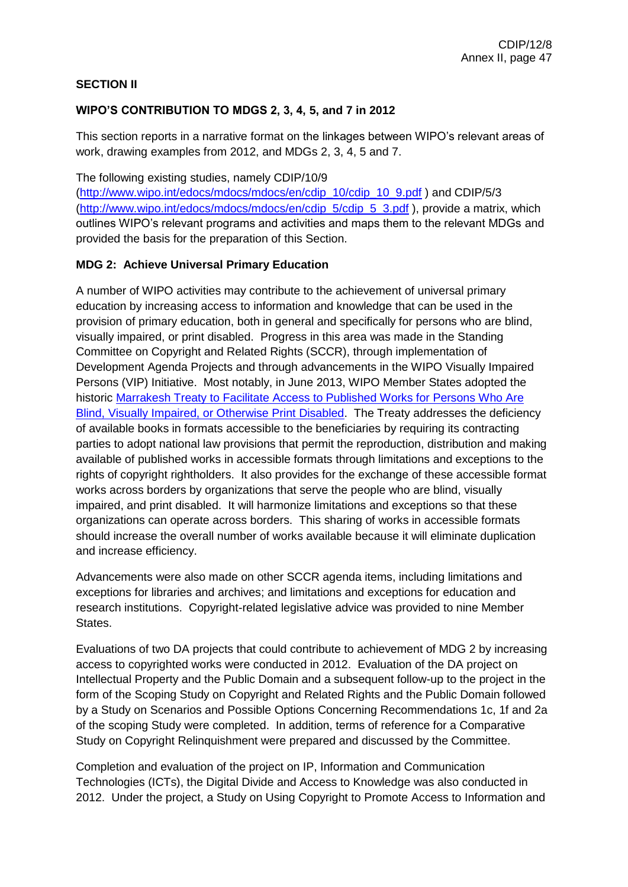## **SECTION II**

## **WIPO'S CONTRIBUTION TO MDGS 2, 3, 4, 5, and 7 in 2012**

This section reports in a narrative format on the linkages between WIPO's relevant areas of work, drawing examples from 2012, and MDGs 2, 3, 4, 5 and 7.

The following existing studies, namely CDIP/10/9

[\(http://www.wipo.int/edocs/mdocs/mdocs/en/cdip\\_10/cdip\\_10\\_9.pdf](http://www.wipo.int/edocs/mdocs/mdocs/en/cdip_10/cdip_10_9.pdf) ) and CDIP/5/3 [\(http://www.wipo.int/edocs/mdocs/mdocs/en/cdip\\_5/cdip\\_5\\_3.pdf](http://www.wipo.int/edocs/mdocs/mdocs/en/cdip_5/cdip_5_3.pdf) ), provide a matrix, which outlines WIPO's relevant programs and activities and maps them to the relevant MDGs and provided the basis for the preparation of this Section.

## **MDG 2: Achieve Universal Primary Education**

A number of WIPO activities may contribute to the achievement of universal primary education by increasing access to information and knowledge that can be used in the provision of primary education, both in general and specifically for persons who are blind, visually impaired, or print disabled. Progress in this area was made in the Standing Committee on Copyright and Related Rights (SCCR), through implementation of Development Agenda Projects and through advancements in the WIPO Visually Impaired Persons (VIP) Initiative. Most notably, in June 2013, WIPO Member States adopted the historic [Marrakesh Treaty to Facilitate Access to Published Works for Persons Who Are](http://www.wipo.int/meetings/en/doc_details.jsp?doc_id=245323)  [Blind, Visually Impaired, or Otherwise Print Disabled.](http://www.wipo.int/meetings/en/doc_details.jsp?doc_id=245323) The Treaty addresses the deficiency of available books in formats accessible to the beneficiaries by requiring its contracting parties to adopt national law provisions that permit the reproduction, distribution and making available of published works in accessible formats through limitations and exceptions to the rights of copyright rightholders. It also provides for the exchange of these accessible format works across borders by organizations that serve the people who are blind, visually impaired, and print disabled. It will harmonize limitations and exceptions so that these organizations can operate across borders. This sharing of works in accessible formats should increase the overall number of works available because it will eliminate duplication and increase efficiency.

Advancements were also made on other SCCR agenda items, including limitations and exceptions for libraries and archives; and limitations and exceptions for education and research institutions. Copyright-related legislative advice was provided to nine Member States.

Evaluations of two DA projects that could contribute to achievement of MDG 2 by increasing access to copyrighted works were conducted in 2012. Evaluation of the DA project on Intellectual Property and the Public Domain and a subsequent follow-up to the project in the form of the Scoping Study on Copyright and Related Rights and the Public Domain followed by a Study on Scenarios and Possible Options Concerning Recommendations 1c, 1f and 2a of the scoping Study were completed. In addition, terms of reference for a Comparative Study on Copyright Relinquishment were prepared and discussed by the Committee.

Completion and evaluation of the project on IP, Information and Communication Technologies (ICTs), the Digital Divide and Access to Knowledge was also conducted in 2012. Under the project, a Study on Using Copyright to Promote Access to Information and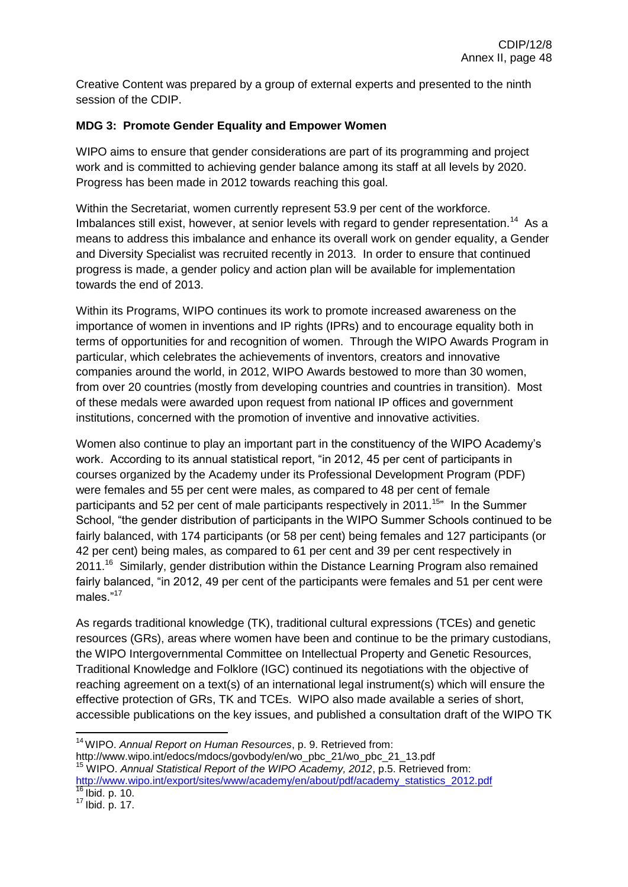Creative Content was prepared by a group of external experts and presented to the ninth session of the CDIP.

## **MDG 3: Promote Gender Equality and Empower Women**

WIPO aims to ensure that gender considerations are part of its programming and project work and is committed to achieving gender balance among its staff at all levels by 2020. Progress has been made in 2012 towards reaching this goal.

Within the Secretariat, women currently represent 53.9 per cent of the workforce. Imbalances still exist, however, at senior levels with regard to gender representation.<sup>14</sup> As a means to address this imbalance and enhance its overall work on gender equality, a Gender and Diversity Specialist was recruited recently in 2013. In order to ensure that continued progress is made, a gender policy and action plan will be available for implementation towards the end of 2013.

Within its Programs, WIPO continues its work to promote increased awareness on the importance of women in inventions and IP rights (IPRs) and to encourage equality both in terms of opportunities for and recognition of women. Through the WIPO Awards Program in particular, which celebrates the achievements of inventors, creators and innovative companies around the world, in 2012, WIPO Awards bestowed to more than 30 women, from over 20 countries (mostly from developing countries and countries in transition). Most of these medals were awarded upon request from national IP offices and government institutions, concerned with the promotion of inventive and innovative activities.

Women also continue to play an important part in the constituency of the WIPO Academy's work. According to its annual statistical report, "in 2012, 45 per cent of participants in courses organized by the Academy under its Professional Development Program (PDF) were females and 55 per cent were males, as compared to 48 per cent of female participants and 52 per cent of male participants respectively in 2011.<sup>15</sup> In the Summer School, "the gender distribution of participants in the WIPO Summer Schools continued to be fairly balanced, with 174 participants (or 58 per cent) being females and 127 participants (or 42 per cent) being males, as compared to 61 per cent and 39 per cent respectively in 2011.<sup>16</sup> Similarly, gender distribution within the Distance Learning Program also remained fairly balanced, "in 2012, 49 per cent of the participants were females and 51 per cent were males<sup>"17</sup>

As regards traditional knowledge (TK), traditional cultural expressions (TCEs) and genetic resources (GRs), areas where women have been and continue to be the primary custodians, the WIPO Intergovernmental Committee on Intellectual Property and Genetic Resources, Traditional Knowledge and Folklore (IGC) continued its negotiations with the objective of reaching agreement on a text(s) of an international legal instrument(s) which will ensure the effective protection of GRs, TK and TCEs. WIPO also made available a series of short, accessible publications on the key issues, and published a consultation draft of the WIPO TK

 $\overline{\phantom{a}}$ 

<sup>14</sup>WIPO. *Annual Report on Human Resources*, p. 9. Retrieved from:

http://www.wipo.int/edocs/mdocs/govbody/en/wo\_pbc\_21/wo\_pbc\_21\_13.pdf <sup>15</sup> WIPO. *Annual Statistical Report of the WIPO Academy, 2012*, p.5. Retrieved from: [http://www.wipo.int/export/sites/www/academy/en/about/pdf/academy\\_statistics\\_2012.pdf](http://www.wipo.int/export/sites/www/academy/en/about/pdf/academy_statistics_2012.pdf)  $\frac{16 \times 100}{16}$  Ibid. p. 10.

 $17 \text{ libid. p. } 17.$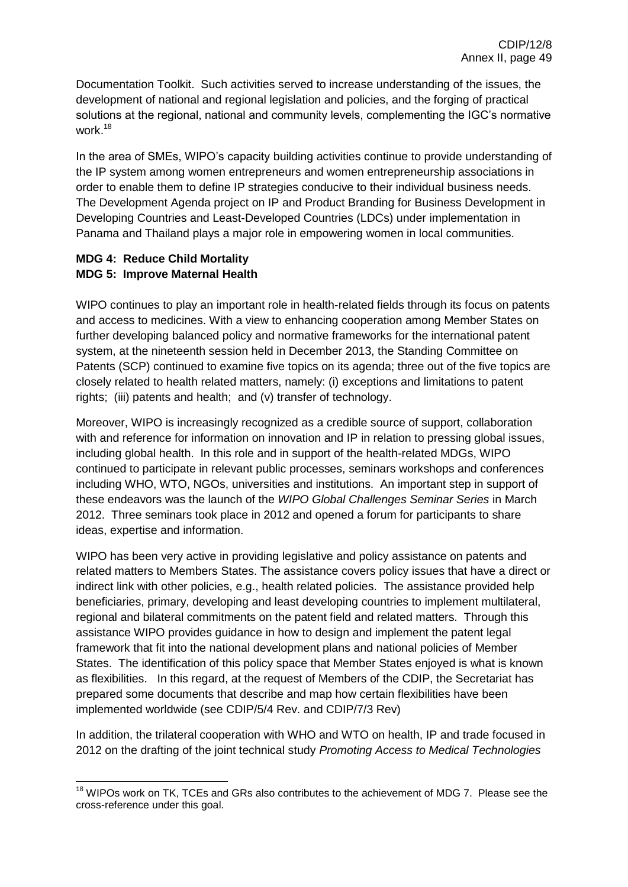Documentation Toolkit. Such activities served to increase understanding of the issues, the development of national and regional legislation and policies, and the forging of practical solutions at the regional, national and community levels, complementing the IGC's normative work.<sup>18</sup>

In the area of SMEs, WIPO's capacity building activities continue to provide understanding of the IP system among women entrepreneurs and women entrepreneurship associations in order to enable them to define IP strategies conducive to their individual business needs. The Development Agenda project on IP and Product Branding for Business Development in Developing Countries and Least-Developed Countries (LDCs) under implementation in Panama and Thailand plays a major role in empowering women in local communities.

## **MDG 4: Reduce Child Mortality MDG 5: Improve Maternal Health**

WIPO continues to play an important role in health-related fields through its focus on patents and access to medicines. With a view to enhancing cooperation among Member States on further developing balanced policy and normative frameworks for the international patent system, at the nineteenth session held in December 2013, the Standing Committee on Patents (SCP) continued to examine five topics on its agenda; three out of the five topics are closely related to health related matters, namely: (i) exceptions and limitations to patent rights; (iii) patents and health; and (v) transfer of technology.

Moreover, WIPO is increasingly recognized as a credible source of support, collaboration with and reference for information on innovation and IP in relation to pressing global issues, including global health. In this role and in support of the health-related MDGs, WIPO continued to participate in relevant public processes, seminars workshops and conferences including WHO, WTO, NGOs, universities and institutions. An important step in support of these endeavors was the launch of the *WIPO Global Challenges Seminar Series* in March 2012. Three seminars took place in 2012 and opened a forum for participants to share ideas, expertise and information.

WIPO has been very active in providing legislative and policy assistance on patents and related matters to Members States. The assistance covers policy issues that have a direct or indirect link with other policies, e.g., health related policies. The assistance provided help beneficiaries, primary, developing and least developing countries to implement multilateral, regional and bilateral commitments on the patent field and related matters. Through this assistance WIPO provides guidance in how to design and implement the patent legal framework that fit into the national development plans and national policies of Member States. The identification of this policy space that Member States enjoyed is what is known as flexibilities. In this regard, at the request of Members of the CDIP, the Secretariat has prepared some documents that describe and map how certain flexibilities have been implemented worldwide (see CDIP/5/4 Rev. and CDIP/7/3 Rev)

In addition, the trilateral cooperation with WHO and WTO on health, IP and trade focused in 2012 on the drafting of the joint technical study *Promoting Access to Medical Technologies* 

 $\overline{\phantom{a}}$  $18$  WIPOs work on TK, TCEs and GRs also contributes to the achievement of MDG 7. Please see the cross-reference under this goal.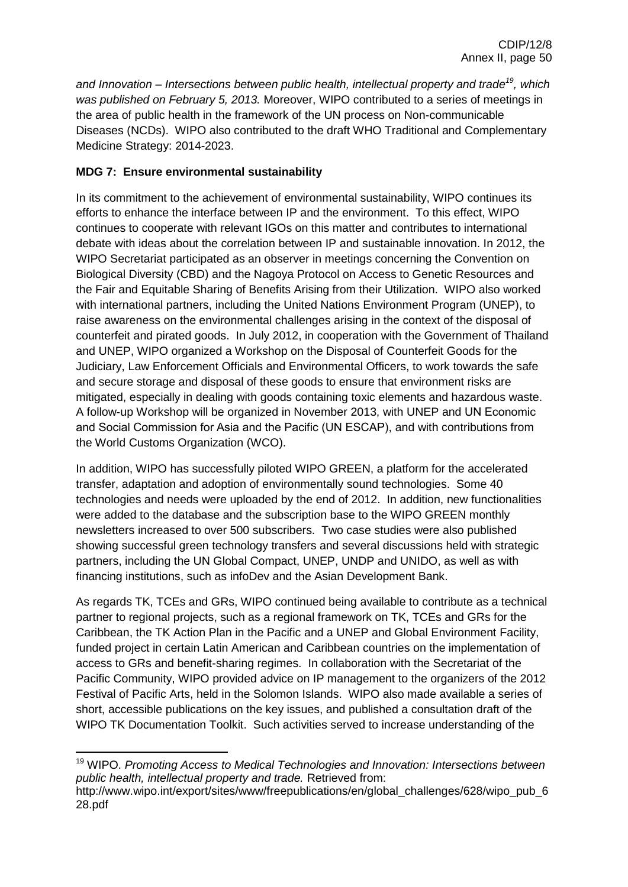*and Innovation – Intersections between public health, intellectual property and trade<sup>19</sup>, which was published on February 5, 2013.* Moreover, WIPO contributed to a series of meetings in the area of public health in the framework of the UN process on Non-communicable Diseases (NCDs). WIPO also contributed to the draft WHO Traditional and Complementary Medicine Strategy: 2014-2023.

## **MDG 7: Ensure environmental sustainability**

In its commitment to the achievement of environmental sustainability, WIPO continues its efforts to enhance the interface between IP and the environment. To this effect, WIPO continues to cooperate with relevant IGOs on this matter and contributes to international debate with ideas about the correlation between IP and sustainable innovation. In 2012, the WIPO Secretariat participated as an observer in meetings concerning the Convention on Biological Diversity (CBD) and the Nagoya Protocol on Access to Genetic Resources and the Fair and Equitable Sharing of Benefits Arising from their Utilization. WIPO also worked with international partners, including the United Nations Environment Program (UNEP), to raise awareness on the environmental challenges arising in the context of the disposal of counterfeit and pirated goods. In July 2012, in cooperation with the Government of Thailand and UNEP, WIPO organized a Workshop on the Disposal of Counterfeit Goods for the Judiciary, Law Enforcement Officials and Environmental Officers, to work towards the safe and secure storage and disposal of these goods to ensure that environment risks are mitigated, especially in dealing with goods containing toxic elements and hazardous waste. A follow-up Workshop will be organized in November 2013, with UNEP and UN Economic and Social Commission for Asia and the Pacific (UN ESCAP), and with contributions from the World Customs Organization (WCO).

In addition, WIPO has successfully piloted WIPO GREEN, a platform for the accelerated transfer, adaptation and adoption of environmentally sound technologies. Some 40 technologies and needs were uploaded by the end of 2012. In addition, new functionalities were added to the database and the subscription base to the WIPO GREEN monthly newsletters increased to over 500 subscribers. Two case studies were also published showing successful green technology transfers and several discussions held with strategic partners, including the UN Global Compact, UNEP, UNDP and UNIDO, as well as with financing institutions, such as infoDev and the Asian Development Bank.

As regards TK, TCEs and GRs, WIPO continued being available to contribute as a technical partner to regional projects, such as a regional framework on TK, TCEs and GRs for the Caribbean, the TK Action Plan in the Pacific and a UNEP and Global Environment Facility, funded project in certain Latin American and Caribbean countries on the implementation of access to GRs and benefit-sharing regimes. In collaboration with the Secretariat of the Pacific Community, WIPO provided advice on IP management to the organizers of the 2012 Festival of Pacific Arts, held in the Solomon Islands. WIPO also made available a series of short, accessible publications on the key issues, and published a consultation draft of the WIPO TK Documentation Toolkit. Such activities served to increase understanding of the

**<sup>.</sup>** <sup>19</sup> WIPO. *Promoting Access to Medical Technologies and Innovation: Intersections between public health, intellectual property and trade.* Retrieved from:

http://www.wipo.int/export/sites/www/freepublications/en/global\_challenges/628/wipo\_pub\_6 28.pdf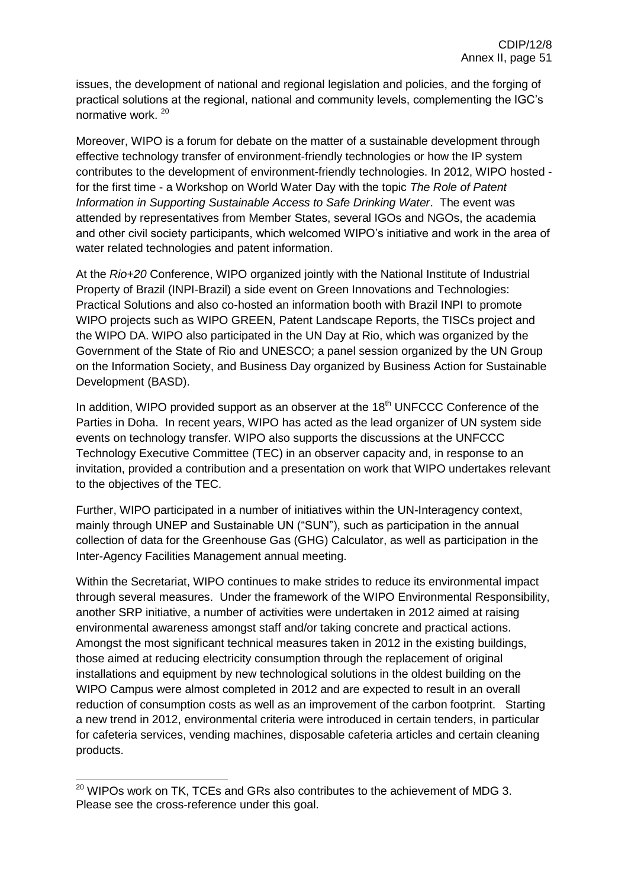issues, the development of national and regional legislation and policies, and the forging of practical solutions at the regional, national and community levels, complementing the IGC's normative work. <sup>20</sup>

Moreover, WIPO is a forum for debate on the matter of a sustainable development through effective technology transfer of environment-friendly technologies or how the IP system contributes to the development of environment-friendly technologies. In 2012, WIPO hosted for the first time - a Workshop on World Water Day with the topic *The Role of Patent Information in Supporting Sustainable Access to Safe Drinking Water*. The event was attended by representatives from Member States, several IGOs and NGOs, the academia and other civil society participants, which welcomed WIPO's initiative and work in the area of water related technologies and patent information.

At the *Rio+20* Conference, WIPO organized jointly with the National Institute of Industrial Property of Brazil (INPI-Brazil) a side event on Green Innovations and Technologies: Practical Solutions and also co-hosted an information booth with Brazil INPI to promote WIPO projects such as WIPO GREEN, Patent Landscape Reports, the TISCs project and the WIPO DA. WIPO also participated in the UN Day at Rio, which was organized by the Government of the State of Rio and UNESCO; a panel session organized by the UN Group on the Information Society, and Business Day organized by Business Action for Sustainable Development (BASD).

In addition, WIPO provided support as an observer at the  $18<sup>th</sup>$  UNFCCC Conference of the Parties in Doha. In recent years, WIPO has acted as the lead organizer of UN system side events on technology transfer. WIPO also supports the discussions at the UNFCCC Technology Executive Committee (TEC) in an observer capacity and, in response to an invitation, provided a contribution and a presentation on work that WIPO undertakes relevant to the objectives of the TEC.

Further, WIPO participated in a number of initiatives within the UN-Interagency context, mainly through UNEP and Sustainable UN ("SUN"), such as participation in the annual collection of data for the Greenhouse Gas (GHG) Calculator, as well as participation in the Inter-Agency Facilities Management annual meeting.

Within the Secretariat, WIPO continues to make strides to reduce its environmental impact through several measures. Under the framework of the WIPO Environmental Responsibility, another SRP initiative, a number of activities were undertaken in 2012 aimed at raising environmental awareness amongst staff and/or taking concrete and practical actions. Amongst the most significant technical measures taken in 2012 in the existing buildings, those aimed at reducing electricity consumption through the replacement of original installations and equipment by new technological solutions in the oldest building on the WIPO Campus were almost completed in 2012 and are expected to result in an overall reduction of consumption costs as well as an improvement of the carbon footprint. Starting a new trend in 2012, environmental criteria were introduced in certain tenders, in particular for cafeteria services, vending machines, disposable cafeteria articles and certain cleaning products.

1

 $20$  WIPOs work on TK, TCEs and GRs also contributes to the achievement of MDG 3. Please see the cross-reference under this goal.